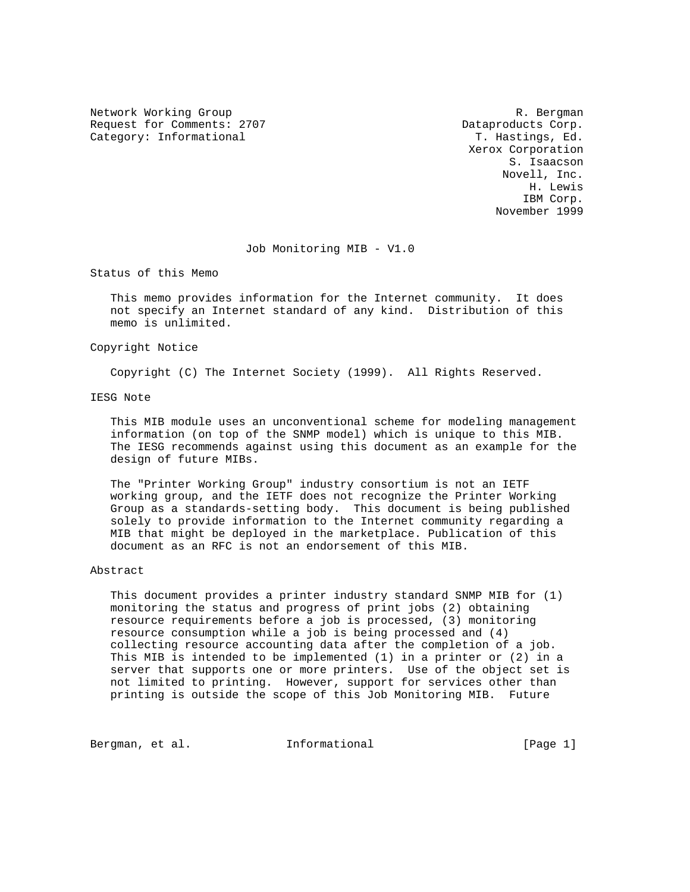Network Working Group and the set of the set of the set of the set of the set of the set of the set of the set of the set of the set of the set of the set of the set of the set of the set of the set of the set of the set o Request for Comments: 2707 and the control of the Dataproducts Corp. Category: Informational T. Hastings, Ed.

 Xerox Corporation S. Isaacson Novell, Inc. H. Lewis IBM Corp. November 1999

Job Monitoring MIB - V1.0

Status of this Memo

 This memo provides information for the Internet community. It does not specify an Internet standard of any kind. Distribution of this memo is unlimited.

# Copyright Notice

Copyright (C) The Internet Society (1999). All Rights Reserved.

IESG Note

 This MIB module uses an unconventional scheme for modeling management information (on top of the SNMP model) which is unique to this MIB. The IESG recommends against using this document as an example for the design of future MIBs.

 The "Printer Working Group" industry consortium is not an IETF working group, and the IETF does not recognize the Printer Working Group as a standards-setting body. This document is being published solely to provide information to the Internet community regarding a MIB that might be deployed in the marketplace. Publication of this document as an RFC is not an endorsement of this MIB.

# Abstract

 This document provides a printer industry standard SNMP MIB for (1) monitoring the status and progress of print jobs (2) obtaining resource requirements before a job is processed, (3) monitoring resource consumption while a job is being processed and (4) collecting resource accounting data after the completion of a job. This MIB is intended to be implemented (1) in a printer or (2) in a server that supports one or more printers. Use of the object set is not limited to printing. However, support for services other than printing is outside the scope of this Job Monitoring MIB. Future

Bergman, et al. **Informational** [Page 1]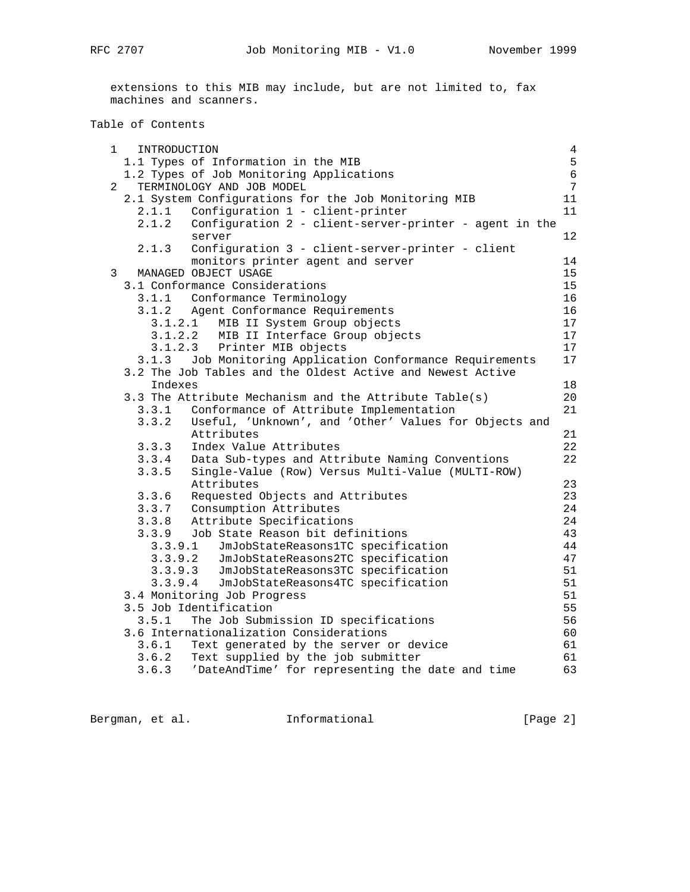extensions to this MIB may include, but are not limited to, fax machines and scanners.

# Table of Contents

| 1              | INTRODUCTION |                                                                                       | $\overline{4}$ |
|----------------|--------------|---------------------------------------------------------------------------------------|----------------|
|                |              | 1.1 Types of Information in the MIB                                                   | 5              |
|                |              | 1.2 Types of Job Monitoring Applications                                              | $\epsilon$     |
| $\overline{2}$ |              | TERMINOLOGY AND JOB MODEL                                                             | $\overline{7}$ |
|                |              | 2.1 System Configurations for the Job Monitoring MIB                                  | 11             |
|                | 2.1.1        | Configuration 1 - client-printer                                                      | 11             |
|                |              | 2.1.2 Configuration 2 - client-server-printer - agent in the                          |                |
|                |              | server                                                                                | $12 \,$        |
|                | 2.1.3        | Configuration 3 - client-server-printer - client                                      |                |
|                |              | monitors printer agent and server                                                     | 14             |
| 3              |              | MANAGED OBJECT USAGE                                                                  | 15             |
|                |              | 3.1 Conformance Considerations                                                        | 15             |
|                |              | 3.1.1 Conformance Terminology                                                         | 16             |
|                |              | 3.1.2 Agent Conformance Requirements                                                  | 16             |
|                |              | 3.1.2.1 MIB II System Group objects                                                   | 17             |
|                |              | 3.1.2.2 MIB II Interface Group objects                                                | 17             |
|                |              | 3.1.2.3 Printer MIB objects                                                           | 17             |
|                |              | 3.1.3 Job Monitoring Application Conformance Requirements                             | 17             |
|                |              | 3.2 The Job Tables and the Oldest Active and Newest Active                            |                |
|                | Indexes      |                                                                                       | 18             |
|                |              | 3.3 The Attribute Mechanism and the Attribute Table(s)                                | 20             |
|                |              | 3.3.1 Conformance of Attribute Implementation                                         | 21             |
|                |              | 3.3.2 Useful, 'Unknown', and 'Other' Values for Objects and<br>Attributes             | 21             |
|                |              |                                                                                       | 22             |
|                |              | 3.3.3 Index Value Attributes<br>3.3.4 Data Sub-types and Attribute Naming Conventions | 22             |
|                |              | 3.3.5 Single-Value (Row) Versus Multi-Value (MULTI-ROW)                               |                |
|                |              | Attributes                                                                            | 23             |
|                |              |                                                                                       | 23             |
|                |              | 3.3.6 Requested Objects and Attributes<br>3.3.7 Consumption Attributes                | 24             |
|                |              | 3.3.8 Attribute Specifications                                                        | 24             |
|                |              | 3.3.9 Job State Reason bit definitions                                                | 43             |
|                | 3.3.9.1      | JmJobStateReasons1TC specification                                                    | 44             |
|                | 3.3.9.2      | JmJobStateReasons2TC specification                                                    | 47             |
|                | 3.3.9.3      | JmJobStateReasons3TC specification                                                    | 51             |
|                | 3.3.9.4      | JmJobStateReasons4TC specification                                                    | 51             |
|                |              | 3.4 Monitoring Job Progress                                                           | 51             |
|                |              | 3.5 Job Identification                                                                | 55             |
|                | 3.5.1        | The Job Submission ID specifications                                                  | 56             |
|                |              | 3.6 Internationalization Considerations                                               | 60             |
|                | 3.6.1        | Text generated by the server or device                                                | 61             |
|                |              | 3.6.2 Text supplied by the job submitter                                              | 61             |
|                |              | 3.6.3 'DateAndTime' for representing the date and time                                | 63             |
|                |              |                                                                                       |                |

Bergman, et al. 1nformational [Page 2]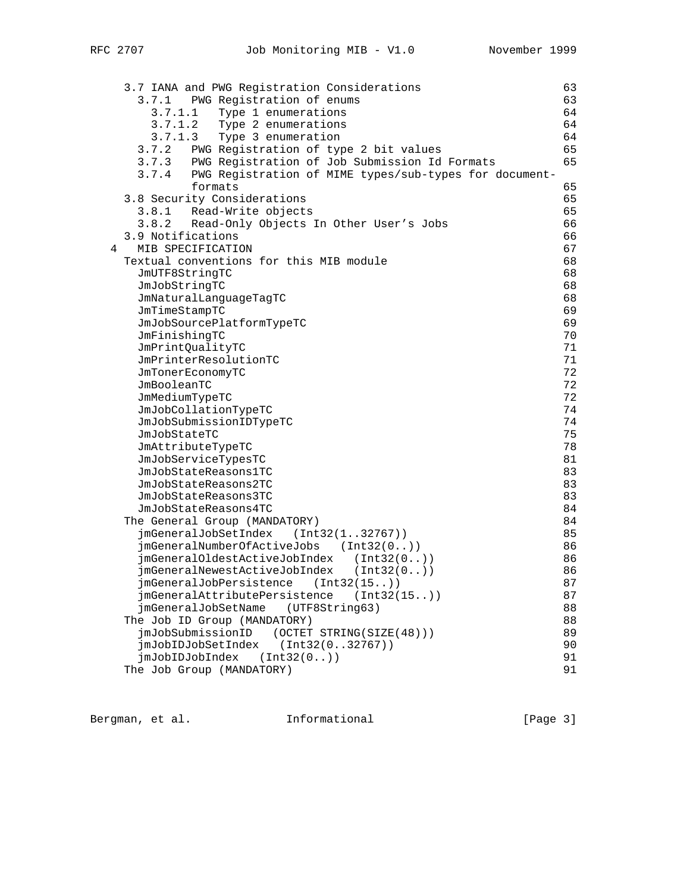3.7 IANA and PWG Registration Considerations 63 3.7.1 PWG Registration of enums 63 3.7.1.1 Type 1 enumerations 64 3.7.1.2 Type 2 enumerations 64 3.7.1.3 Type 3 enumeration 64 3.7.2 PWG Registration of type 2 bit values 65 3.7.3 PWG Registration of Job Submission Id Formats 65 3.7.4 PWG Registration of MIME types/sub-types for document formats 65 3.8 Security Considerations 65 3.8.1 Read-Write objects 65 3.8.2 Read-Only Objects In Other User's Jobs 66 3.9 Notifications 66 4 MIB SPECIFICATION 67 Textual conventions for this MIB module 68 JmUTF8StringTC 68 JmJobStringTC 68 JmNaturalLanguageTagTC 68 JmTimeStampTC 69 JmJobSourcePlatformTypeTC 69 JmFinishingTC 70 JmPrintQualityTC 71 JmPrinterResolutionTC 71 JmTonerEconomyTC 72<br>JmBooleanTC 72 JmBooleanTC 72<br>JmMediumTypeTC 72 JmMediumTypeTC 72<br>JmJobCollationTypeTC 74 JmJobCollationTypeTC 74 JmJobSubmissionIDTypeTC 74 JmJobStateTC 75 JmAttributeTypeTC 78 JmJobServiceTypesTC 81 JmJobStateReasons1TC 83 JmJobStateReasons2TC 83 JmJobStateReasons3TC 83 JmJobStateReasons4TC 84 The General Group (MANDATORY) 34<br>
imGeneralJobSetIndex (Int32(1..32767)) 35 jmGeneralJobSetIndex (Int32(1..32767)) jmGeneralNumberOfActiveJobs (Int32(0..)) 86 jmGeneralOldestActiveJobIndex (Int32(0..)) 86 jmGeneralNewestActiveJobIndex (Int32(0..)) 86 jmGeneralJobPersistence (Int32(15..)) 87 jmGeneralAttributePersistence (Int32(15..)) 87 jmGeneralJobSetName (UTF8String63) 88 The Job ID Group (MANDATORY) 88 jmJobSubmissionID (OCTET STRING(SIZE(48))) 89 jmJobIDJobSetIndex (Int32(0..32767)) 90 jmJobIDJobIndex (Int32(0..)) 91 The Job Group (MANDATORY) 91

Bergman, et al. 1nformational 1999 [Page 3]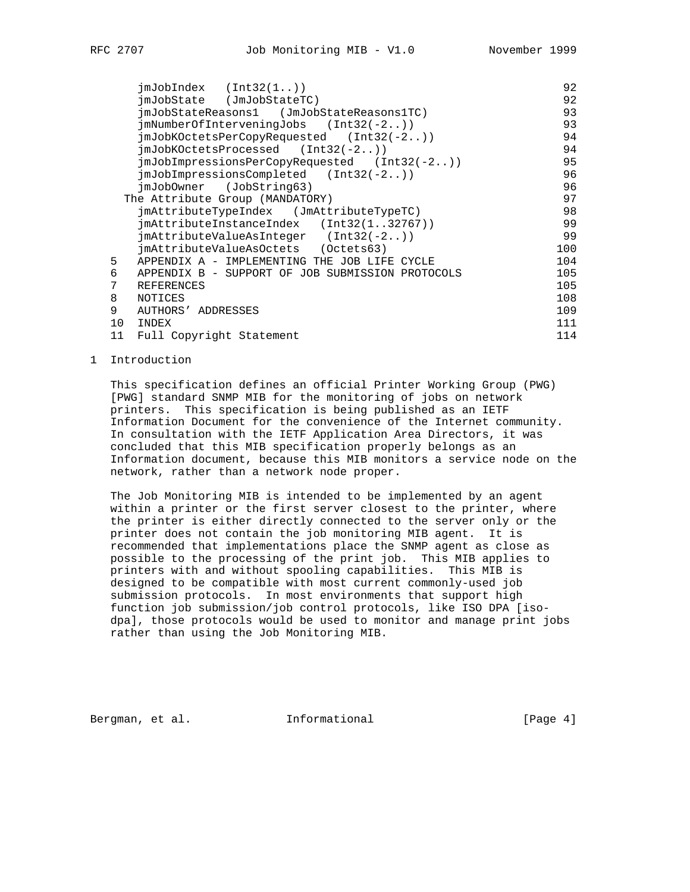|    | $\text{imJobIndex}$ $(\text{Int32}(1, .))$        | 92  |
|----|---------------------------------------------------|-----|
|    |                                                   | 92  |
|    | imJobState (JmJobStateTC)                         |     |
|    | imJobStateReasons1 (JmJobStateReasons1TC)         | 93  |
|    | $\text{imNumberOfInterveningJobs}$ (Int32(-2))    | 93  |
|    | $\text{imJobKOctetsPerCopyRequired}$ (Int32(-2))  | 94  |
|    | $\text{imJobKOctet}s\text{Processed}$ (Int32(-2)) | 94  |
|    | $jmJobImpressionsPerCopyRequested$ (Int32(-2))    | 95  |
|    | $\text{imJobImpressionsComplete}$ (Int32(-2))     | 96  |
|    | imJobOwner (JobString63)                          | 96  |
|    | The Attribute Group (MANDATORY)                   | 97  |
|    | imAttributeTypeIndex (JmAttributeTypeTC)          | 98  |
|    | $j$ mAttributeInstanceIndex (Int32(132767))       | 99  |
|    | $j$ mAttributeValueAsInteger (Int32(-2))          | 99  |
|    | jmAttributeValueAsOctets (Octets63)               | 100 |
| 5  | APPENDIX A - IMPLEMENTING THE JOB LIFE CYCLE      | 104 |
| 6  | APPENDIX B - SUPPORT OF JOB SUBMISSION PROTOCOLS  | 105 |
| 7  | <b>REFERENCES</b>                                 | 105 |
| 8  | NOTICES                                           | 108 |
| 9  | AUTHORS' ADDRESSES                                | 109 |
| 10 | INDEX                                             | 111 |
| 11 | Full Copyright Statement                          | 114 |

1 Introduction

 This specification defines an official Printer Working Group (PWG) [PWG] standard SNMP MIB for the monitoring of jobs on network printers. This specification is being published as an IETF Information Document for the convenience of the Internet community. In consultation with the IETF Application Area Directors, it was concluded that this MIB specification properly belongs as an Information document, because this MIB monitors a service node on the network, rather than a network node proper.

 The Job Monitoring MIB is intended to be implemented by an agent within a printer or the first server closest to the printer, where the printer is either directly connected to the server only or the printer does not contain the job monitoring MIB agent. It is recommended that implementations place the SNMP agent as close as possible to the processing of the print job. This MIB applies to printers with and without spooling capabilities. This MIB is designed to be compatible with most current commonly-used job submission protocols. In most environments that support high function job submission/job control protocols, like ISO DPA [iso dpa], those protocols would be used to monitor and manage print jobs rather than using the Job Monitoring MIB.

Bergman, et al. **Informational** [Page 4]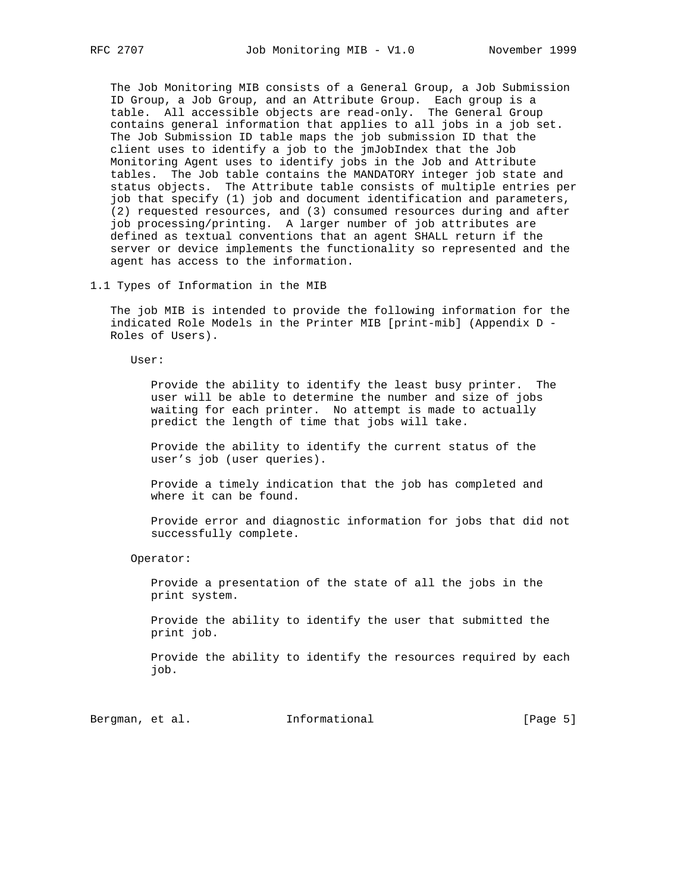The Job Monitoring MIB consists of a General Group, a Job Submission ID Group, a Job Group, and an Attribute Group. Each group is a table. All accessible objects are read-only. The General Group contains general information that applies to all jobs in a job set. The Job Submission ID table maps the job submission ID that the client uses to identify a job to the jmJobIndex that the Job Monitoring Agent uses to identify jobs in the Job and Attribute tables. The Job table contains the MANDATORY integer job state and status objects. The Attribute table consists of multiple entries per job that specify (1) job and document identification and parameters, (2) requested resources, and (3) consumed resources during and after job processing/printing. A larger number of job attributes are defined as textual conventions that an agent SHALL return if the server or device implements the functionality so represented and the agent has access to the information.

1.1 Types of Information in the MIB

 The job MIB is intended to provide the following information for the indicated Role Models in the Printer MIB [print-mib] (Appendix D - Roles of Users).

User:

 Provide the ability to identify the least busy printer. The user will be able to determine the number and size of jobs waiting for each printer. No attempt is made to actually predict the length of time that jobs will take.

 Provide the ability to identify the current status of the user's job (user queries).

 Provide a timely indication that the job has completed and where it can be found.

 Provide error and diagnostic information for jobs that did not successfully complete.

Operator:

 Provide a presentation of the state of all the jobs in the print system.

 Provide the ability to identify the user that submitted the print job.

 Provide the ability to identify the resources required by each job.

Bergman, et al. **Informational** [Page 5]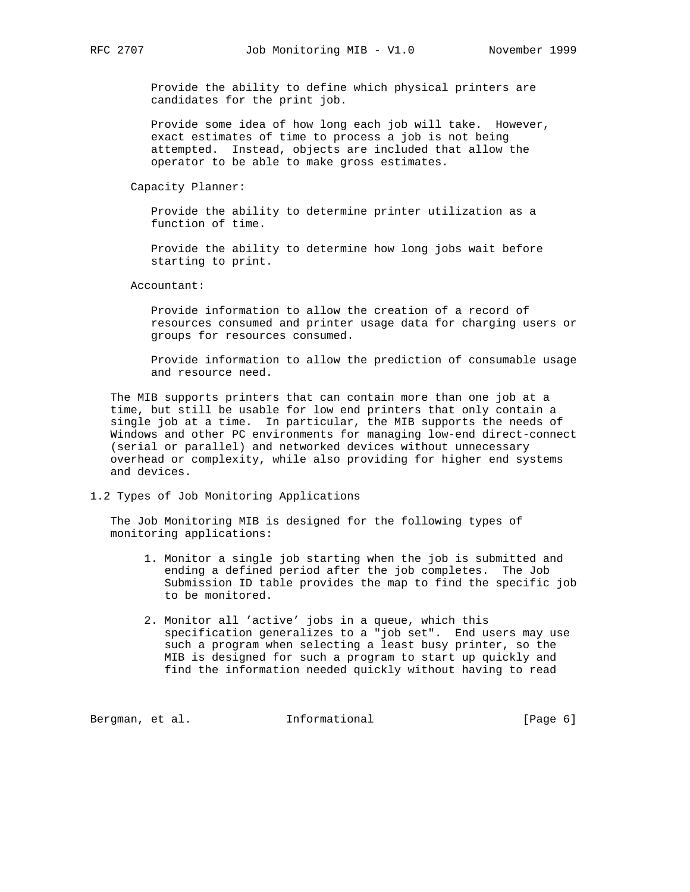Provide the ability to define which physical printers are candidates for the print job.

 Provide some idea of how long each job will take. However, exact estimates of time to process a job is not being attempted. Instead, objects are included that allow the operator to be able to make gross estimates.

Capacity Planner:

 Provide the ability to determine printer utilization as a function of time.

 Provide the ability to determine how long jobs wait before starting to print.

Accountant:

 Provide information to allow the creation of a record of resources consumed and printer usage data for charging users or groups for resources consumed.

 Provide information to allow the prediction of consumable usage and resource need.

 The MIB supports printers that can contain more than one job at a time, but still be usable for low end printers that only contain a single job at a time. In particular, the MIB supports the needs of Windows and other PC environments for managing low-end direct-connect (serial or parallel) and networked devices without unnecessary overhead or complexity, while also providing for higher end systems and devices.

1.2 Types of Job Monitoring Applications

 The Job Monitoring MIB is designed for the following types of monitoring applications:

- 1. Monitor a single job starting when the job is submitted and ending a defined period after the job completes. The Job Submission ID table provides the map to find the specific job to be monitored.
- 2. Monitor all 'active' jobs in a queue, which this specification generalizes to a "job set". End users may use such a program when selecting a least busy printer, so the MIB is designed for such a program to start up quickly and find the information needed quickly without having to read

Bergman, et al. 1nformational 1999 [Page 6]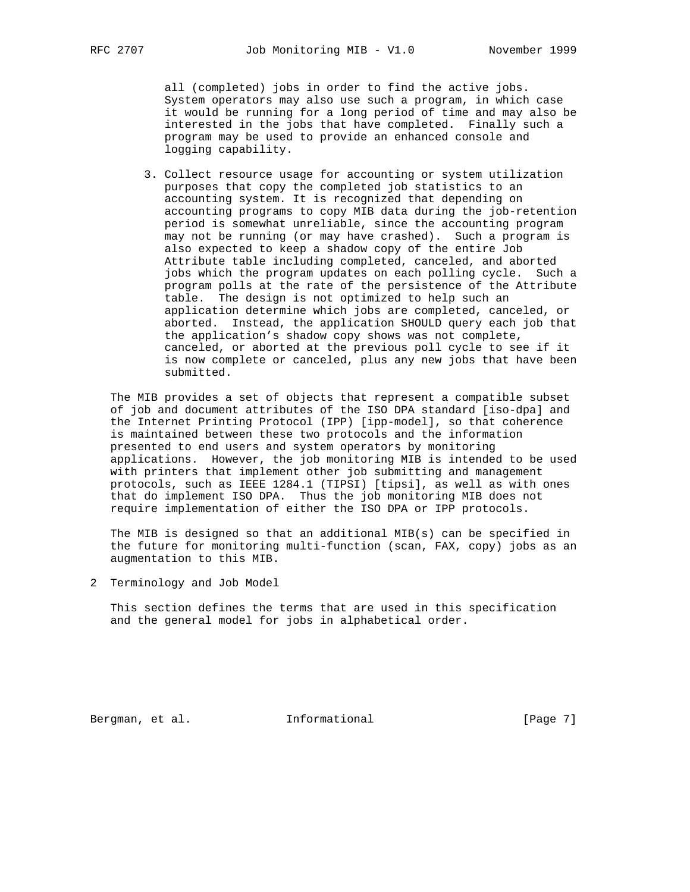all (completed) jobs in order to find the active jobs. System operators may also use such a program, in which case it would be running for a long period of time and may also be interested in the jobs that have completed. Finally such a program may be used to provide an enhanced console and logging capability.

 3. Collect resource usage for accounting or system utilization purposes that copy the completed job statistics to an accounting system. It is recognized that depending on accounting programs to copy MIB data during the job-retention period is somewhat unreliable, since the accounting program may not be running (or may have crashed). Such a program is also expected to keep a shadow copy of the entire Job Attribute table including completed, canceled, and aborted jobs which the program updates on each polling cycle. Such a program polls at the rate of the persistence of the Attribute table. The design is not optimized to help such an application determine which jobs are completed, canceled, or aborted. Instead, the application SHOULD query each job that the application's shadow copy shows was not complete, canceled, or aborted at the previous poll cycle to see if it is now complete or canceled, plus any new jobs that have been submitted.

 The MIB provides a set of objects that represent a compatible subset of job and document attributes of the ISO DPA standard [iso-dpa] and the Internet Printing Protocol (IPP) [ipp-model], so that coherence is maintained between these two protocols and the information presented to end users and system operators by monitoring applications. However, the job monitoring MIB is intended to be used with printers that implement other job submitting and management protocols, such as IEEE 1284.1 (TIPSI) [tipsi], as well as with ones that do implement ISO DPA. Thus the job monitoring MIB does not require implementation of either the ISO DPA or IPP protocols.

 The MIB is designed so that an additional MIB(s) can be specified in the future for monitoring multi-function (scan, FAX, copy) jobs as an augmentation to this MIB.

2 Terminology and Job Model

 This section defines the terms that are used in this specification and the general model for jobs in alphabetical order.

Bergman, et al. **Informational** [Page 7]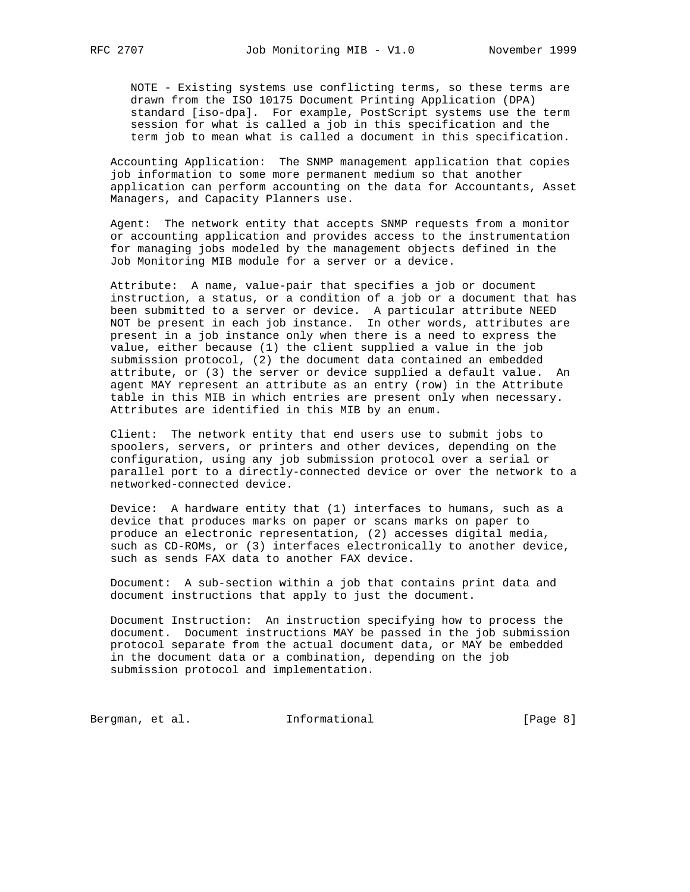NOTE - Existing systems use conflicting terms, so these terms are drawn from the ISO 10175 Document Printing Application (DPA) standard [iso-dpa]. For example, PostScript systems use the term session for what is called a job in this specification and the term job to mean what is called a document in this specification.

 Accounting Application: The SNMP management application that copies job information to some more permanent medium so that another application can perform accounting on the data for Accountants, Asset Managers, and Capacity Planners use.

 Agent: The network entity that accepts SNMP requests from a monitor or accounting application and provides access to the instrumentation for managing jobs modeled by the management objects defined in the Job Monitoring MIB module for a server or a device.

 Attribute: A name, value-pair that specifies a job or document instruction, a status, or a condition of a job or a document that has been submitted to a server or device. A particular attribute NEED NOT be present in each job instance. In other words, attributes are present in a job instance only when there is a need to express the value, either because (1) the client supplied a value in the job submission protocol, (2) the document data contained an embedded attribute, or (3) the server or device supplied a default value. An agent MAY represent an attribute as an entry (row) in the Attribute table in this MIB in which entries are present only when necessary. Attributes are identified in this MIB by an enum.

 Client: The network entity that end users use to submit jobs to spoolers, servers, or printers and other devices, depending on the configuration, using any job submission protocol over a serial or parallel port to a directly-connected device or over the network to a networked-connected device.

 Device: A hardware entity that (1) interfaces to humans, such as a device that produces marks on paper or scans marks on paper to produce an electronic representation, (2) accesses digital media, such as CD-ROMs, or (3) interfaces electronically to another device, such as sends FAX data to another FAX device.

 Document: A sub-section within a job that contains print data and document instructions that apply to just the document.

 Document Instruction: An instruction specifying how to process the document. Document instructions MAY be passed in the job submission protocol separate from the actual document data, or MAY be embedded in the document data or a combination, depending on the job submission protocol and implementation.

Bergman, et al. 1nformational 1999 [Page 8]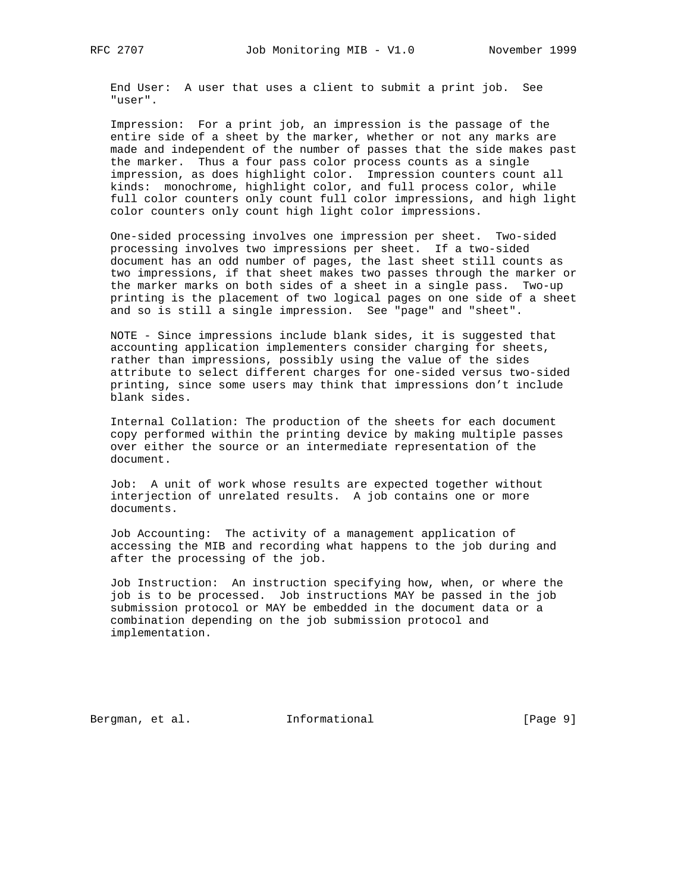End User: A user that uses a client to submit a print job. See "user".

 Impression: For a print job, an impression is the passage of the entire side of a sheet by the marker, whether or not any marks are made and independent of the number of passes that the side makes past the marker. Thus a four pass color process counts as a single impression, as does highlight color. Impression counters count all kinds: monochrome, highlight color, and full process color, while full color counters only count full color impressions, and high light color counters only count high light color impressions.

 One-sided processing involves one impression per sheet. Two-sided processing involves two impressions per sheet. If a two-sided document has an odd number of pages, the last sheet still counts as two impressions, if that sheet makes two passes through the marker or the marker marks on both sides of a sheet in a single pass. Two-up printing is the placement of two logical pages on one side of a sheet and so is still a single impression. See "page" and "sheet".

 NOTE - Since impressions include blank sides, it is suggested that accounting application implementers consider charging for sheets, rather than impressions, possibly using the value of the sides attribute to select different charges for one-sided versus two-sided printing, since some users may think that impressions don't include blank sides.

 Internal Collation: The production of the sheets for each document copy performed within the printing device by making multiple passes over either the source or an intermediate representation of the document.

 Job: A unit of work whose results are expected together without interjection of unrelated results. A job contains one or more documents.

 Job Accounting: The activity of a management application of accessing the MIB and recording what happens to the job during and after the processing of the job.

 Job Instruction: An instruction specifying how, when, or where the job is to be processed. Job instructions MAY be passed in the job submission protocol or MAY be embedded in the document data or a combination depending on the job submission protocol and implementation.

Bergman, et al. **Informational** [Page 9]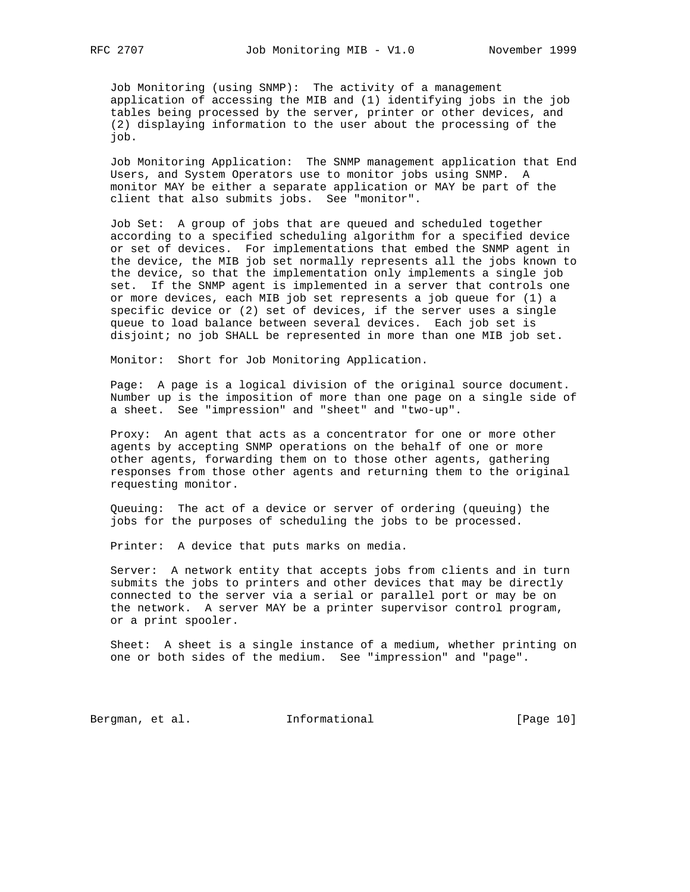Job Monitoring (using SNMP): The activity of a management application of accessing the MIB and (1) identifying jobs in the job tables being processed by the server, printer or other devices, and (2) displaying information to the user about the processing of the job.

 Job Monitoring Application: The SNMP management application that End Users, and System Operators use to monitor jobs using SNMP. A monitor MAY be either a separate application or MAY be part of the client that also submits jobs. See "monitor".

 Job Set: A group of jobs that are queued and scheduled together according to a specified scheduling algorithm for a specified device or set of devices. For implementations that embed the SNMP agent in the device, the MIB job set normally represents all the jobs known to the device, so that the implementation only implements a single job set. If the SNMP agent is implemented in a server that controls one or more devices, each MIB job set represents a job queue for (1) a specific device or (2) set of devices, if the server uses a single queue to load balance between several devices. Each job set is disjoint; no job SHALL be represented in more than one MIB job set.

Monitor: Short for Job Monitoring Application.

 Page: A page is a logical division of the original source document. Number up is the imposition of more than one page on a single side of a sheet. See "impression" and "sheet" and "two-up".

 Proxy: An agent that acts as a concentrator for one or more other agents by accepting SNMP operations on the behalf of one or more other agents, forwarding them on to those other agents, gathering responses from those other agents and returning them to the original requesting monitor.

 Queuing: The act of a device or server of ordering (queuing) the jobs for the purposes of scheduling the jobs to be processed.

Printer: A device that puts marks on media.

 Server: A network entity that accepts jobs from clients and in turn submits the jobs to printers and other devices that may be directly connected to the server via a serial or parallel port or may be on the network. A server MAY be a printer supervisor control program, or a print spooler.

 Sheet: A sheet is a single instance of a medium, whether printing on one or both sides of the medium. See "impression" and "page".

Bergman, et al. 1nformational [Page 10]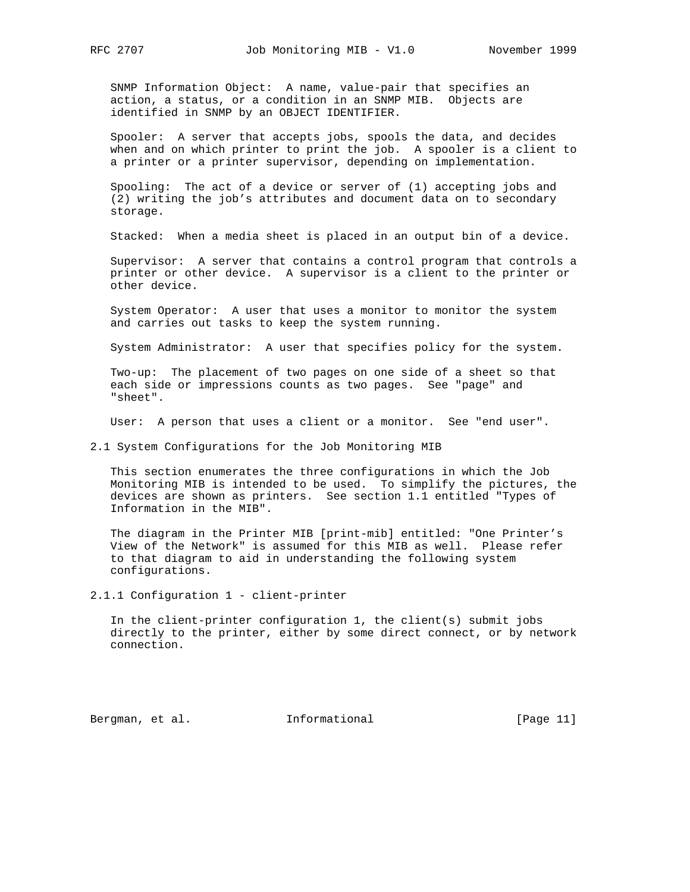SNMP Information Object: A name, value-pair that specifies an action, a status, or a condition in an SNMP MIB. Objects are identified in SNMP by an OBJECT IDENTIFIER.

 Spooler: A server that accepts jobs, spools the data, and decides when and on which printer to print the job. A spooler is a client to a printer or a printer supervisor, depending on implementation.

 Spooling: The act of a device or server of (1) accepting jobs and (2) writing the job's attributes and document data on to secondary storage.

Stacked: When a media sheet is placed in an output bin of a device.

 Supervisor: A server that contains a control program that controls a printer or other device. A supervisor is a client to the printer or other device.

 System Operator: A user that uses a monitor to monitor the system and carries out tasks to keep the system running.

System Administrator: A user that specifies policy for the system.

 Two-up: The placement of two pages on one side of a sheet so that each side or impressions counts as two pages. See "page" and "sheet".

User: A person that uses a client or a monitor. See "end user".

2.1 System Configurations for the Job Monitoring MIB

 This section enumerates the three configurations in which the Job Monitoring MIB is intended to be used. To simplify the pictures, the devices are shown as printers. See section 1.1 entitled "Types of Information in the MIB".

 The diagram in the Printer MIB [print-mib] entitled: "One Printer's View of the Network" is assumed for this MIB as well. Please refer to that diagram to aid in understanding the following system configurations.

2.1.1 Configuration 1 - client-printer

 In the client-printer configuration 1, the client(s) submit jobs directly to the printer, either by some direct connect, or by network connection.

Bergman, et al. **Informational** [Page 11]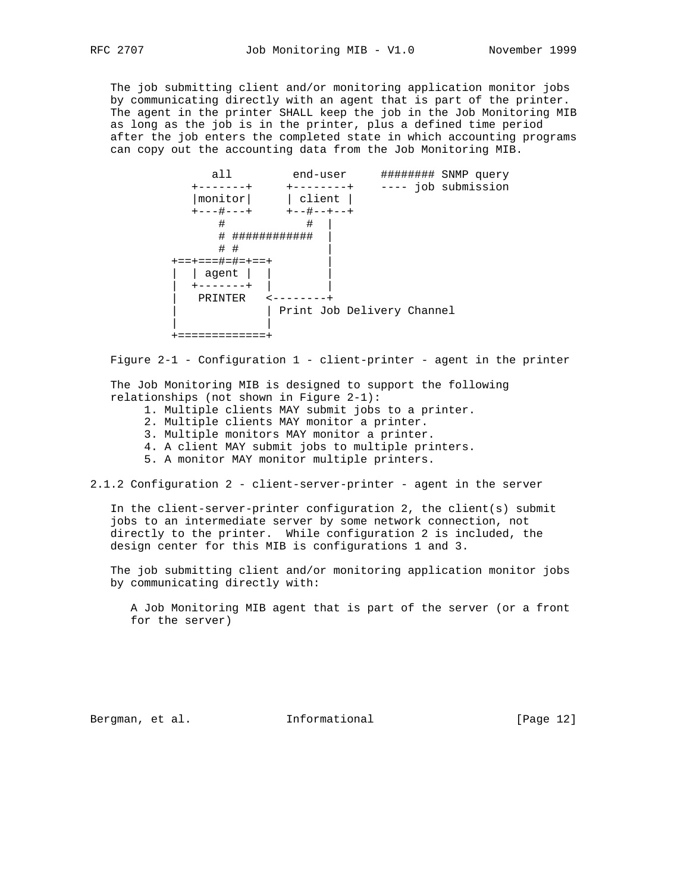The job submitting client and/or monitoring application monitor jobs by communicating directly with an agent that is part of the printer. The agent in the printer SHALL keep the job in the Job Monitoring MIB as long as the job is in the printer, plus a defined time period after the job enters the completed state in which accounting programs can copy out the accounting data from the Job Monitoring MIB.

 all end-user ######## SNMP query +-------+ +--------+ ---- job submission |monitor| | client | +---#---+ +--#--+--+ # # | # ############ | # # | +==+===#=#=+==+ | | | agent | | | | +-------+ | | | PRINTER <--------+ | Print Job Delivery Channel | | +=============+

Figure 2-1 - Configuration 1 - client-printer - agent in the printer

 The Job Monitoring MIB is designed to support the following relationships (not shown in Figure 2-1):

- 1. Multiple clients MAY submit jobs to a printer.
- 2. Multiple clients MAY monitor a printer.
- 3. Multiple monitors MAY monitor a printer.
- 4. A client MAY submit jobs to multiple printers.
- 5. A monitor MAY monitor multiple printers.

2.1.2 Configuration 2 - client-server-printer - agent in the server

 In the client-server-printer configuration 2, the client(s) submit jobs to an intermediate server by some network connection, not directly to the printer. While configuration 2 is included, the design center for this MIB is configurations 1 and 3.

 The job submitting client and/or monitoring application monitor jobs by communicating directly with:

 A Job Monitoring MIB agent that is part of the server (or a front for the server)

Bergman, et al. **Informational** [Page 12]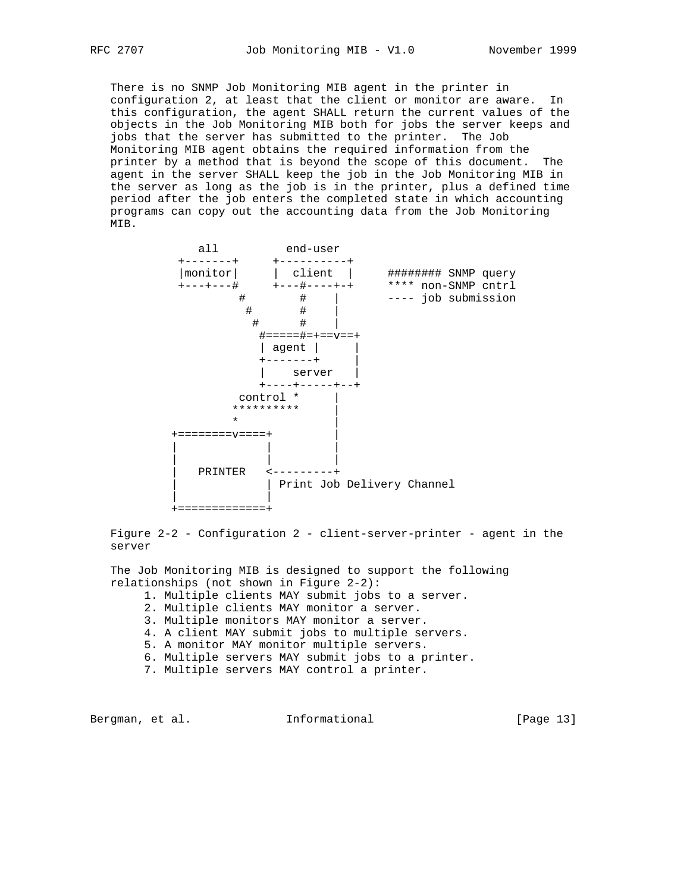There is no SNMP Job Monitoring MIB agent in the printer in configuration 2, at least that the client or monitor are aware. In this configuration, the agent SHALL return the current values of the objects in the Job Monitoring MIB both for jobs the server keeps and jobs that the server has submitted to the printer. The Job Monitoring MIB agent obtains the required information from the printer by a method that is beyond the scope of this document. The agent in the server SHALL keep the job in the Job Monitoring MIB in the server as long as the job is in the printer, plus a defined time period after the job enters the completed state in which accounting programs can copy out the accounting data from the Job Monitoring MIB.



 Figure 2-2 - Configuration 2 - client-server-printer - agent in the server

 The Job Monitoring MIB is designed to support the following relationships (not shown in Figure 2-2):

- 1. Multiple clients MAY submit jobs to a server.
- 2. Multiple clients MAY monitor a server.
- 3. Multiple monitors MAY monitor a server.
- 4. A client MAY submit jobs to multiple servers.
- 5. A monitor MAY monitor multiple servers.
- 6. Multiple servers MAY submit jobs to a printer.
- 7. Multiple servers MAY control a printer.

Bergman, et al. **Informational** [Page 13]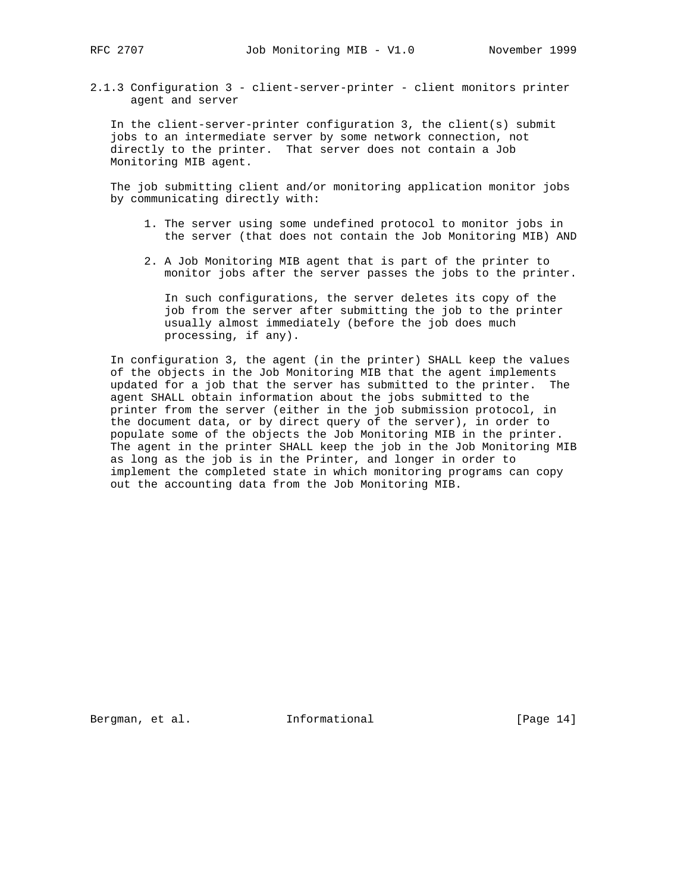2.1.3 Configuration 3 - client-server-printer - client monitors printer agent and server

 In the client-server-printer configuration 3, the client(s) submit jobs to an intermediate server by some network connection, not directly to the printer. That server does not contain a Job Monitoring MIB agent.

 The job submitting client and/or monitoring application monitor jobs by communicating directly with:

- 1. The server using some undefined protocol to monitor jobs in the server (that does not contain the Job Monitoring MIB) AND
- 2. A Job Monitoring MIB agent that is part of the printer to monitor jobs after the server passes the jobs to the printer.

 In such configurations, the server deletes its copy of the job from the server after submitting the job to the printer usually almost immediately (before the job does much processing, if any).

 In configuration 3, the agent (in the printer) SHALL keep the values of the objects in the Job Monitoring MIB that the agent implements updated for a job that the server has submitted to the printer. The agent SHALL obtain information about the jobs submitted to the printer from the server (either in the job submission protocol, in the document data, or by direct query of the server), in order to populate some of the objects the Job Monitoring MIB in the printer. The agent in the printer SHALL keep the job in the Job Monitoring MIB as long as the job is in the Printer, and longer in order to implement the completed state in which monitoring programs can copy out the accounting data from the Job Monitoring MIB.

Bergman, et al. **Informational** [Page 14]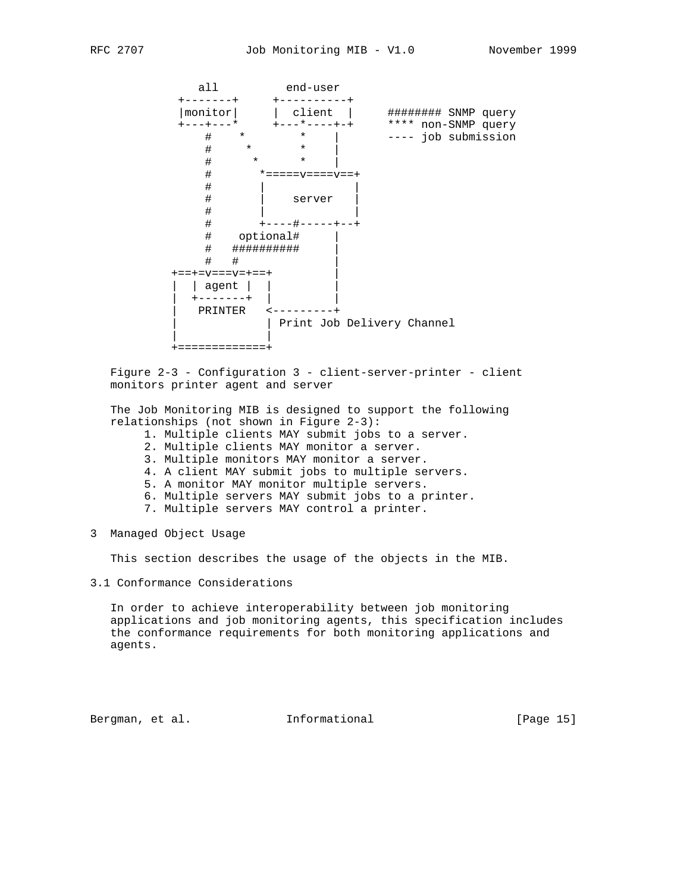

 Figure 2-3 - Configuration 3 - client-server-printer - client monitors printer agent and server

 The Job Monitoring MIB is designed to support the following relationships (not shown in Figure 2-3):

- 1. Multiple clients MAY submit jobs to a server.
- 2. Multiple clients MAY monitor a server.
- 3. Multiple monitors MAY monitor a server.
- 4. A client MAY submit jobs to multiple servers.
- 5. A monitor MAY monitor multiple servers.
- 6. Multiple servers MAY submit jobs to a printer.
- 7. Multiple servers MAY control a printer.
- 3 Managed Object Usage

This section describes the usage of the objects in the MIB.

3.1 Conformance Considerations

 In order to achieve interoperability between job monitoring applications and job monitoring agents, this specification includes the conformance requirements for both monitoring applications and agents.

Bergman, et al. 1nformational 1999 [Page 15]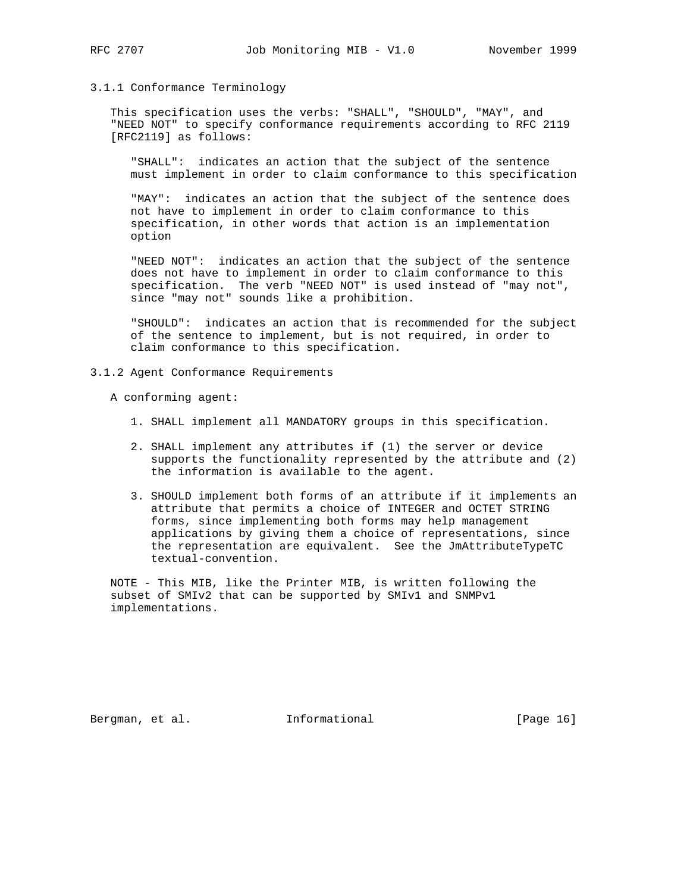### 3.1.1 Conformance Terminology

 This specification uses the verbs: "SHALL", "SHOULD", "MAY", and "NEED NOT" to specify conformance requirements according to RFC 2119 [RFC2119] as follows:

 "SHALL": indicates an action that the subject of the sentence must implement in order to claim conformance to this specification

 "MAY": indicates an action that the subject of the sentence does not have to implement in order to claim conformance to this specification, in other words that action is an implementation option

 "NEED NOT": indicates an action that the subject of the sentence does not have to implement in order to claim conformance to this specification. The verb "NEED NOT" is used instead of "may not", since "may not" sounds like a prohibition.

 "SHOULD": indicates an action that is recommended for the subject of the sentence to implement, but is not required, in order to claim conformance to this specification.

3.1.2 Agent Conformance Requirements

A conforming agent:

- 1. SHALL implement all MANDATORY groups in this specification.
- 2. SHALL implement any attributes if (1) the server or device supports the functionality represented by the attribute and (2) the information is available to the agent.
- 3. SHOULD implement both forms of an attribute if it implements an attribute that permits a choice of INTEGER and OCTET STRING forms, since implementing both forms may help management applications by giving them a choice of representations, since the representation are equivalent. See the JmAttributeTypeTC textual-convention.

 NOTE - This MIB, like the Printer MIB, is written following the subset of SMIv2 that can be supported by SMIv1 and SNMPv1 implementations.

Bergman, et al. **Informational** [Page 16]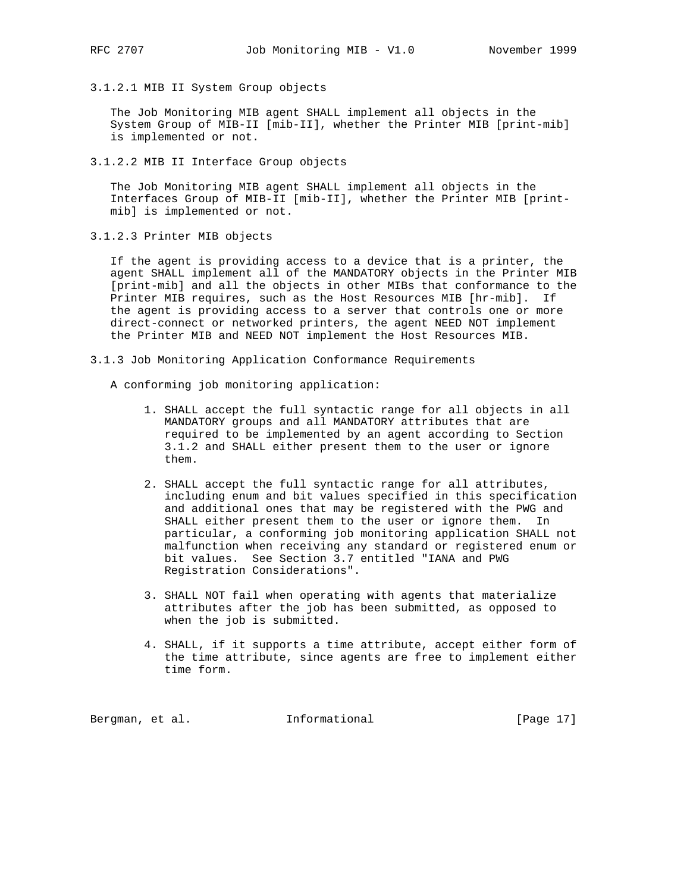3.1.2.1 MIB II System Group objects

 The Job Monitoring MIB agent SHALL implement all objects in the System Group of MIB-II [mib-II], whether the Printer MIB [print-mib] is implemented or not.

3.1.2.2 MIB II Interface Group objects

 The Job Monitoring MIB agent SHALL implement all objects in the Interfaces Group of MIB-II [mib-II], whether the Printer MIB [print mib] is implemented or not.

3.1.2.3 Printer MIB objects

 If the agent is providing access to a device that is a printer, the agent SHALL implement all of the MANDATORY objects in the Printer MIB [print-mib] and all the objects in other MIBs that conformance to the Printer MIB requires, such as the Host Resources MIB [hr-mib]. If the agent is providing access to a server that controls one or more direct-connect or networked printers, the agent NEED NOT implement the Printer MIB and NEED NOT implement the Host Resources MIB.

- 3.1.3 Job Monitoring Application Conformance Requirements
	- A conforming job monitoring application:
		- 1. SHALL accept the full syntactic range for all objects in all MANDATORY groups and all MANDATORY attributes that are required to be implemented by an agent according to Section 3.1.2 and SHALL either present them to the user or ignore them.
		- 2. SHALL accept the full syntactic range for all attributes, including enum and bit values specified in this specification and additional ones that may be registered with the PWG and SHALL either present them to the user or ignore them. In particular, a conforming job monitoring application SHALL not malfunction when receiving any standard or registered enum or bit values. See Section 3.7 entitled "IANA and PWG Registration Considerations".
		- 3. SHALL NOT fail when operating with agents that materialize attributes after the job has been submitted, as opposed to when the job is submitted.
		- 4. SHALL, if it supports a time attribute, accept either form of the time attribute, since agents are free to implement either time form.

Bergman, et al. 1nformational [Page 17]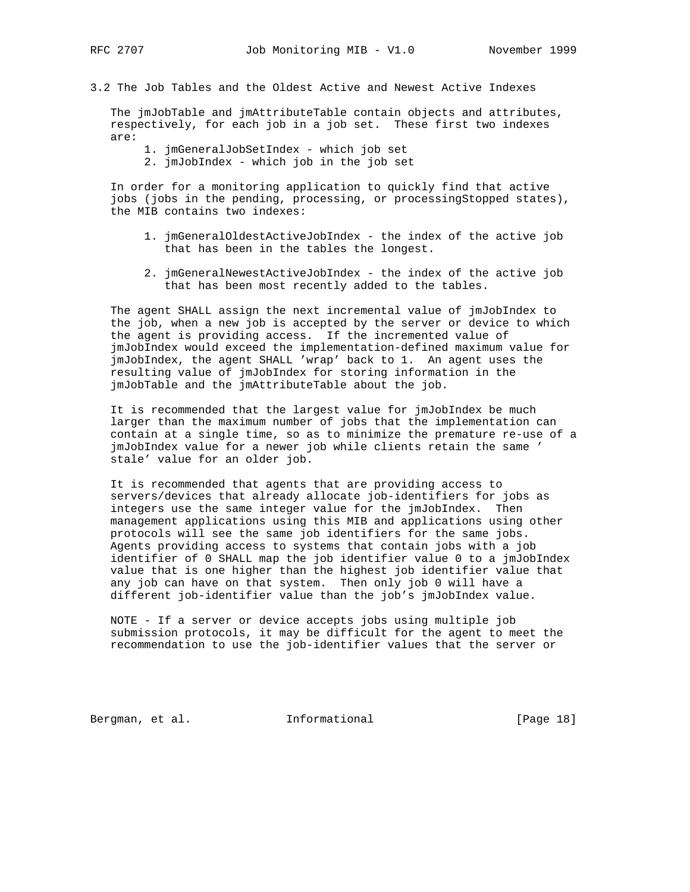- 
- 3.2 The Job Tables and the Oldest Active and Newest Active Indexes

 The jmJobTable and jmAttributeTable contain objects and attributes, respectively, for each job in a job set. These first two indexes are:

- 1. jmGeneralJobSetIndex which job set
- 2. jmJobIndex which job in the job set

 In order for a monitoring application to quickly find that active jobs (jobs in the pending, processing, or processingStopped states), the MIB contains two indexes:

- 1. jmGeneralOldestActiveJobIndex the index of the active job that has been in the tables the longest.
- 2. jmGeneralNewestActiveJobIndex the index of the active job that has been most recently added to the tables.

 The agent SHALL assign the next incremental value of jmJobIndex to the job, when a new job is accepted by the server or device to which the agent is providing access. If the incremented value of jmJobIndex would exceed the implementation-defined maximum value for jmJobIndex, the agent SHALL 'wrap' back to 1. An agent uses the resulting value of jmJobIndex for storing information in the jmJobTable and the jmAttributeTable about the job.

 It is recommended that the largest value for jmJobIndex be much larger than the maximum number of jobs that the implementation can contain at a single time, so as to minimize the premature re-use of a jmJobIndex value for a newer job while clients retain the same ' stale' value for an older job.

 It is recommended that agents that are providing access to servers/devices that already allocate job-identifiers for jobs as integers use the same integer value for the jmJobIndex. Then management applications using this MIB and applications using other protocols will see the same job identifiers for the same jobs. Agents providing access to systems that contain jobs with a job identifier of 0 SHALL map the job identifier value 0 to a jmJobIndex value that is one higher than the highest job identifier value that any job can have on that system. Then only job 0 will have a different job-identifier value than the job's jmJobIndex value.

 NOTE - If a server or device accepts jobs using multiple job submission protocols, it may be difficult for the agent to meet the recommendation to use the job-identifier values that the server or

Bergman, et al. **Informational** [Page 18]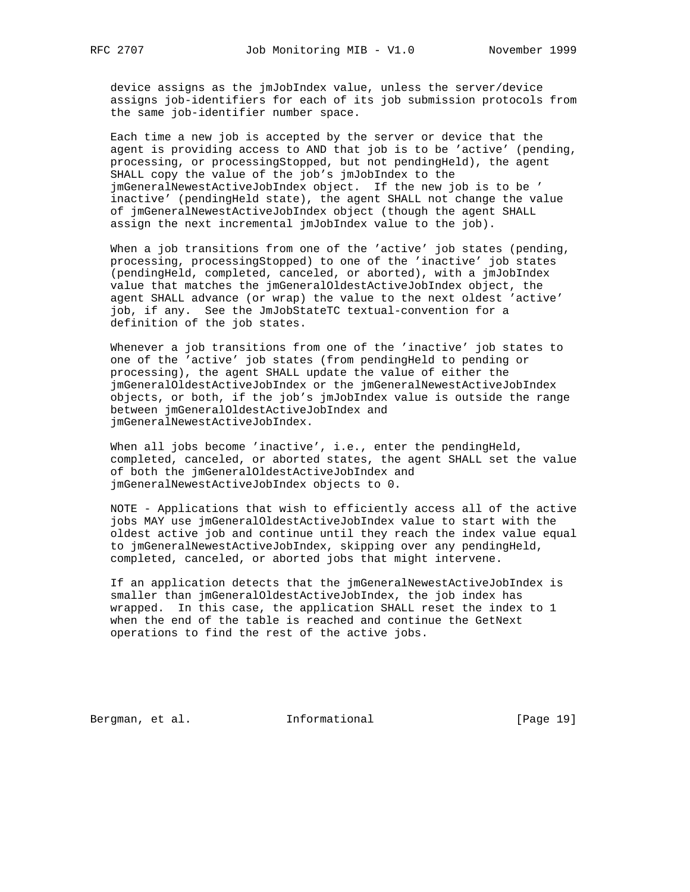device assigns as the jmJobIndex value, unless the server/device assigns job-identifiers for each of its job submission protocols from the same job-identifier number space.

 Each time a new job is accepted by the server or device that the agent is providing access to AND that job is to be 'active' (pending, processing, or processingStopped, but not pendingHeld), the agent SHALL copy the value of the job's jmJobIndex to the jmGeneralNewestActiveJobIndex object. If the new job is to be ' inactive' (pendingHeld state), the agent SHALL not change the value of jmGeneralNewestActiveJobIndex object (though the agent SHALL assign the next incremental jmJobIndex value to the job).

 When a job transitions from one of the 'active' job states (pending, processing, processingStopped) to one of the 'inactive' job states (pendingHeld, completed, canceled, or aborted), with a jmJobIndex value that matches the jmGeneralOldestActiveJobIndex object, the agent SHALL advance (or wrap) the value to the next oldest 'active' job, if any. See the JmJobStateTC textual-convention for a definition of the job states.

 Whenever a job transitions from one of the 'inactive' job states to one of the 'active' job states (from pendingHeld to pending or processing), the agent SHALL update the value of either the jmGeneralOldestActiveJobIndex or the jmGeneralNewestActiveJobIndex objects, or both, if the job's jmJobIndex value is outside the range between jmGeneralOldestActiveJobIndex and jmGeneralNewestActiveJobIndex.

When all jobs become 'inactive', i.e., enter the pendingHeld, completed, canceled, or aborted states, the agent SHALL set the value of both the jmGeneralOldestActiveJobIndex and jmGeneralNewestActiveJobIndex objects to 0.

 NOTE - Applications that wish to efficiently access all of the active jobs MAY use jmGeneralOldestActiveJobIndex value to start with the oldest active job and continue until they reach the index value equal to jmGeneralNewestActiveJobIndex, skipping over any pendingHeld, completed, canceled, or aborted jobs that might intervene.

 If an application detects that the jmGeneralNewestActiveJobIndex is smaller than jmGeneralOldestActiveJobIndex, the job index has wrapped. In this case, the application SHALL reset the index to 1 when the end of the table is reached and continue the GetNext operations to find the rest of the active jobs.

Bergman, et al. 1nformational [Page 19]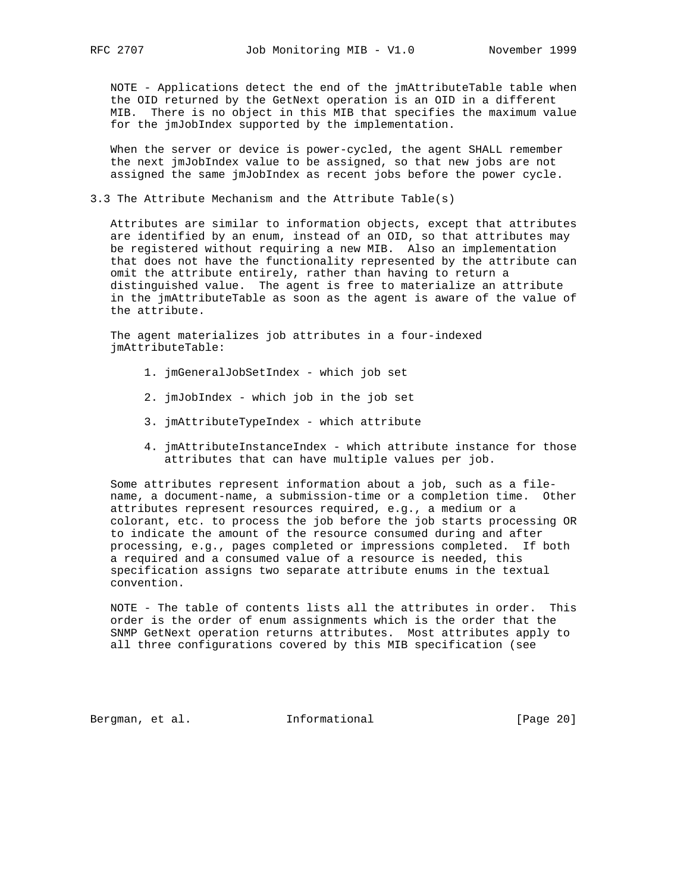NOTE - Applications detect the end of the jmAttributeTable table when the OID returned by the GetNext operation is an OID in a different MIB. There is no object in this MIB that specifies the maximum value for the jmJobIndex supported by the implementation.

 When the server or device is power-cycled, the agent SHALL remember the next jmJobIndex value to be assigned, so that new jobs are not assigned the same jmJobIndex as recent jobs before the power cycle.

# 3.3 The Attribute Mechanism and the Attribute Table(s)

 Attributes are similar to information objects, except that attributes are identified by an enum, instead of an OID, so that attributes may be registered without requiring a new MIB. Also an implementation that does not have the functionality represented by the attribute can omit the attribute entirely, rather than having to return a distinguished value. The agent is free to materialize an attribute in the jmAttributeTable as soon as the agent is aware of the value of the attribute.

 The agent materializes job attributes in a four-indexed jmAttributeTable:

- 1. jmGeneralJobSetIndex which job set
- 2. jmJobIndex which job in the job set
- 3. jmAttributeTypeIndex which attribute
- 4. jmAttributeInstanceIndex which attribute instance for those attributes that can have multiple values per job.

 Some attributes represent information about a job, such as a file name, a document-name, a submission-time or a completion time. Other attributes represent resources required, e.g., a medium or a colorant, etc. to process the job before the job starts processing OR to indicate the amount of the resource consumed during and after processing, e.g., pages completed or impressions completed. If both a required and a consumed value of a resource is needed, this specification assigns two separate attribute enums in the textual convention.

 NOTE - The table of contents lists all the attributes in order. This order is the order of enum assignments which is the order that the SNMP GetNext operation returns attributes. Most attributes apply to all three configurations covered by this MIB specification (see

Bergman, et al. **Informational** [Page 20]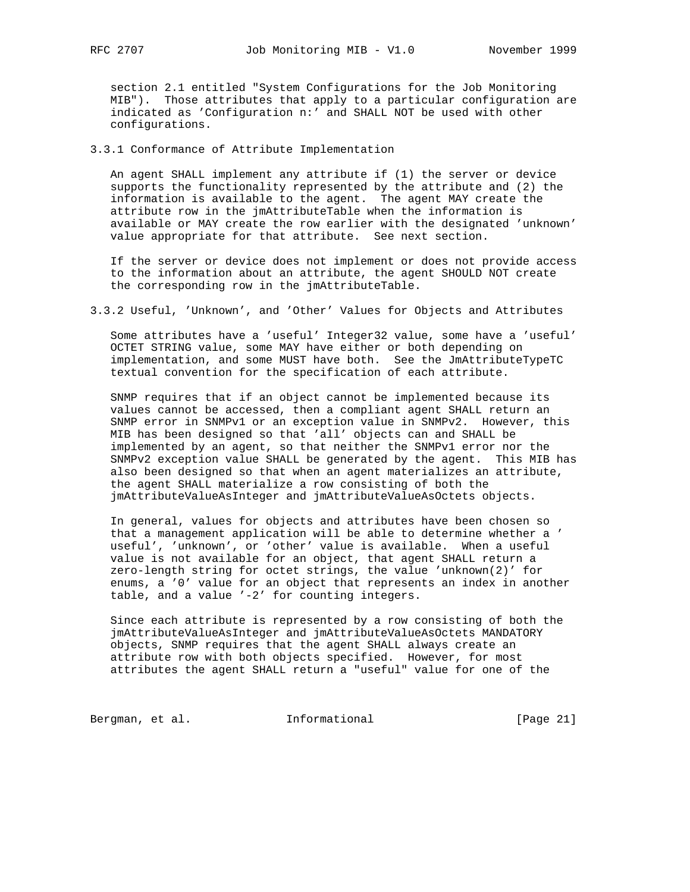section 2.1 entitled "System Configurations for the Job Monitoring MIB"). Those attributes that apply to a particular configuration are indicated as 'Configuration n:' and SHALL NOT be used with other configurations.

3.3.1 Conformance of Attribute Implementation

 An agent SHALL implement any attribute if (1) the server or device supports the functionality represented by the attribute and (2) the information is available to the agent. The agent MAY create the attribute row in the jmAttributeTable when the information is available or MAY create the row earlier with the designated 'unknown' value appropriate for that attribute. See next section.

 If the server or device does not implement or does not provide access to the information about an attribute, the agent SHOULD NOT create the corresponding row in the jmAttributeTable.

3.3.2 Useful, 'Unknown', and 'Other' Values for Objects and Attributes

 Some attributes have a 'useful' Integer32 value, some have a 'useful' OCTET STRING value, some MAY have either or both depending on implementation, and some MUST have both. See the JmAttributeTypeTC textual convention for the specification of each attribute.

 SNMP requires that if an object cannot be implemented because its values cannot be accessed, then a compliant agent SHALL return an SNMP error in SNMPv1 or an exception value in SNMPv2. However, this MIB has been designed so that 'all' objects can and SHALL be implemented by an agent, so that neither the SNMPv1 error nor the SNMPv2 exception value SHALL be generated by the agent. This MIB has also been designed so that when an agent materializes an attribute, the agent SHALL materialize a row consisting of both the jmAttributeValueAsInteger and jmAttributeValueAsOctets objects.

 In general, values for objects and attributes have been chosen so that a management application will be able to determine whether a ' useful', 'unknown', or 'other' value is available. When a useful value is not available for an object, that agent SHALL return a zero-length string for octet strings, the value 'unknown(2)' for enums, a '0' value for an object that represents an index in another table, and a value '-2' for counting integers.

 Since each attribute is represented by a row consisting of both the jmAttributeValueAsInteger and jmAttributeValueAsOctets MANDATORY objects, SNMP requires that the agent SHALL always create an attribute row with both objects specified. However, for most attributes the agent SHALL return a "useful" value for one of the

Bergman, et al. 1nformational [Page 21]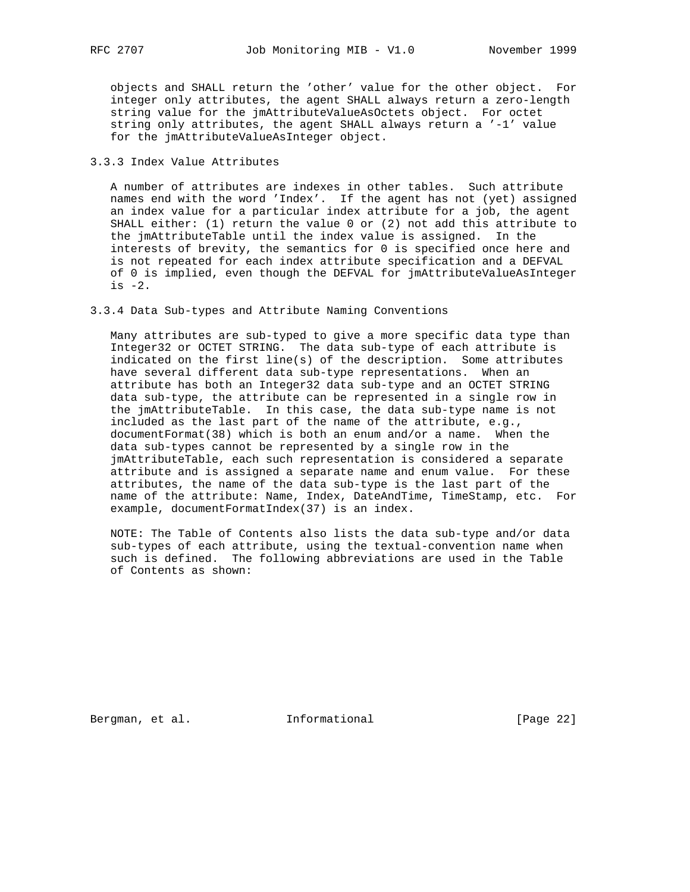objects and SHALL return the 'other' value for the other object. For integer only attributes, the agent SHALL always return a zero-length string value for the jmAttributeValueAsOctets object. For octet string only attributes, the agent SHALL always return a '-1' value for the jmAttributeValueAsInteger object.

# 3.3.3 Index Value Attributes

 A number of attributes are indexes in other tables. Such attribute names end with the word 'Index'. If the agent has not (yet) assigned an index value for a particular index attribute for a job, the agent SHALL either: (1) return the value 0 or (2) not add this attribute to the jmAttributeTable until the index value is assigned. In the interests of brevity, the semantics for 0 is specified once here and is not repeated for each index attribute specification and a DEFVAL of 0 is implied, even though the DEFVAL for jmAttributeValueAsInteger is  $-2$ .

# 3.3.4 Data Sub-types and Attribute Naming Conventions

 Many attributes are sub-typed to give a more specific data type than Integer32 or OCTET STRING. The data sub-type of each attribute is indicated on the first line(s) of the description. Some attributes have several different data sub-type representations. When an attribute has both an Integer32 data sub-type and an OCTET STRING data sub-type, the attribute can be represented in a single row in the jmAttributeTable. In this case, the data sub-type name is not included as the last part of the name of the attribute, e.g., documentFormat(38) which is both an enum and/or a name. When the data sub-types cannot be represented by a single row in the jmAttributeTable, each such representation is considered a separate attribute and is assigned a separate name and enum value. For these attributes, the name of the data sub-type is the last part of the name of the attribute: Name, Index, DateAndTime, TimeStamp, etc. For example, documentFormatIndex(37) is an index.

 NOTE: The Table of Contents also lists the data sub-type and/or data sub-types of each attribute, using the textual-convention name when such is defined. The following abbreviations are used in the Table of Contents as shown:

Bergman, et al. **Informational** [Page 22]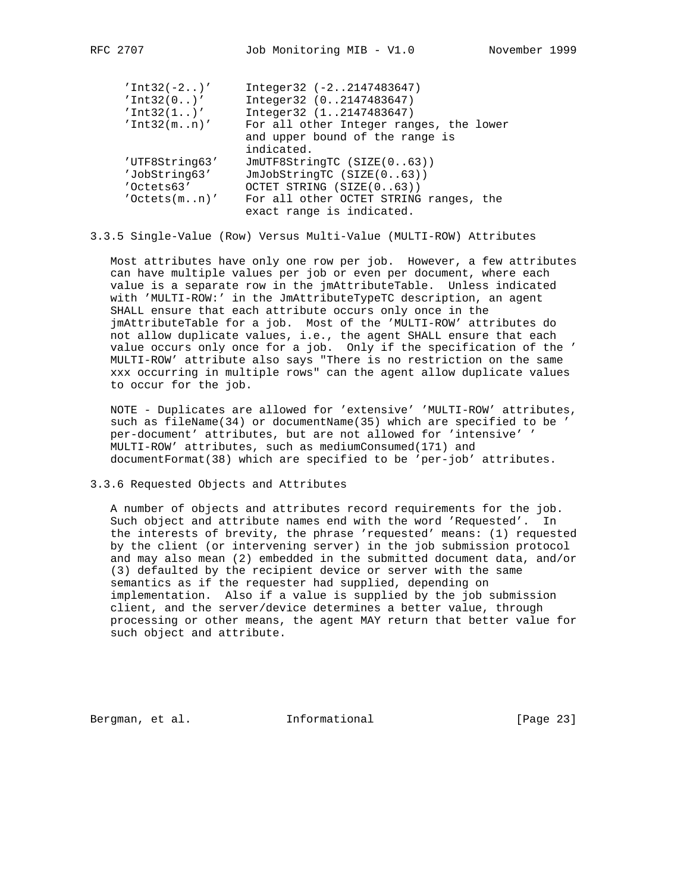| $'Int32(-2)$         | Integer32 (-22147483647)                |
|----------------------|-----------------------------------------|
| 'Int32(0)'           | Integer32 (02147483647)                 |
| 'Int32(1)'           | Integer32 (12147483647)                 |
| 'Int32(mn)'          | For all other Integer ranges, the lower |
|                      | and upper bound of the range is         |
|                      | indicated.                              |
| 'UTF8String63'       | JmUTF8StringTC (SIZE(063))              |
| 'JobString63'        | JmJobStringTC (SIZE(063))               |
| 'Octets63'           | OCTET STRING (SIZE(063))                |
| $'$ Octets $(m, n)'$ | For all other OCTET STRING ranges, the  |
|                      | exact range is indicated.               |
|                      |                                         |

# 3.3.5 Single-Value (Row) Versus Multi-Value (MULTI-ROW) Attributes

 Most attributes have only one row per job. However, a few attributes can have multiple values per job or even per document, where each value is a separate row in the jmAttributeTable. Unless indicated with 'MULTI-ROW:' in the JmAttributeTypeTC description, an agent SHALL ensure that each attribute occurs only once in the jmAttributeTable for a job. Most of the 'MULTI-ROW' attributes do not allow duplicate values, i.e., the agent SHALL ensure that each value occurs only once for a job. Only if the specification of the ' MULTI-ROW' attribute also says "There is no restriction on the same xxx occurring in multiple rows" can the agent allow duplicate values to occur for the job.

 NOTE - Duplicates are allowed for 'extensive' 'MULTI-ROW' attributes, such as fileName(34) or documentName(35) which are specified to be ' per-document' attributes, but are not allowed for 'intensive' ' MULTI-ROW' attributes, such as mediumConsumed(171) and documentFormat(38) which are specified to be 'per-job' attributes.

3.3.6 Requested Objects and Attributes

 A number of objects and attributes record requirements for the job. Such object and attribute names end with the word 'Requested'. In the interests of brevity, the phrase 'requested' means: (1) requested by the client (or intervening server) in the job submission protocol and may also mean (2) embedded in the submitted document data, and/or (3) defaulted by the recipient device or server with the same semantics as if the requester had supplied, depending on implementation. Also if a value is supplied by the job submission client, and the server/device determines a better value, through processing or other means, the agent MAY return that better value for such object and attribute.

Bergman, et al. **Informational** [Page 23]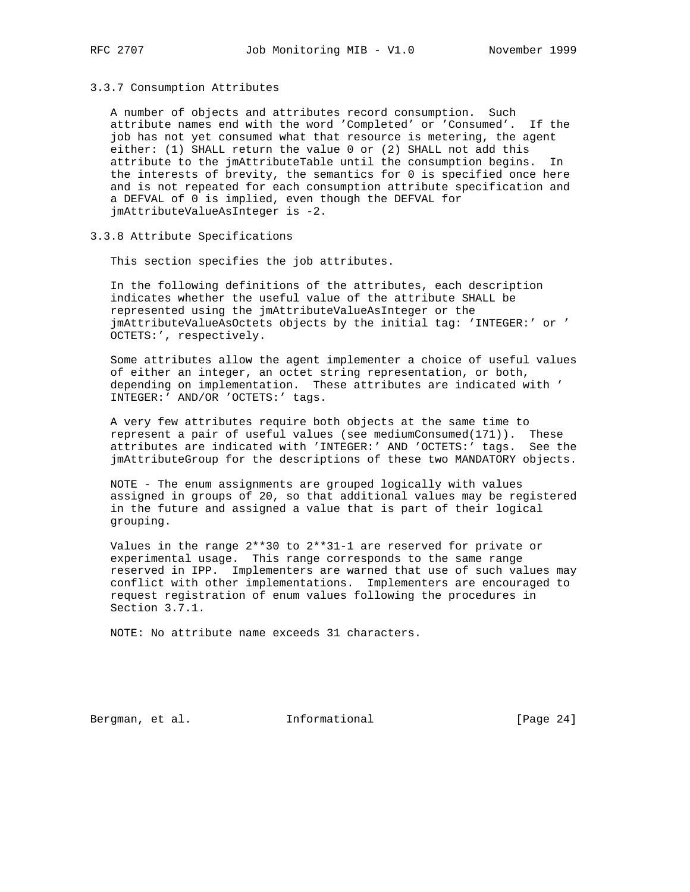### 3.3.7 Consumption Attributes

 A number of objects and attributes record consumption. Such attribute names end with the word 'Completed' or 'Consumed'. If the job has not yet consumed what that resource is metering, the agent either: (1) SHALL return the value 0 or (2) SHALL not add this attribute to the jmAttributeTable until the consumption begins. In the interests of brevity, the semantics for 0 is specified once here and is not repeated for each consumption attribute specification and a DEFVAL of 0 is implied, even though the DEFVAL for jmAttributeValueAsInteger is -2.

# 3.3.8 Attribute Specifications

This section specifies the job attributes.

 In the following definitions of the attributes, each description indicates whether the useful value of the attribute SHALL be represented using the jmAttributeValueAsInteger or the jmAttributeValueAsOctets objects by the initial tag: 'INTEGER:' or ' OCTETS:', respectively.

 Some attributes allow the agent implementer a choice of useful values of either an integer, an octet string representation, or both, depending on implementation. These attributes are indicated with ' INTEGER:' AND/OR 'OCTETS:' tags.

 A very few attributes require both objects at the same time to represent a pair of useful values (see mediumConsumed(171)). These attributes are indicated with 'INTEGER:' AND 'OCTETS:' tags. See the jmAttributeGroup for the descriptions of these two MANDATORY objects.

 NOTE - The enum assignments are grouped logically with values assigned in groups of 20, so that additional values may be registered in the future and assigned a value that is part of their logical grouping.

 Values in the range 2\*\*30 to 2\*\*31-1 are reserved for private or experimental usage. This range corresponds to the same range reserved in IPP. Implementers are warned that use of such values may conflict with other implementations. Implementers are encouraged to request registration of enum values following the procedures in Section 3.7.1.

NOTE: No attribute name exceeds 31 characters.

Bergman, et al. **Informational** [Page 24]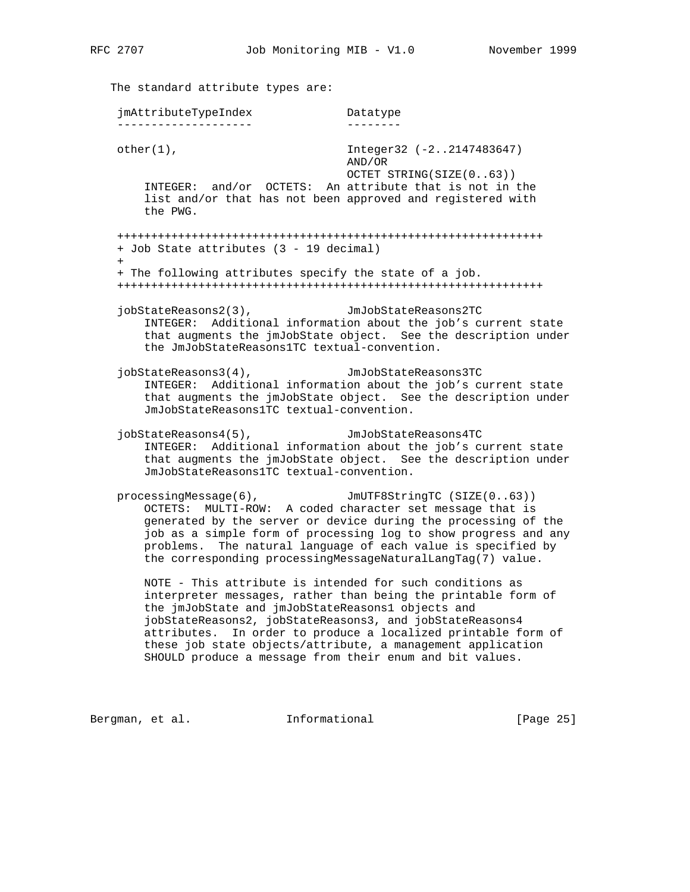| jmAttributeTypeIndex                                                                                                                                                                                                                                 | Datatype                                                                                                                                                                                                                                                                                                                                           |  |
|------------------------------------------------------------------------------------------------------------------------------------------------------------------------------------------------------------------------------------------------------|----------------------------------------------------------------------------------------------------------------------------------------------------------------------------------------------------------------------------------------------------------------------------------------------------------------------------------------------------|--|
| $other(1)$ ,                                                                                                                                                                                                                                         | Integer32 (-22147483647)<br>AND/OR                                                                                                                                                                                                                                                                                                                 |  |
| the PWG.                                                                                                                                                                                                                                             | OCTET STRING(SIZE(063))<br>INTEGER: and/or OCTETS: An attribute that is not in the<br>list and/or that has not been approved and registered with                                                                                                                                                                                                   |  |
| + Job State attributes (3 - 19 decimal)<br>$+$                                                                                                                                                                                                       |                                                                                                                                                                                                                                                                                                                                                    |  |
| + The following attributes specify the state of a job.                                                                                                                                                                                               |                                                                                                                                                                                                                                                                                                                                                    |  |
| jobStateReasons2(3),<br>the JmJobStateReasons1TC textual-convention.                                                                                                                                                                                 | JmJobStateReasons2TC<br>INTEGER: Additional information about the job's current state<br>that augments the jmJobState object. See the description under                                                                                                                                                                                            |  |
| $jobStateReasons3(4)$ ,<br>JmJobStateReasons1TC textual-convention.                                                                                                                                                                                  | JmJobStateReasons3TC<br>INTEGER: Additional information about the job's current state<br>that augments the jmJobState object. See the description under                                                                                                                                                                                            |  |
| $jobStateReasons4(5)$ ,<br>JmJobStateReasons1TC textual-convention.                                                                                                                                                                                  | JmJobStateReasons4TC<br>INTEGER: Additional information about the job's current state<br>that augments the jmJobState object. See the description under                                                                                                                                                                                            |  |
| processingMessage(6),<br>OCTETS:                                                                                                                                                                                                                     | JmUTF8StringTC (SIZE(063))<br>MULTI-ROW: A coded character set message that is<br>generated by the server or device during the processing of the<br>job as a simple form of processing log to show progress and any<br>problems. The natural language of each value is specified by<br>the corresponding processingMessageNaturalLangTag(7) value. |  |
| NOTE - This attribute is intended for such conditions as<br>the jmJobState and jmJobStateReasons1 objects and<br>jobStateReasons2, jobStateReasons3, and jobStateReasons4<br>attributes.<br>SHOULD produce a message from their enum and bit values. | interpreter messages, rather than being the printable form of<br>In order to produce a localized printable form of<br>these job state objects/attribute, a management application                                                                                                                                                                  |  |

Bergman, et al. 1nformational 1999 [Page 25]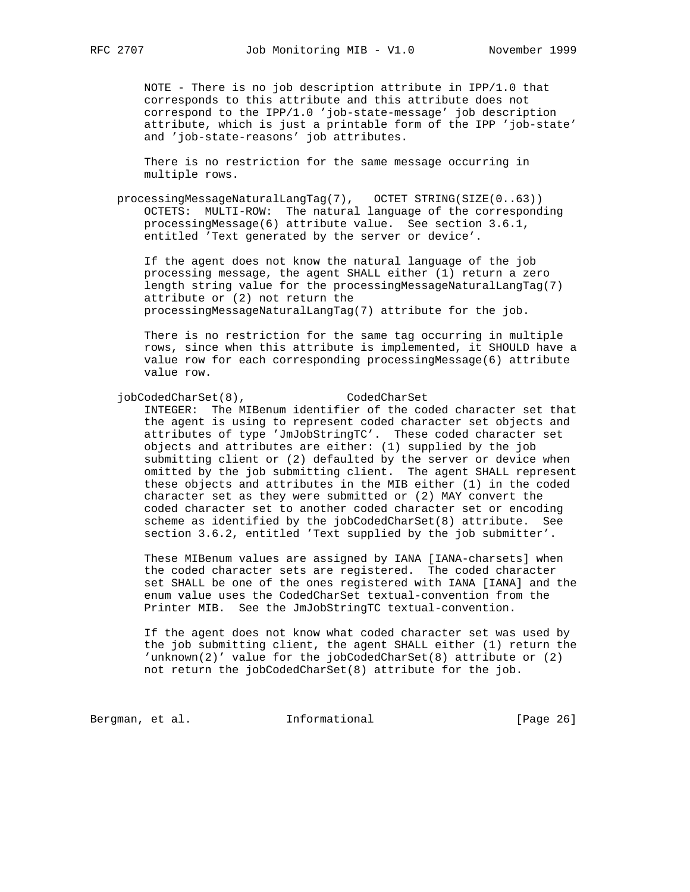NOTE - There is no job description attribute in IPP/1.0 that corresponds to this attribute and this attribute does not correspond to the IPP/1.0 'job-state-message' job description attribute, which is just a printable form of the IPP 'job-state' and 'job-state-reasons' job attributes.

 There is no restriction for the same message occurring in multiple rows.

 processingMessageNaturalLangTag(7), OCTET STRING(SIZE(0..63)) OCTETS: MULTI-ROW: The natural language of the corresponding processingMessage(6) attribute value. See section 3.6.1, entitled 'Text generated by the server or device'.

 If the agent does not know the natural language of the job processing message, the agent SHALL either (1) return a zero length string value for the processingMessageNaturalLangTag(7) attribute or (2) not return the processingMessageNaturalLangTag(7) attribute for the job.

 There is no restriction for the same tag occurring in multiple rows, since when this attribute is implemented, it SHOULD have a value row for each corresponding processingMessage(6) attribute value row.

 jobCodedCharSet(8), CodedCharSet INTEGER: The MIBenum identifier of the coded character set that the agent is using to represent coded character set objects and attributes of type 'JmJobStringTC'. These coded character set objects and attributes are either: (1) supplied by the job submitting client or (2) defaulted by the server or device when omitted by the job submitting client. The agent SHALL represent these objects and attributes in the MIB either (1) in the coded character set as they were submitted or (2) MAY convert the coded character set to another coded character set or encoding scheme as identified by the jobCodedCharSet(8) attribute. See section 3.6.2, entitled 'Text supplied by the job submitter'.

> These MIBenum values are assigned by IANA [IANA-charsets] when the coded character sets are registered. The coded character set SHALL be one of the ones registered with IANA [IANA] and the enum value uses the CodedCharSet textual-convention from the Printer MIB. See the JmJobStringTC textual-convention.

> If the agent does not know what coded character set was used by the job submitting client, the agent SHALL either (1) return the 'unknown(2)' value for the jobCodedCharSet(8) attribute or (2) not return the jobCodedCharSet(8) attribute for the job.

Bergman, et al. 1nformational [Page 26]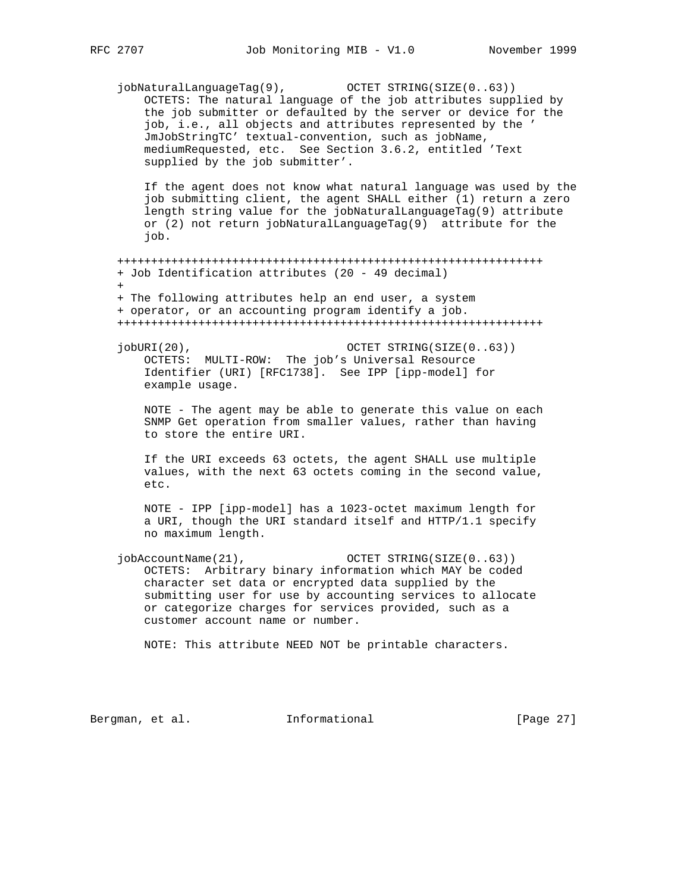jobNaturalLanguageTag(9), OCTET STRING(SIZE(0..63)) OCTETS: The natural language of the job attributes supplied by the job submitter or defaulted by the server or device for the job, i.e., all objects and attributes represented by the ' JmJobStringTC' textual-convention, such as jobName, mediumRequested, etc. See Section 3.6.2, entitled 'Text supplied by the job submitter'. If the agent does not know what natural language was used by the job submitting client, the agent SHALL either (1) return a zero length string value for the jobNaturalLanguageTag(9) attribute or (2) not return jobNaturalLanguageTag(9) attribute for the job. +++++++++++++++++++++++++++++++++++++++++++++++++++++++++++++++ + Job Identification attributes (20 - 49 decimal)  $+$  + The following attributes help an end user, a system + operator, or an accounting program identify a job. +++++++++++++++++++++++++++++++++++++++++++++++++++++++++++++++ jobURI(20),  $OCTET STRING(SIZE(0..63))$  OCTETS: MULTI-ROW: The job's Universal Resource Identifier (URI) [RFC1738]. See IPP [ipp-model] for example usage. NOTE - The agent may be able to generate this value on each SNMP Get operation from smaller values, rather than having to store the entire URI. If the URI exceeds 63 octets, the agent SHALL use multiple values, with the next 63 octets coming in the second value, etc. NOTE - IPP [ipp-model] has a 1023-octet maximum length for a URI, though the URI standard itself and HTTP/1.1 specify no maximum length. jobAccountName(21), OCTET STRING(SIZE(0..63)) OCTETS: Arbitrary binary information which MAY be coded character set data or encrypted data supplied by the submitting user for use by accounting services to allocate or categorize charges for services provided, such as a customer account name or number. NOTE: This attribute NEED NOT be printable characters.

Bergman, et al. **Informational** [Page 27]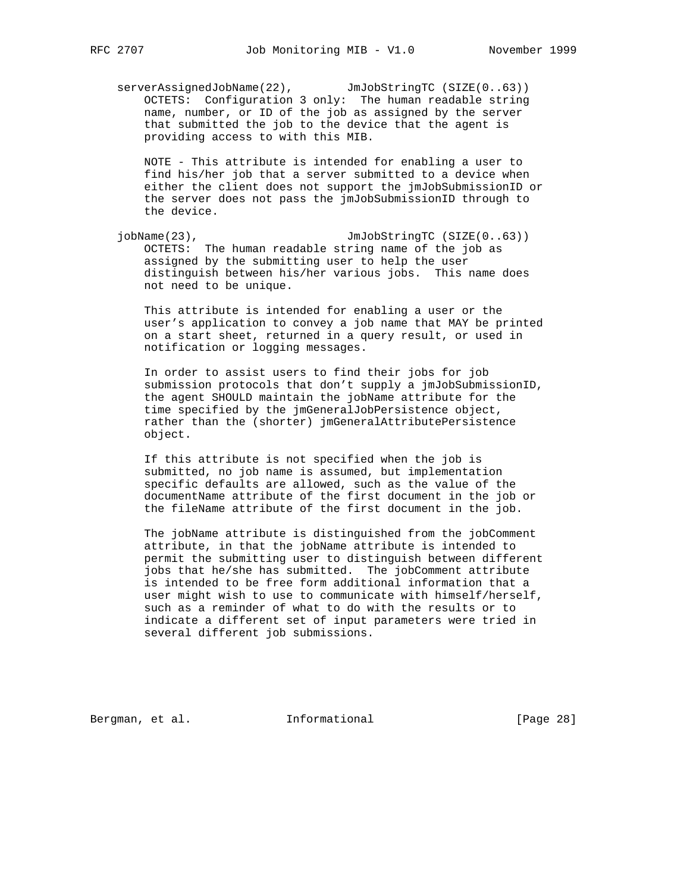serverAssignedJobName(22), JmJobStringTC (SIZE(0..63)) OCTETS: Configuration 3 only: The human readable string name, number, or ID of the job as assigned by the server that submitted the job to the device that the agent is providing access to with this MIB.

 NOTE - This attribute is intended for enabling a user to find his/her job that a server submitted to a device when either the client does not support the jmJobSubmissionID or the server does not pass the jmJobSubmissionID through to the device.

 jobName(23), JmJobStringTC (SIZE(0..63)) OCTETS: The human readable string name of the job as assigned by the submitting user to help the user distinguish between his/her various jobs. This name does not need to be unique.

 This attribute is intended for enabling a user or the user's application to convey a job name that MAY be printed on a start sheet, returned in a query result, or used in notification or logging messages.

 In order to assist users to find their jobs for job submission protocols that don't supply a jmJobSubmissionID, the agent SHOULD maintain the jobName attribute for the time specified by the jmGeneralJobPersistence object, rather than the (shorter) jmGeneralAttributePersistence object.

 If this attribute is not specified when the job is submitted, no job name is assumed, but implementation specific defaults are allowed, such as the value of the documentName attribute of the first document in the job or the fileName attribute of the first document in the job.

 The jobName attribute is distinguished from the jobComment attribute, in that the jobName attribute is intended to permit the submitting user to distinguish between different jobs that he/she has submitted. The jobComment attribute is intended to be free form additional information that a user might wish to use to communicate with himself/herself, such as a reminder of what to do with the results or to indicate a different set of input parameters were tried in several different job submissions.

Bergman, et al. **Informational** [Page 28]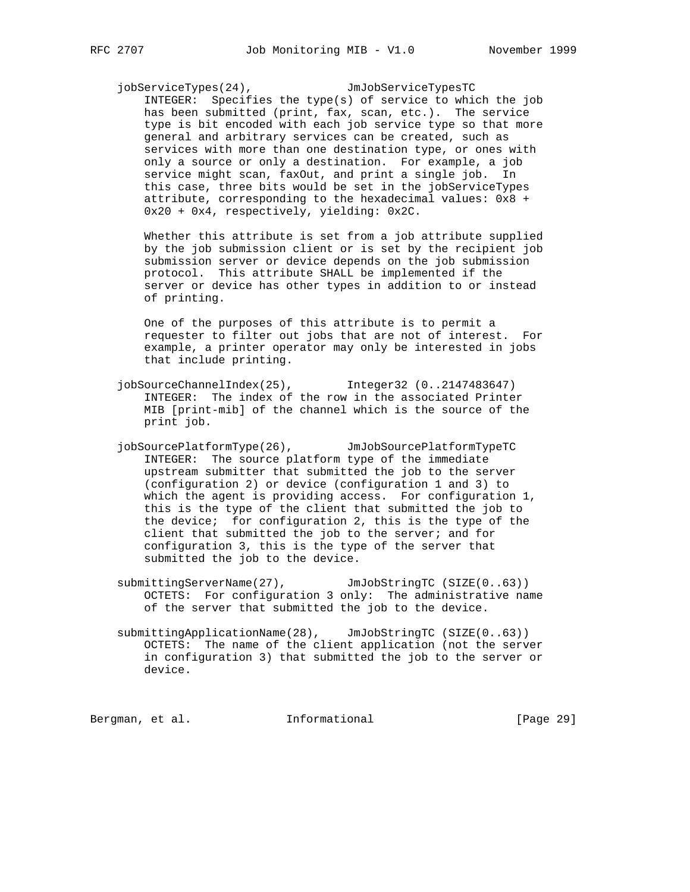jobServiceTypes(24), JmJobServiceTypesTC

 INTEGER: Specifies the type(s) of service to which the job has been submitted (print, fax, scan, etc.). The service type is bit encoded with each job service type so that more general and arbitrary services can be created, such as services with more than one destination type, or ones with only a source or only a destination. For example, a job service might scan, faxOut, and print a single job. In this case, three bits would be set in the jobServiceTypes attribute, corresponding to the hexadecimal values: 0x8 + 0x20 + 0x4, respectively, yielding: 0x2C.

 Whether this attribute is set from a job attribute supplied by the job submission client or is set by the recipient job submission server or device depends on the job submission protocol. This attribute SHALL be implemented if the server or device has other types in addition to or instead of printing.

 One of the purposes of this attribute is to permit a requester to filter out jobs that are not of interest. For example, a printer operator may only be interested in jobs that include printing.

- jobSourceChannelIndex(25), Integer32 (0..2147483647) INTEGER: The index of the row in the associated Printer MIB [print-mib] of the channel which is the source of the print job.
- jobSourcePlatformType(26), JmJobSourcePlatformTypeTC INTEGER: The source platform type of the immediate upstream submitter that submitted the job to the server (configuration 2) or device (configuration 1 and 3) to which the agent is providing access. For configuration 1, this is the type of the client that submitted the job to the device; for configuration 2, this is the type of the client that submitted the job to the server; and for configuration 3, this is the type of the server that submitted the job to the device.
- submittingServerName(27), JmJobStringTC (SIZE(0..63)) OCTETS: For configuration 3 only: The administrative name of the server that submitted the job to the device.
- submittingApplicationName(28), JmJobStringTC (SIZE(0..63)) OCTETS: The name of the client application (not the server in configuration 3) that submitted the job to the server or device.

Bergman, et al. **Informational** [Page 29]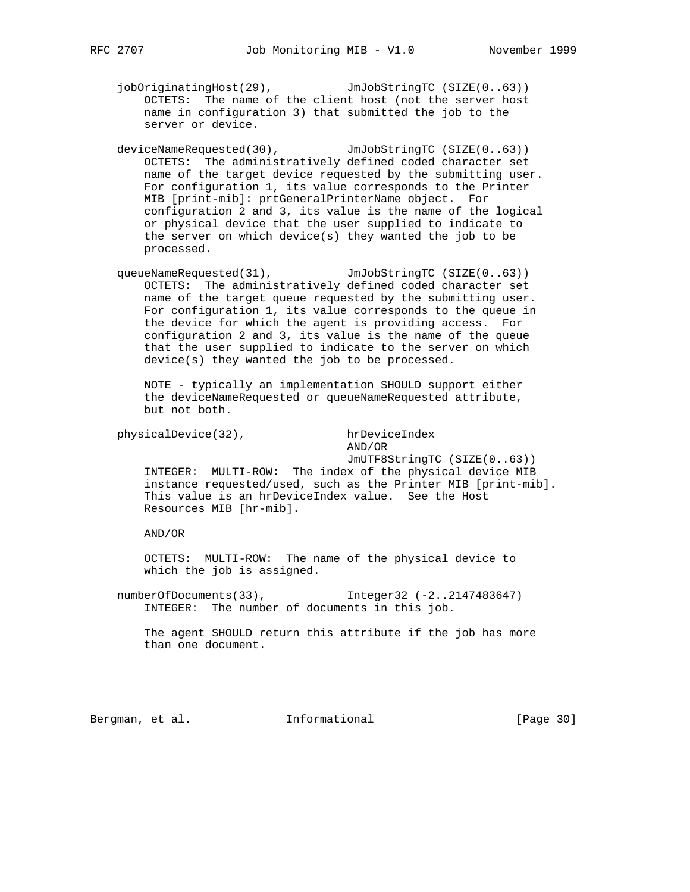jobOriginatingHost(29), JmJobStringTC (SIZE(0..63)) OCTETS: The name of the client host (not the server host name in configuration 3) that submitted the job to the server or device.

- deviceNameRequested(30), JmJobStringTC (SIZE(0..63)) OCTETS: The administratively defined coded character set name of the target device requested by the submitting user. For configuration 1, its value corresponds to the Printer MIB [print-mib]: prtGeneralPrinterName object. For configuration 2 and 3, its value is the name of the logical or physical device that the user supplied to indicate to the server on which device(s) they wanted the job to be processed.
- queueNameRequested(31), JmJobStringTC (SIZE(0..63)) OCTETS: The administratively defined coded character set name of the target queue requested by the submitting user. For configuration 1, its value corresponds to the queue in the device for which the agent is providing access. For configuration 2 and 3, its value is the name of the queue that the user supplied to indicate to the server on which device(s) they wanted the job to be processed.

 NOTE - typically an implementation SHOULD support either the deviceNameRequested or queueNameRequested attribute, but not both.

physicalDevice(32), hrDeviceIndex

AND/OR

 JmUTF8StringTC (SIZE(0..63)) INTEGER: MULTI-ROW: The index of the physical device MIB instance requested/used, such as the Printer MIB [print-mib]. This value is an hrDeviceIndex value. See the Host Resources MIB [hr-mib].

AND/OR

 OCTETS: MULTI-ROW: The name of the physical device to which the job is assigned.

numberOfDocuments(33), Integer32 (-2..2147483647) INTEGER: The number of documents in this job.

 The agent SHOULD return this attribute if the job has more than one document.

Bergman, et al. **Informational** [Page 30]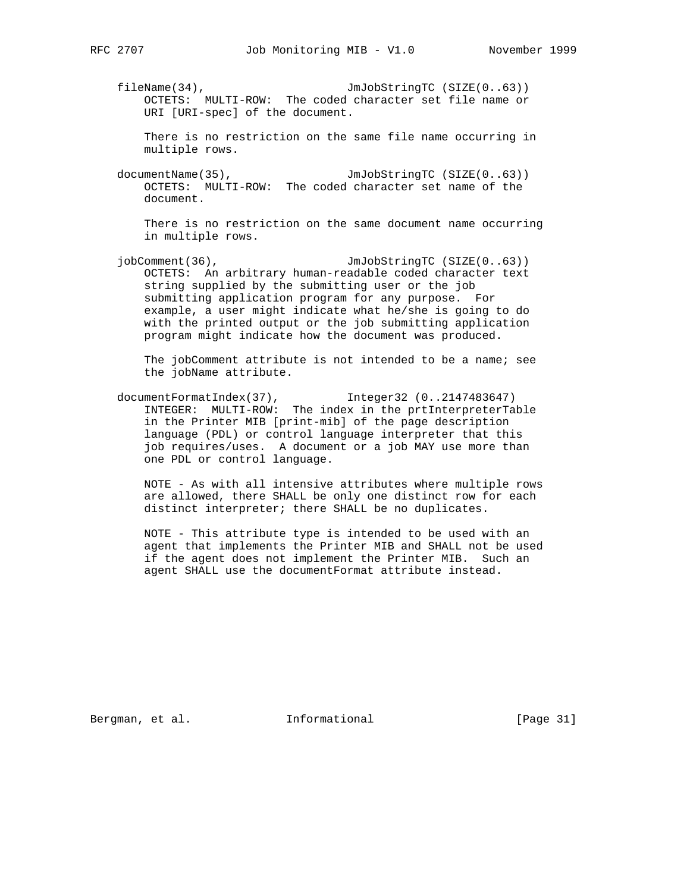fileName(34), JmJobStringTC (SIZE(0..63)) OCTETS: MULTI-ROW: The coded character set file name or URI [URI-spec] of the document.

 There is no restriction on the same file name occurring in multiple rows.

documentName(35), JmJobStringTC (SIZE(0..63)) OCTETS: MULTI-ROW: The coded character set name of the document.

 There is no restriction on the same document name occurring in multiple rows.

jobComment(36), JmJobStringTC (SIZE(0..63)) OCTETS: An arbitrary human-readable coded character text string supplied by the submitting user or the job submitting application program for any purpose. For example, a user might indicate what he/she is going to do with the printed output or the job submitting application program might indicate how the document was produced.

 The jobComment attribute is not intended to be a name; see the jobName attribute.

 documentFormatIndex(37), Integer32 (0..2147483647) INTEGER: MULTI-ROW: The index in the prtInterpreterTable in the Printer MIB [print-mib] of the page description language (PDL) or control language interpreter that this job requires/uses. A document or a job MAY use more than one PDL or control language.

 NOTE - As with all intensive attributes where multiple rows are allowed, there SHALL be only one distinct row for each distinct interpreter; there SHALL be no duplicates.

 NOTE - This attribute type is intended to be used with an agent that implements the Printer MIB and SHALL not be used if the agent does not implement the Printer MIB. Such an agent SHALL use the documentFormat attribute instead.

Bergman, et al. **Informational** [Page 31]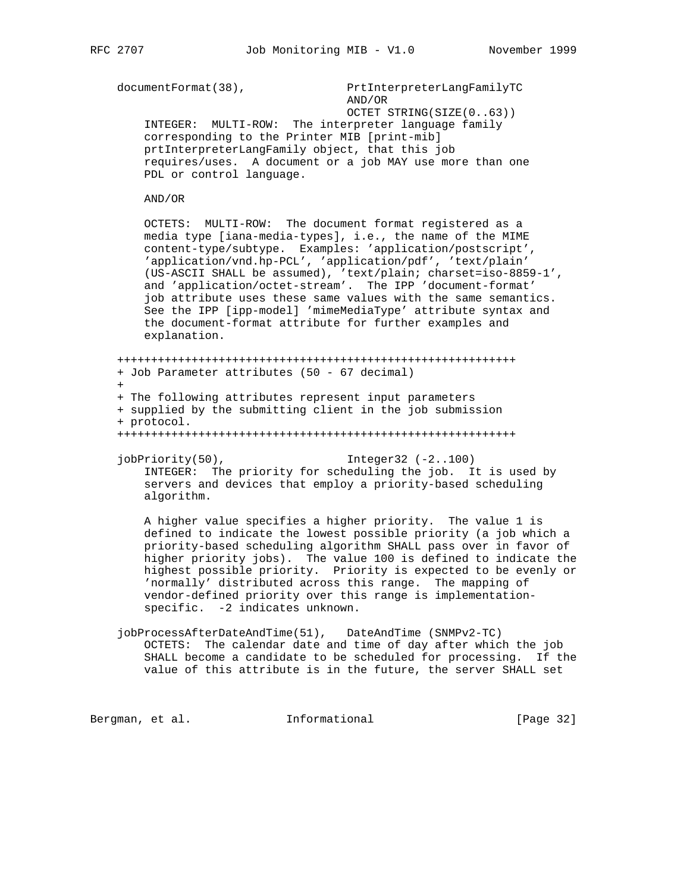```
documentFormat(38), PrtInterpreterLangFamilyTC
```
 AND/OR OCTET STRING(SIZE(0..63)) INTEGER: MULTI-ROW: The interpreter language family corresponding to the Printer MIB [print-mib] prtInterpreterLangFamily object, that this job requires/uses. A document or a job MAY use more than one PDL or control language.

```
 AND/OR
```
 OCTETS: MULTI-ROW: The document format registered as a media type [iana-media-types], i.e., the name of the MIME content-type/subtype. Examples: 'application/postscript', 'application/vnd.hp-PCL', 'application/pdf', 'text/plain' (US-ASCII SHALL be assumed), 'text/plain; charset=iso-8859-1', and 'application/octet-stream'. The IPP 'document-format' job attribute uses these same values with the same semantics. See the IPP [ipp-model] 'mimeMediaType' attribute syntax and the document-format attribute for further examples and explanation.

```
 +++++++++++++++++++++++++++++++++++++++++++++++++++++++++++
    + Job Parameter attributes (50 - 67 decimal)
+
```
 + The following attributes represent input parameters + supplied by the submitting client in the job submission + protocol.

```
 +++++++++++++++++++++++++++++++++++++++++++++++++++++++++++
```
jobPriority(50), Integer32 (-2..100) INTEGER: The priority for scheduling the job. It is used by servers and devices that employ a priority-based scheduling algorithm.

 A higher value specifies a higher priority. The value 1 is defined to indicate the lowest possible priority (a job which a priority-based scheduling algorithm SHALL pass over in favor of higher priority jobs). The value 100 is defined to indicate the highest possible priority. Priority is expected to be evenly or 'normally' distributed across this range. The mapping of vendor-defined priority over this range is implementation specific. -2 indicates unknown.

 jobProcessAfterDateAndTime(51), DateAndTime (SNMPv2-TC) OCTETS: The calendar date and time of day after which the job SHALL become a candidate to be scheduled for processing. If the value of this attribute is in the future, the server SHALL set

Bergman, et al. 1nformational 1999 [Page 32]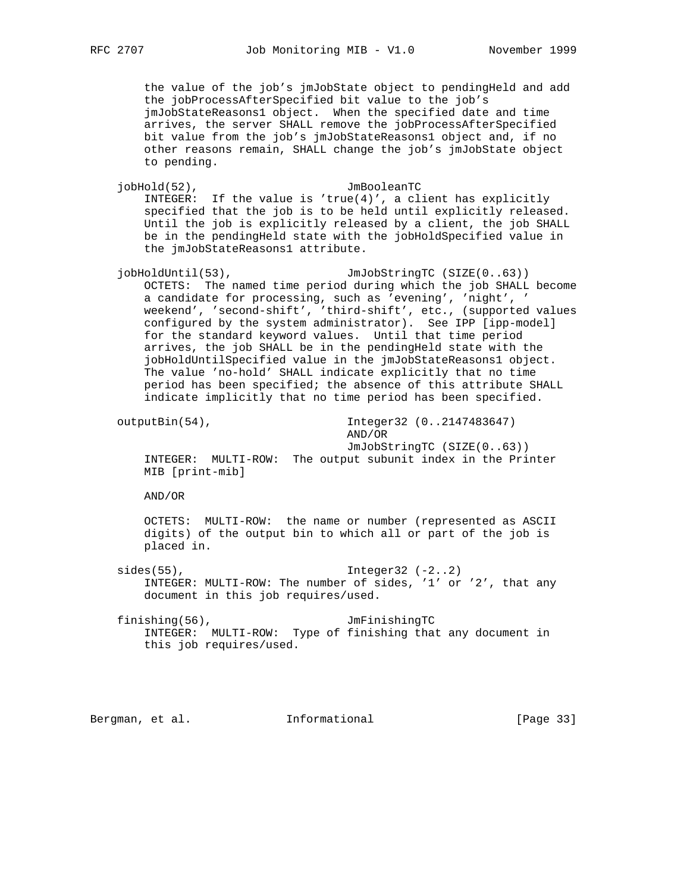the value of the job's jmJobState object to pendingHeld and add the jobProcessAfterSpecified bit value to the job's jmJobStateReasons1 object. When the specified date and time arrives, the server SHALL remove the jobProcessAfterSpecified bit value from the job's jmJobStateReasons1 object and, if no other reasons remain, SHALL change the job's jmJobState object to pending.

 jobHold(52), JmBooleanTC INTEGER: If the value is  $'true(4)'$ , a client has explicitly specified that the job is to be held until explicitly released. Until the job is explicitly released by a client, the job SHALL be in the pendingHeld state with the jobHoldSpecified value in the jmJobStateReasons1 attribute.

jobHoldUntil(53), JmJobStringTC (SIZE(0..63)) OCTETS: The named time period during which the job SHALL become a candidate for processing, such as 'evening', 'night', ' weekend', 'second-shift', 'third-shift', etc., (supported values configured by the system administrator). See IPP [ipp-model] for the standard keyword values. Until that time period arrives, the job SHALL be in the pendingHeld state with the jobHoldUntilSpecified value in the jmJobStateReasons1 object. The value 'no-hold' SHALL indicate explicitly that no time period has been specified; the absence of this attribute SHALL indicate implicitly that no time period has been specified.

 outputBin(54), Integer32 (0..2147483647) AND/OR

 JmJobStringTC (SIZE(0..63)) INTEGER: MULTI-ROW: The output subunit index in the Printer MIB [print-mib]

AND/OR

 OCTETS: MULTI-ROW: the name or number (represented as ASCII digits) of the output bin to which all or part of the job is placed in.

sides(55), Integer32 (-2..2) INTEGER: MULTI-ROW: The number of sides, '1' or '2', that any document in this job requires/used.

 finishing(56), JmFinishingTC INTEGER: MULTI-ROW: Type of finishing that any document in this job requires/used.

Bergman, et al. **Informational** [Page 33]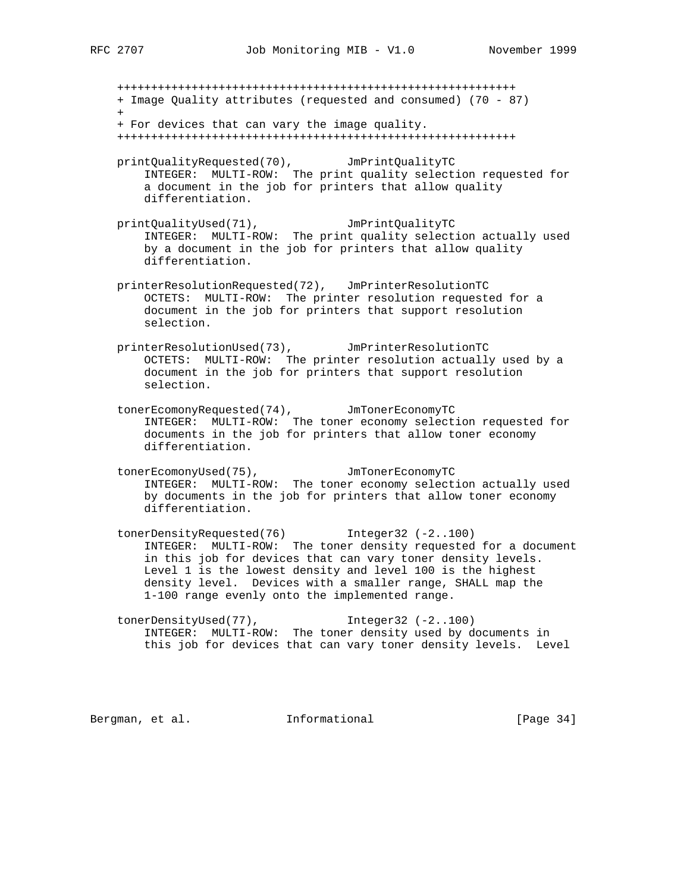+++++++++++++++++++++++++++++++++++++++++++++++++++++++++++ + Image Quality attributes (requested and consumed) (70 - 87)  $+$  + For devices that can vary the image quality. +++++++++++++++++++++++++++++++++++++++++++++++++++++++++++ printQualityRequested(70), JmPrintQualityTC INTEGER: MULTI-ROW: The print quality selection requested for a document in the job for printers that allow quality differentiation. printQualityUsed(71), JmPrintQualityTC INTEGER: MULTI-ROW: The print quality selection actually used by a document in the job for printers that allow quality differentiation. printerResolutionRequested(72), JmPrinterResolutionTC OCTETS: MULTI-ROW: The printer resolution requested for a document in the job for printers that support resolution selection. printerResolutionUsed(73), JmPrinterResolutionTC OCTETS: MULTI-ROW: The printer resolution actually used by a document in the job for printers that support resolution selection. tonerEcomonyRequested(74), JmTonerEconomyTC INTEGER: MULTI-ROW: The toner economy selection requested for documents in the job for printers that allow toner economy differentiation. tonerEcomonyUsed(75), JmTonerEconomyTC INTEGER: MULTI-ROW: The toner economy selection actually used by documents in the job for printers that allow toner economy differentiation. tonerDensityRequested(76) Integer32 (-2..100) INTEGER: MULTI-ROW: The toner density requested for a document in this job for devices that can vary toner density levels. Level 1 is the lowest density and level 100 is the highest density level. Devices with a smaller range, SHALL map the 1-100 range evenly onto the implemented range. tonerDensityUsed(77), Integer32 (-2..100) INTEGER: MULTI-ROW: The toner density used by documents in this job for devices that can vary toner density levels. Level Bergman, et al. 1nformational 1999 [Page 34]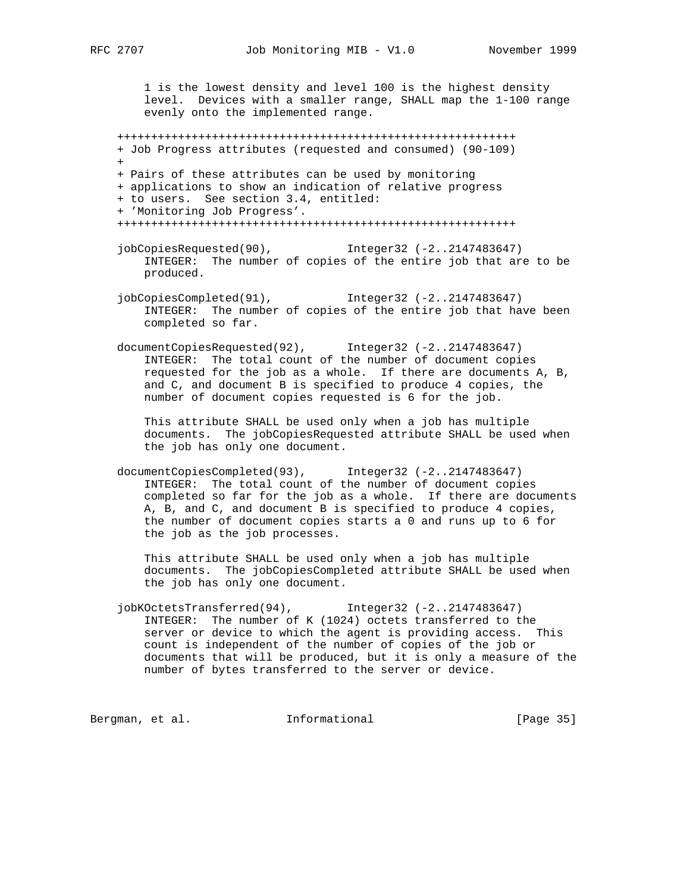1 is the lowest density and level 100 is the highest density level. Devices with a smaller range, SHALL map the 1-100 range evenly onto the implemented range.

 +++++++++++++++++++++++++++++++++++++++++++++++++++++++++++ + Job Progress attributes (requested and consumed) (90-109)  $+$  + Pairs of these attributes can be used by monitoring + applications to show an indication of relative progress + to users. See section 3.4, entitled: + 'Monitoring Job Progress'. +++++++++++++++++++++++++++++++++++++++++++++++++++++++++++

- jobCopiesRequested(90), Integer32 (-2..2147483647) INTEGER: The number of copies of the entire job that are to be produced.
- jobCopiesCompleted(91), Integer32 (-2..2147483647) INTEGER: The number of copies of the entire job that have been completed so far.
- documentCopiesRequested(92), Integer32 (-2..2147483647) INTEGER: The total count of the number of document copies requested for the job as a whole. If there are documents A, B, and C, and document B is specified to produce 4 copies, the number of document copies requested is 6 for the job.

 This attribute SHALL be used only when a job has multiple documents. The jobCopiesRequested attribute SHALL be used when the job has only one document.

 documentCopiesCompleted(93), Integer32 (-2..2147483647) INTEGER: The total count of the number of document copies completed so far for the job as a whole. If there are documents A, B, and C, and document B is specified to produce 4 copies, the number of document copies starts a 0 and runs up to 6 for the job as the job processes.

 This attribute SHALL be used only when a job has multiple documents. The jobCopiesCompleted attribute SHALL be used when the job has only one document.

 jobKOctetsTransferred(94), Integer32 (-2..2147483647) INTEGER: The number of K (1024) octets transferred to the server or device to which the agent is providing access. This count is independent of the number of copies of the job or documents that will be produced, but it is only a measure of the number of bytes transferred to the server or device.

Bergman, et al. 1nformational 1999 [Page 35]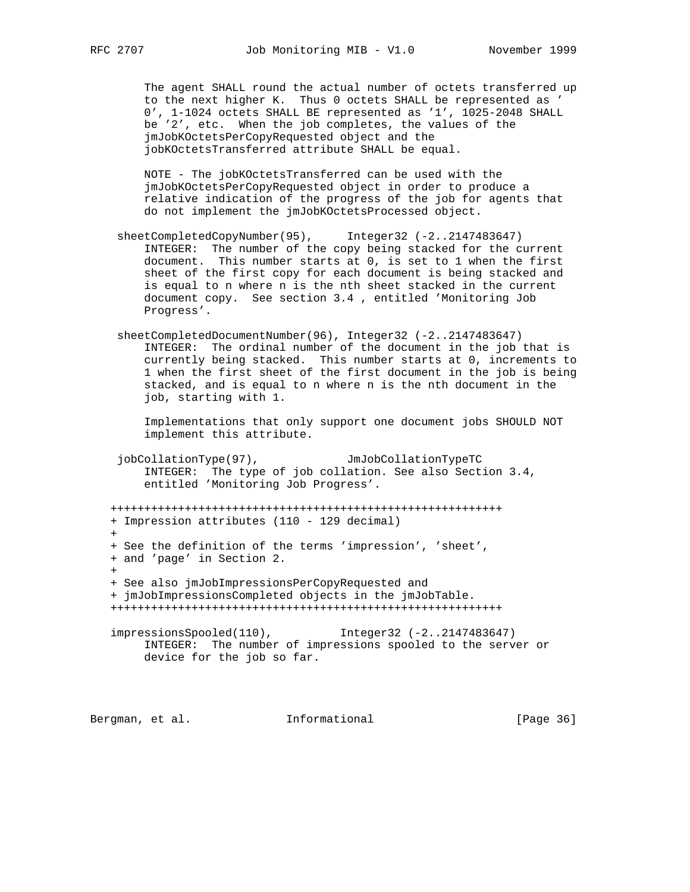The agent SHALL round the actual number of octets transferred up to the next higher K. Thus 0 octets SHALL be represented as ' 0', 1-1024 octets SHALL BE represented as '1', 1025-2048 SHALL be '2', etc. When the job completes, the values of the jmJobKOctetsPerCopyRequested object and the jobKOctetsTransferred attribute SHALL be equal.

 NOTE - The jobKOctetsTransferred can be used with the jmJobKOctetsPerCopyRequested object in order to produce a relative indication of the progress of the job for agents that do not implement the jmJobKOctetsProcessed object.

- sheetCompletedCopyNumber(95), Integer32 (-2..2147483647) INTEGER: The number of the copy being stacked for the current document. This number starts at 0, is set to 1 when the first sheet of the first copy for each document is being stacked and is equal to n where n is the nth sheet stacked in the current document copy. See section 3.4 , entitled 'Monitoring Job Progress'.
- sheetCompletedDocumentNumber(96), Integer32 (-2..2147483647) INTEGER: The ordinal number of the document in the job that is currently being stacked. This number starts at 0, increments to 1 when the first sheet of the first document in the job is being stacked, and is equal to n where n is the nth document in the job, starting with 1.

 Implementations that only support one document jobs SHOULD NOT implement this attribute.

 jobCollationType(97), JmJobCollationTypeTC INTEGER: The type of job collation. See also Section 3.4, entitled 'Monitoring Job Progress'.

 ++++++++++++++++++++++++++++++++++++++++++++++++++++++++++ + Impression attributes (110 - 129 decimal)  $+$  + See the definition of the terms 'impression', 'sheet', + and 'page' in Section 2.  $+$  + See also jmJobImpressionsPerCopyRequested and + jmJobImpressionsCompleted objects in the jmJobTable. ++++++++++++++++++++++++++++++++++++++++++++++++++++++++++

 impressionsSpooled(110), Integer32 (-2..2147483647) INTEGER: The number of impressions spooled to the server or device for the job so far.

Bergman, et al. **Informational** [Page 36]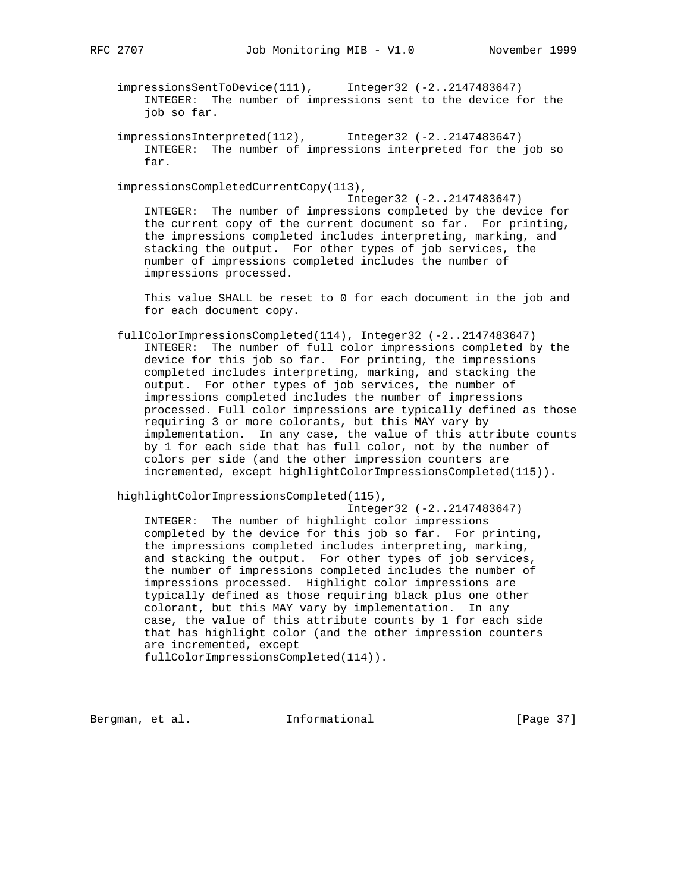impressionsSentToDevice(111), Integer32 (-2..2147483647) INTEGER: The number of impressions sent to the device for the job so far.

 impressionsInterpreted(112), Integer32 (-2..2147483647) INTEGER: The number of impressions interpreted for the job so far.

impressionsCompletedCurrentCopy(113),

 Integer32 (-2..2147483647) INTEGER: The number of impressions completed by the device for the current copy of the current document so far. For printing, the impressions completed includes interpreting, marking, and stacking the output. For other types of job services, the number of impressions completed includes the number of impressions processed.

 This value SHALL be reset to 0 for each document in the job and for each document copy.

 fullColorImpressionsCompleted(114), Integer32 (-2..2147483647) INTEGER: The number of full color impressions completed by the device for this job so far. For printing, the impressions completed includes interpreting, marking, and stacking the output. For other types of job services, the number of impressions completed includes the number of impressions processed. Full color impressions are typically defined as those requiring 3 or more colorants, but this MAY vary by implementation. In any case, the value of this attribute counts by 1 for each side that has full color, not by the number of colors per side (and the other impression counters are incremented, except highlightColorImpressionsCompleted(115)).

highlightColorImpressionsCompleted(115),

 Integer32 (-2..2147483647) INTEGER: The number of highlight color impressions completed by the device for this job so far. For printing, the impressions completed includes interpreting, marking, and stacking the output. For other types of job services, the number of impressions completed includes the number of impressions processed. Highlight color impressions are typically defined as those requiring black plus one other colorant, but this MAY vary by implementation. In any case, the value of this attribute counts by 1 for each side that has highlight color (and the other impression counters are incremented, except fullColorImpressionsCompleted(114)).

Bergman, et al. **Informational** [Page 37]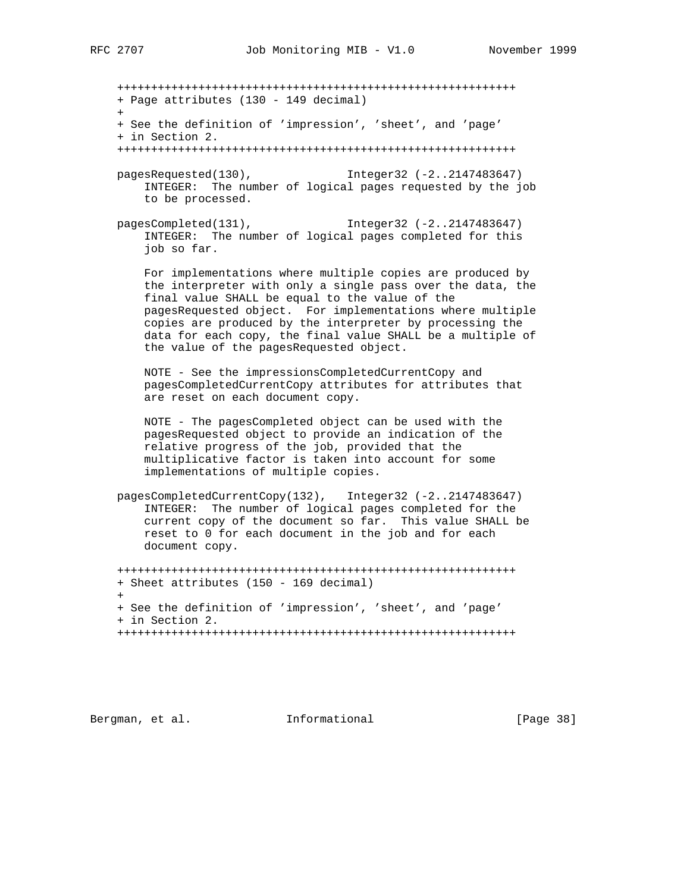+++++++++++++++++++++++++++++++++++++++++++++++++++++++++++ + Page attributes (130 - 149 decimal)  $+$  + See the definition of 'impression', 'sheet', and 'page' + in Section 2. +++++++++++++++++++++++++++++++++++++++++++++++++++++++++++ pagesRequested(130), Integer32 (-2..2147483647) INTEGER: The number of logical pages requested by the job to be processed. pagesCompleted(131), Integer32 (-2..2147483647) INTEGER: The number of logical pages completed for this job so far. For implementations where multiple copies are produced by

 the interpreter with only a single pass over the data, the final value SHALL be equal to the value of the pagesRequested object. For implementations where multiple copies are produced by the interpreter by processing the data for each copy, the final value SHALL be a multiple of the value of the pagesRequested object.

 NOTE - See the impressionsCompletedCurrentCopy and pagesCompletedCurrentCopy attributes for attributes that are reset on each document copy.

 NOTE - The pagesCompleted object can be used with the pagesRequested object to provide an indication of the relative progress of the job, provided that the multiplicative factor is taken into account for some implementations of multiple copies.

 pagesCompletedCurrentCopy(132), Integer32 (-2..2147483647) INTEGER: The number of logical pages completed for the current copy of the document so far. This value SHALL be reset to 0 for each document in the job and for each document copy.

 +++++++++++++++++++++++++++++++++++++++++++++++++++++++++++ + Sheet attributes (150 - 169 decimal) + + See the definition of 'impression', 'sheet', and 'page' + in Section 2. +++++++++++++++++++++++++++++++++++++++++++++++++++++++++++

Bergman, et al. **Informational** [Page 38]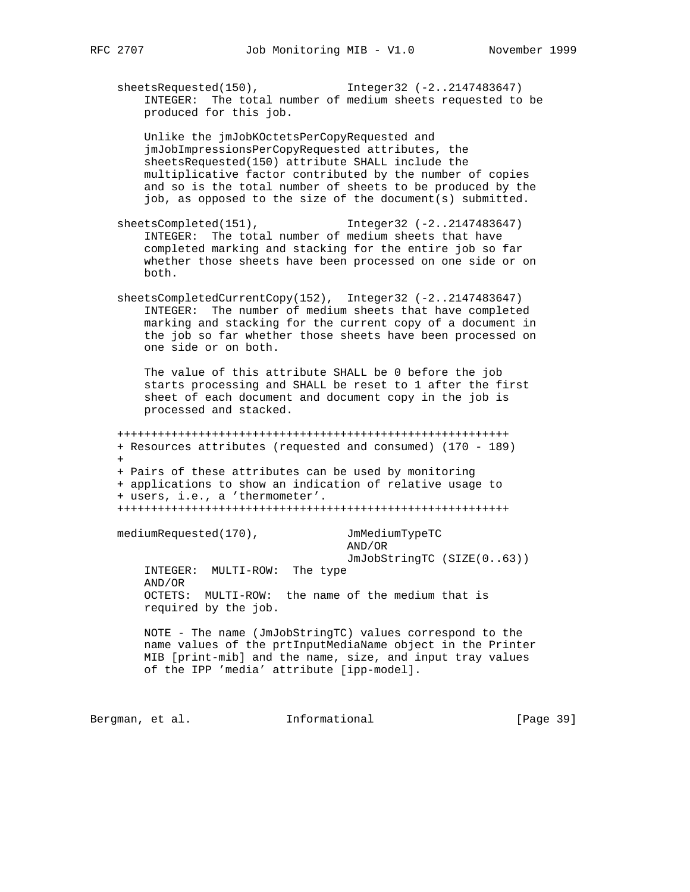sheetsRequested(150), Integer32 (-2..2147483647) INTEGER: The total number of medium sheets requested to be produced for this job.

 Unlike the jmJobKOctetsPerCopyRequested and jmJobImpressionsPerCopyRequested attributes, the sheetsRequested(150) attribute SHALL include the multiplicative factor contributed by the number of copies and so is the total number of sheets to be produced by the job, as opposed to the size of the document(s) submitted.

- sheetsCompleted(151), Integer32 (-2..2147483647) INTEGER: The total number of medium sheets that have completed marking and stacking for the entire job so far whether those sheets have been processed on one side or on both.
- sheetsCompletedCurrentCopy(152), Integer32 (-2..2147483647) INTEGER: The number of medium sheets that have completed marking and stacking for the current copy of a document in the job so far whether those sheets have been processed on one side or on both.

 The value of this attribute SHALL be 0 before the job starts processing and SHALL be reset to 1 after the first sheet of each document and document copy in the job is processed and stacked.

 ++++++++++++++++++++++++++++++++++++++++++++++++++++++++++ + Resources attributes (requested and consumed) (170 - 189) + + Pairs of these attributes can be used by monitoring + applications to show an indication of relative usage to + users, i.e., a 'thermometer'. ++++++++++++++++++++++++++++++++++++++++++++++++++++++++++

mediumRequested(170), JmMediumTypeTC

 AND/OR JmJobStringTC (SIZE(0..63))

 INTEGER: MULTI-ROW: The type AND/OR OCTETS: MULTI-ROW: the name of the medium that is required by the job.

 NOTE - The name (JmJobStringTC) values correspond to the name values of the prtInputMediaName object in the Printer MIB [print-mib] and the name, size, and input tray values of the IPP 'media' attribute [ipp-model].

Bergman, et al. 1nformational 1999 [Page 39]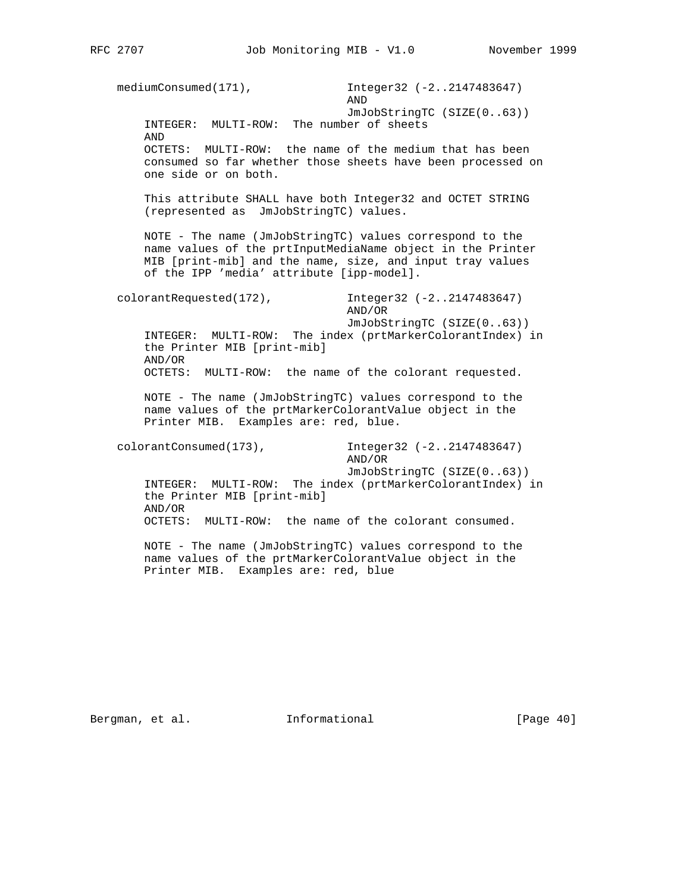mediumConsumed(171), Integer32 (-2..2147483647) AND JmJobStringTC (SIZE(0..63)) INTEGER: MULTI-ROW: The number of sheets AND OCTETS: MULTI-ROW: the name of the medium that has been consumed so far whether those sheets have been processed on one side or on both. This attribute SHALL have both Integer32 and OCTET STRING (represented as JmJobStringTC) values. NOTE - The name (JmJobStringTC) values correspond to the name values of the prtInputMediaName object in the Printer MIB [print-mib] and the name, size, and input tray values of the IPP 'media' attribute [ipp-model]. colorantRequested(172), Integer32 (-2..2147483647) AND/OR JmJobStringTC (SIZE(0..63)) INTEGER: MULTI-ROW: The index (prtMarkerColorantIndex) in the Printer MIB [print-mib] AND/OR OCTETS: MULTI-ROW: the name of the colorant requested. NOTE - The name (JmJobStringTC) values correspond to the name values of the prtMarkerColorantValue object in the Printer MIB. Examples are: red, blue. colorantConsumed(173), Integer32 (-2..2147483647) AND/OR JmJobStringTC (SIZE(0..63)) INTEGER: MULTI-ROW: The index (prtMarkerColorantIndex) in the Printer MIB [print-mib] AND/OR OCTETS: MULTI-ROW: the name of the colorant consumed. NOTE - The name (JmJobStringTC) values correspond to the name values of the prtMarkerColorantValue object in the Printer MIB. Examples are: red, blue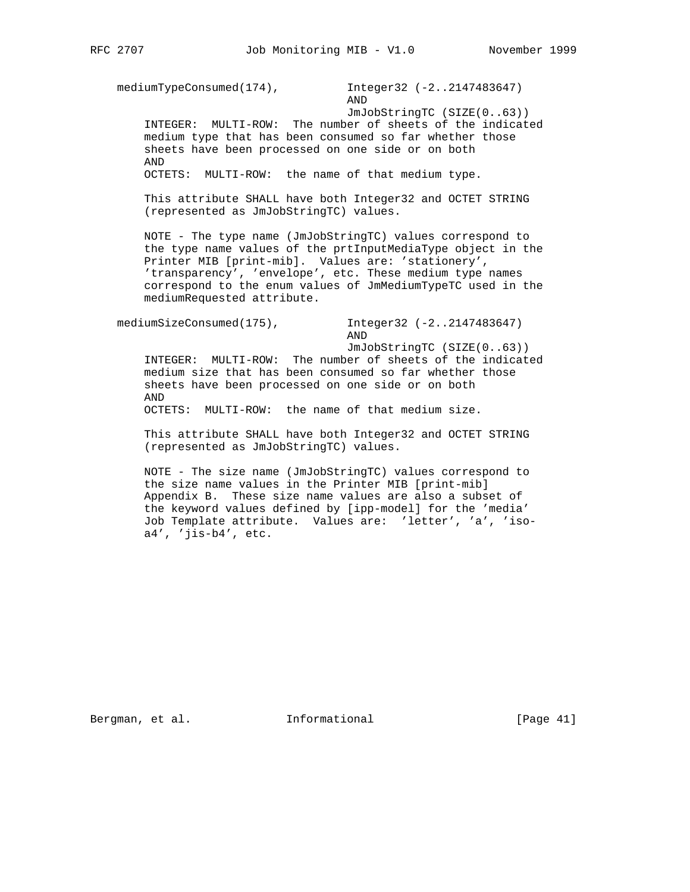mediumTypeConsumed(174), Integer32 (-2..2147483647) AND

 JmJobStringTC (SIZE(0..63)) INTEGER: MULTI-ROW: The number of sheets of the indicated medium type that has been consumed so far whether those sheets have been processed on one side or on both AND

OCTETS: MULTI-ROW: the name of that medium type.

 This attribute SHALL have both Integer32 and OCTET STRING (represented as JmJobStringTC) values.

 NOTE - The type name (JmJobStringTC) values correspond to the type name values of the prtInputMediaType object in the Printer MIB [print-mib]. Values are: 'stationery', 'transparency', 'envelope', etc. These medium type names correspond to the enum values of JmMediumTypeTC used in the mediumRequested attribute.

 mediumSizeConsumed(175), Integer32 (-2..2147483647) AND

JmJobStringTC (SIZE(0..63))

 INTEGER: MULTI-ROW: The number of sheets of the indicated medium size that has been consumed so far whether those sheets have been processed on one side or on both AND

OCTETS: MULTI-ROW: the name of that medium size.

 This attribute SHALL have both Integer32 and OCTET STRING (represented as JmJobStringTC) values.

 NOTE - The size name (JmJobStringTC) values correspond to the size name values in the Printer MIB [print-mib] Appendix B. These size name values are also a subset of the keyword values defined by [ipp-model] for the 'media' Job Template attribute. Values are: 'letter', 'a', 'iso a4', 'jis-b4', etc.

Bergman, et al. **Informational** [Page 41]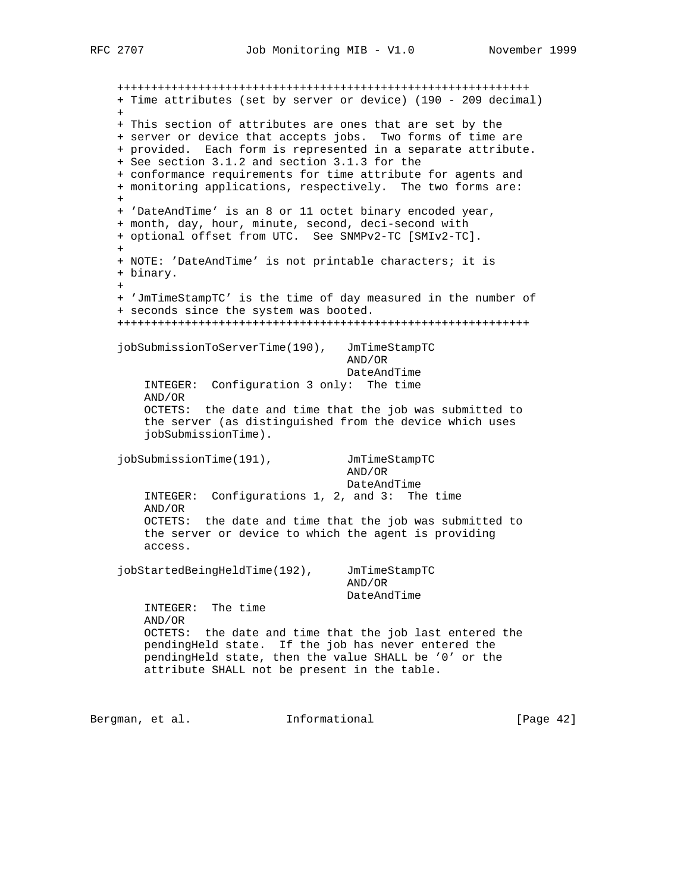+++++++++++++++++++++++++++++++++++++++++++++++++++++++++++++ + Time attributes (set by server or device) (190 - 209 decimal)  $+$  + This section of attributes are ones that are set by the + server or device that accepts jobs. Two forms of time are + provided. Each form is represented in a separate attribute. + See section 3.1.2 and section 3.1.3 for the + conformance requirements for time attribute for agents and + monitoring applications, respectively. The two forms are:  $+$  + 'DateAndTime' is an 8 or 11 octet binary encoded year, + month, day, hour, minute, second, deci-second with + optional offset from UTC. See SNMPv2-TC [SMIv2-TC].  $+$  + NOTE: 'DateAndTime' is not printable characters; it is + binary.  $+$  + 'JmTimeStampTC' is the time of day measured in the number of + seconds since the system was booted. +++++++++++++++++++++++++++++++++++++++++++++++++++++++++++++ jobSubmissionToServerTime(190), JmTimeStampTC AND/OR DateAndTime INTEGER: Configuration 3 only: The time AND/OR OCTETS: the date and time that the job was submitted to the server (as distinguished from the device which uses jobSubmissionTime). jobSubmissionTime(191), JmTimeStampTC AND/OR DateAndTime INTEGER: Configurations 1, 2, and 3: The time AND/OR OCTETS: the date and time that the job was submitted to the server or device to which the agent is providing access. jobStartedBeingHeldTime(192), JmTimeStampTC AND/OR DateAndTime INTEGER: The time AND/OR OCTETS: the date and time that the job last entered the pendingHeld state. If the job has never entered the pendingHeld state, then the value SHALL be '0' or the attribute SHALL not be present in the table. Bergman, et al. **Informational** [Page 42]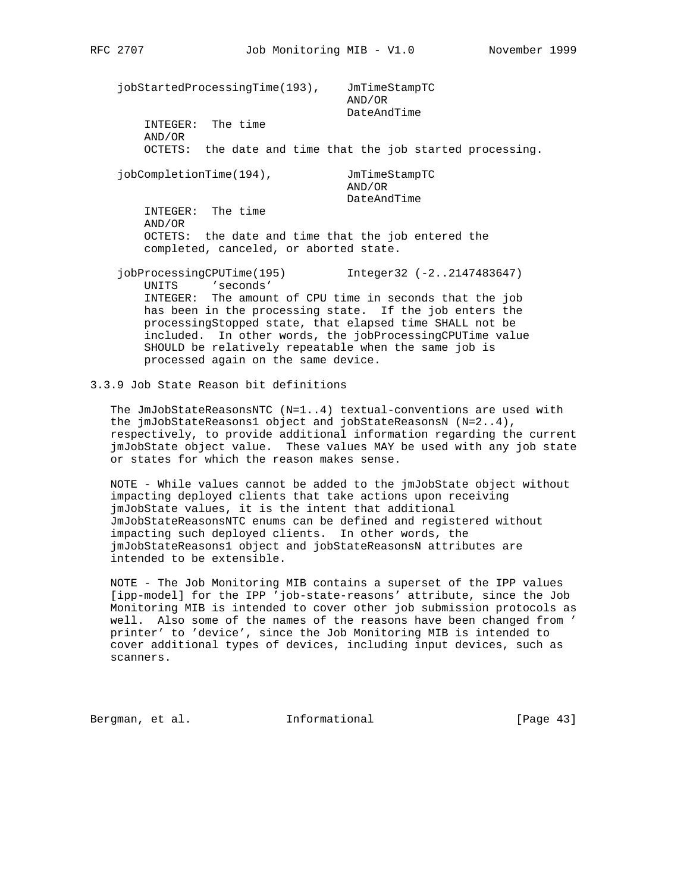jobStartedProcessingTime(193), JmTimeStampTC AND/OR DateAndTime INTEGER: The time AND/OR OCTETS: the date and time that the job started processing. jobCompletionTime(194), JmTimeStampTC AND/OR DateAndTime INTEGER: The time AND/OR OCTETS: the date and time that the job entered the completed, canceled, or aborted state. jobProcessingCPUTime(195) Integer32 (-2..2147483647) UNITS 'seconds' INTEGER: The amount of CPU time in seconds that the job

 has been in the processing state. If the job enters the processingStopped state, that elapsed time SHALL not be included. In other words, the jobProcessingCPUTime value SHOULD be relatively repeatable when the same job is processed again on the same device.

3.3.9 Job State Reason bit definitions

 The JmJobStateReasonsNTC (N=1..4) textual-conventions are used with the jmJobStateReasons1 object and jobStateReasonsN (N=2..4), respectively, to provide additional information regarding the current jmJobState object value. These values MAY be used with any job state or states for which the reason makes sense.

 NOTE - While values cannot be added to the jmJobState object without impacting deployed clients that take actions upon receiving jmJobState values, it is the intent that additional JmJobStateReasonsNTC enums can be defined and registered without impacting such deployed clients. In other words, the jmJobStateReasons1 object and jobStateReasonsN attributes are intended to be extensible.

 NOTE - The Job Monitoring MIB contains a superset of the IPP values [ipp-model] for the IPP 'job-state-reasons' attribute, since the Job Monitoring MIB is intended to cover other job submission protocols as well. Also some of the names of the reasons have been changed from ' printer' to 'device', since the Job Monitoring MIB is intended to cover additional types of devices, including input devices, such as scanners.

Bergman, et al. **Informational** [Page 43]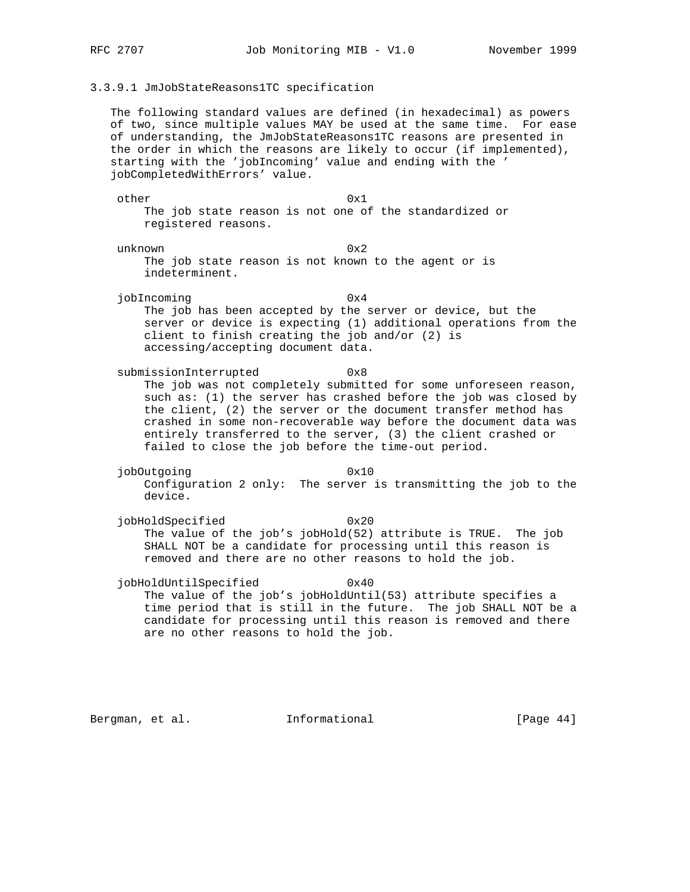### 3.3.9.1 JmJobStateReasons1TC specification

 The following standard values are defined (in hexadecimal) as powers of two, since multiple values MAY be used at the same time. For ease of understanding, the JmJobStateReasons1TC reasons are presented in the order in which the reasons are likely to occur (if implemented), starting with the 'jobIncoming' value and ending with the ' jobCompletedWithErrors' value.

 other 0x1 The job state reason is not one of the standardized or registered reasons.

unknown 0x2

 The job state reason is not known to the agent or is indeterminent.

- jobIncoming 0x4 The job has been accepted by the server or device, but the server or device is expecting (1) additional operations from the client to finish creating the job and/or (2) is accessing/accepting document data.
- submissionInterrupted 0x8 The job was not completely submitted for some unforeseen reason, such as: (1) the server has crashed before the job was closed by the client, (2) the server or the document transfer method has crashed in some non-recoverable way before the document data was entirely transferred to the server, (3) the client crashed or failed to close the job before the time-out period.
- jobOutgoing 0x10 Configuration 2 only: The server is transmitting the job to the device.
- jobHoldSpecified 0x20 The value of the job's jobHold(52) attribute is TRUE. The job SHALL NOT be a candidate for processing until this reason is removed and there are no other reasons to hold the job.

 jobHoldUntilSpecified 0x40 The value of the job's jobHoldUntil(53) attribute specifies a time period that is still in the future. The job SHALL NOT be a candidate for processing until this reason is removed and there are no other reasons to hold the job.

Bergman, et al. **Informational** [Page 44]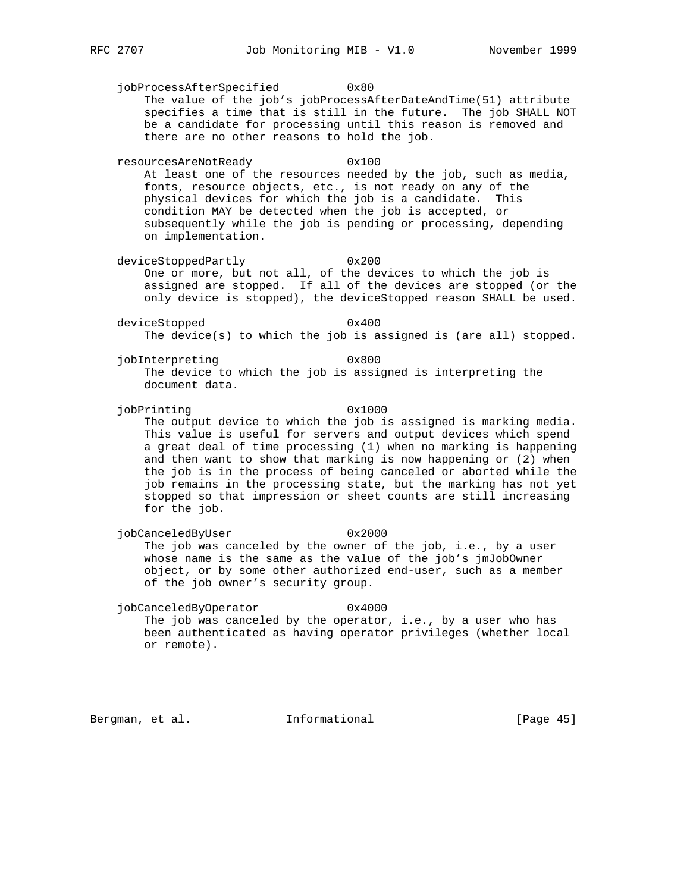jobProcessAfterSpecified 0x80 The value of the job's jobProcessAfterDateAndTime(51) attribute specifies a time that is still in the future. The job SHALL NOT be a candidate for processing until this reason is removed and there are no other reasons to hold the job. resourcesAreNotReady 0x100 At least one of the resources needed by the job, such as media, fonts, resource objects, etc., is not ready on any of the physical devices for which the job is a candidate. This condition MAY be detected when the job is accepted, or subsequently while the job is pending or processing, depending on implementation. deviceStoppedPartly 0x200 One or more, but not all, of the devices to which the job is assigned are stopped. If all of the devices are stopped (or the only device is stopped), the deviceStopped reason SHALL be used. deviceStopped 0x400 The device(s) to which the job is assigned is (are all) stopped. jobInterpreting 0x800 The device to which the job is assigned is interpreting the document data. jobPrinting 0x1000 The output device to which the job is assigned is marking media. This value is useful for servers and output devices which spend a great deal of time processing (1) when no marking is happening and then want to show that marking is now happening or (2) when the job is in the process of being canceled or aborted while the job remains in the processing state, but the marking has not yet

jobCanceledByUser 0x2000 The job was canceled by the owner of the job, i.e., by a user whose name is the same as the value of the job's jmJobOwner object, or by some other authorized end-user, such as a member of the job owner's security group.

stopped so that impression or sheet counts are still increasing

jobCanceledByOperator 0x4000 The job was canceled by the operator, i.e., by a user who has been authenticated as having operator privileges (whether local or remote).

Bergman, et al. **Informational** [Page 45]

for the job.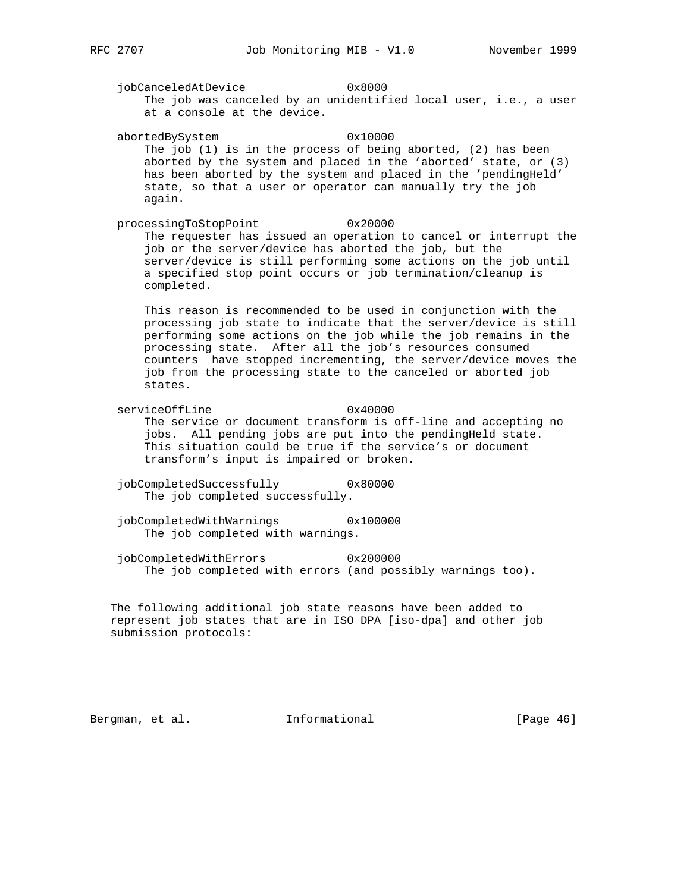jobCanceledAtDevice 0x8000 The job was canceled by an unidentified local user, i.e., a user at a console at the device.

abortedBySystem 0x10000 The job (1) is in the process of being aborted, (2) has been aborted by the system and placed in the 'aborted' state, or (3) has been aborted by the system and placed in the 'pendingHeld' state, so that a user or operator can manually try the job again.

 processingToStopPoint 0x20000 The requester has issued an operation to cancel or interrupt the job or the server/device has aborted the job, but the server/device is still performing some actions on the job until a specified stop point occurs or job termination/cleanup is completed.

 This reason is recommended to be used in conjunction with the processing job state to indicate that the server/device is still performing some actions on the job while the job remains in the processing state. After all the job's resources consumed counters have stopped incrementing, the server/device moves the job from the processing state to the canceled or aborted job states.

- serviceOffLine 0x40000 The service or document transform is off-line and accepting no jobs. All pending jobs are put into the pendingHeld state. This situation could be true if the service's or document transform's input is impaired or broken.
- jobCompletedSuccessfully 0x80000 The job completed successfully.
- jobCompletedWithWarnings 0x100000 The job completed with warnings.
- jobCompletedWithErrors 0x200000 The job completed with errors (and possibly warnings too).

 The following additional job state reasons have been added to represent job states that are in ISO DPA [iso-dpa] and other job submission protocols:

Bergman, et al. **Informational** [Page 46]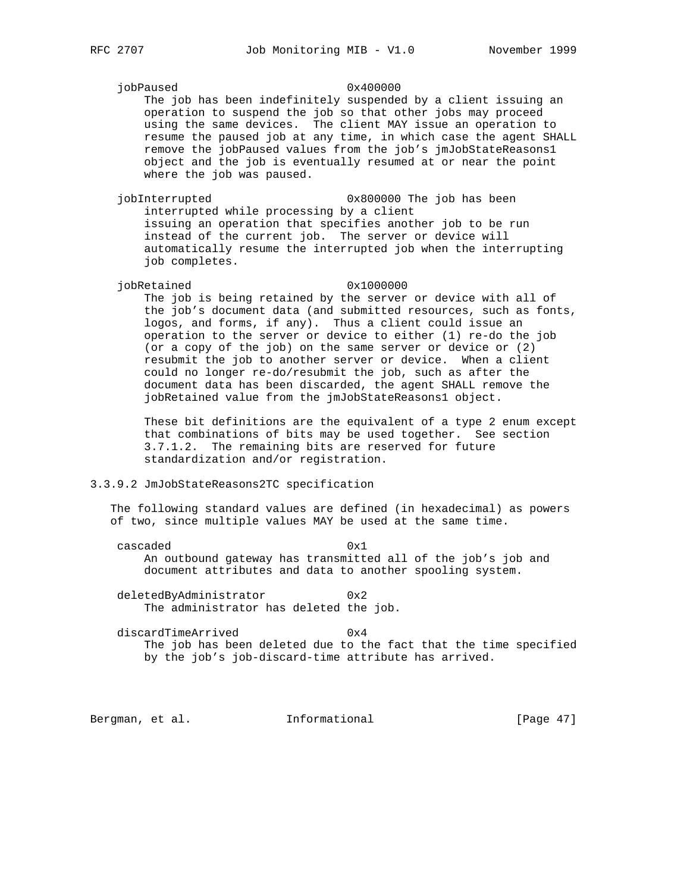jobPaused 0x400000

 The job has been indefinitely suspended by a client issuing an operation to suspend the job so that other jobs may proceed using the same devices. The client MAY issue an operation to resume the paused job at any time, in which case the agent SHALL remove the jobPaused values from the job's jmJobStateReasons1 object and the job is eventually resumed at or near the point where the job was paused.

 jobInterrupted 0x800000 The job has been interrupted while processing by a client issuing an operation that specifies another job to be run instead of the current job. The server or device will automatically resume the interrupted job when the interrupting job completes.

#### jobRetained 0x1000000

 The job is being retained by the server or device with all of the job's document data (and submitted resources, such as fonts, logos, and forms, if any). Thus a client could issue an operation to the server or device to either (1) re-do the job (or a copy of the job) on the same server or device or (2) resubmit the job to another server or device. When a client could no longer re-do/resubmit the job, such as after the document data has been discarded, the agent SHALL remove the jobRetained value from the jmJobStateReasons1 object.

 These bit definitions are the equivalent of a type 2 enum except that combinations of bits may be used together. See section 3.7.1.2. The remaining bits are reserved for future standardization and/or registration.

### 3.3.9.2 JmJobStateReasons2TC specification

 The following standard values are defined (in hexadecimal) as powers of two, since multiple values MAY be used at the same time.

cascaded 0x1 An outbound gateway has transmitted all of the job's job and document attributes and data to another spooling system.

deletedByAdministrator 0x2 The administrator has deleted the job.

discardTimeArrived 0x4 The job has been deleted due to the fact that the time specified by the job's job-discard-time attribute has arrived.

Bergman, et al. **Informational** [Page 47]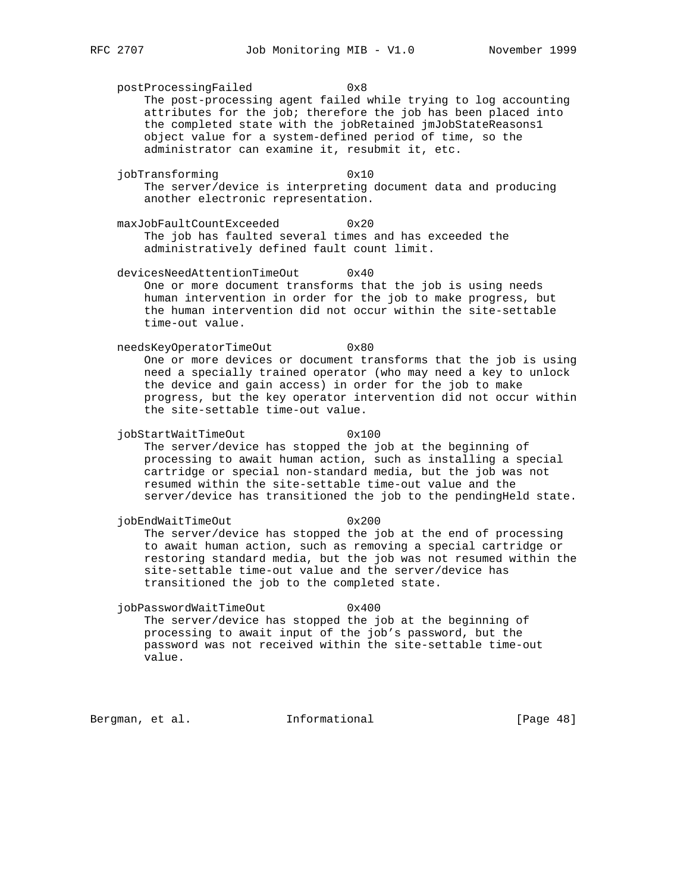postProcessingFailed 0x8 The post-processing agent failed while trying to log accounting attributes for the job; therefore the job has been placed into the completed state with the jobRetained jmJobStateReasons1 object value for a system-defined period of time, so the administrator can examine it, resubmit it, etc.

jobTransforming 0x10 The server/device is interpreting document data and producing another electronic representation.

 maxJobFaultCountExceeded 0x20 The job has faulted several times and has exceeded the administratively defined fault count limit.

 devicesNeedAttentionTimeOut 0x40 One or more document transforms that the job is using needs human intervention in order for the job to make progress, but the human intervention did not occur within the site-settable time-out value.

 needsKeyOperatorTimeOut 0x80 One or more devices or document transforms that the job is using need a specially trained operator (who may need a key to unlock the device and gain access) in order for the job to make progress, but the key operator intervention did not occur within the site-settable time-out value.

jobStartWaitTimeOut 0x100 The server/device has stopped the job at the beginning of processing to await human action, such as installing a special cartridge or special non-standard media, but the job was not resumed within the site-settable time-out value and the server/device has transitioned the job to the pendingHeld state.

jobEndWaitTimeOut 0x200 The server/device has stopped the job at the end of processing to await human action, such as removing a special cartridge or restoring standard media, but the job was not resumed within the site-settable time-out value and the server/device has transitioned the job to the completed state.

 jobPasswordWaitTimeOut 0x400 The server/device has stopped the job at the beginning of processing to await input of the job's password, but the password was not received within the site-settable time-out value.

Bergman, et al. **Informational** [Page 48]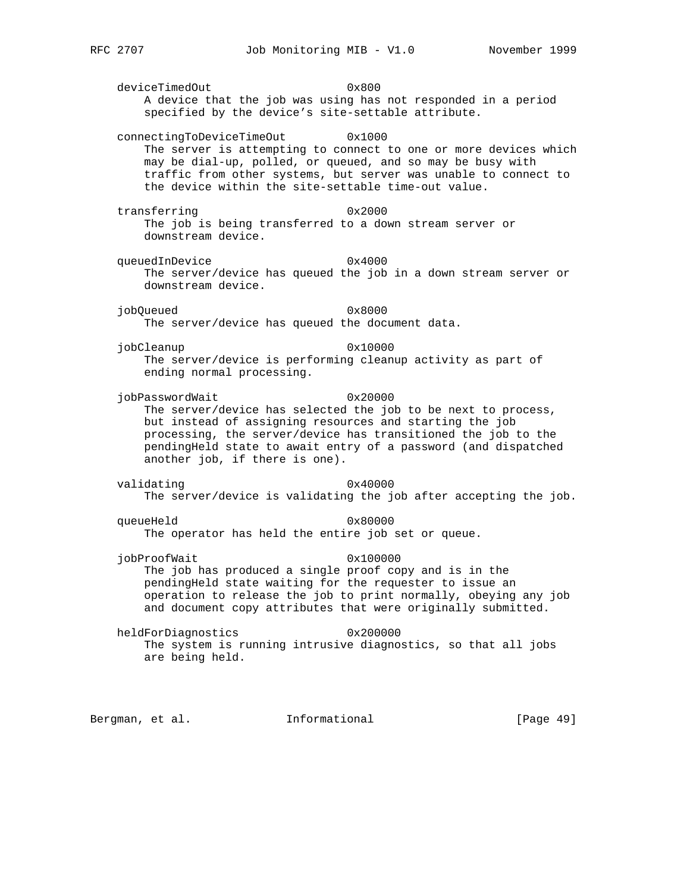deviceTimedOut 0x800 A device that the job was using has not responded in a period specified by the device's site-settable attribute.

 connectingToDeviceTimeOut 0x1000 The server is attempting to connect to one or more devices which may be dial-up, polled, or queued, and so may be busy with traffic from other systems, but server was unable to connect to the device within the site-settable time-out value.

transferring 0x2000 The job is being transferred to a down stream server or downstream device.

queuedInDevice 0x4000 The server/device has queued the job in a down stream server or downstream device.

 jobQueued 0x8000 The server/device has queued the document data.

jobCleanup 0x10000 The server/device is performing cleanup activity as part of ending normal processing.

jobPasswordWait 0x20000 The server/device has selected the job to be next to process, but instead of assigning resources and starting the job processing, the server/device has transitioned the job to the pendingHeld state to await entry of a password (and dispatched another job, if there is one).

 validating 0x40000 The server/device is validating the job after accepting the job.

queueHeld 0x80000 The operator has held the entire job set or queue.

- jobProofWait 0x100000 The job has produced a single proof copy and is in the pendingHeld state waiting for the requester to issue an operation to release the job to print normally, obeying any job and document copy attributes that were originally submitted.
- heldForDiagnostics 0x200000 The system is running intrusive diagnostics, so that all jobs are being held.

Bergman, et al. **Informational** [Page 49]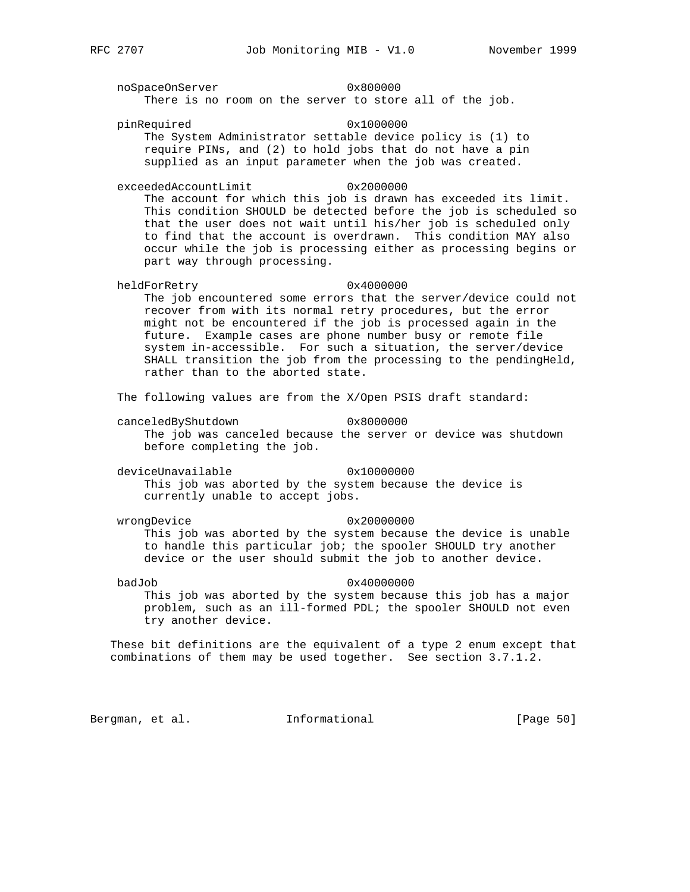noSpaceOnServer 0x800000 There is no room on the server to store all of the job. pinRequired 0x1000000 The System Administrator settable device policy is (1) to require PINs, and (2) to hold jobs that do not have a pin supplied as an input parameter when the job was created. exceededAccountLimit 0x2000000 The account for which this job is drawn has exceeded its limit. This condition SHOULD be detected before the job is scheduled so that the user does not wait until his/her job is scheduled only to find that the account is overdrawn. This condition MAY also occur while the job is processing either as processing begins or part way through processing. heldForRetry 0x4000000 The job encountered some errors that the server/device could not recover from with its normal retry procedures, but the error might not be encountered if the job is processed again in the future. Example cases are phone number busy or remote file system in-accessible. For such a situation, the server/device SHALL transition the job from the processing to the pendingHeld, rather than to the aborted state. The following values are from the X/Open PSIS draft standard: canceledByShutdown 0x8000000 The job was canceled because the server or device was shutdown before completing the job. deviceUnavailable 0x10000000 This job was aborted by the system because the device is currently unable to accept jobs. wrongDevice 0x20000000 This job was aborted by the system because the device is unable to handle this particular job; the spooler SHOULD try another device or the user should submit the job to another device. badJob 0x40000000 This job was aborted by the system because this job has a major problem, such as an ill-formed PDL; the spooler SHOULD not even try another device. These bit definitions are the equivalent of a type 2 enum except that combinations of them may be used together. See section 3.7.1.2. Bergman, et al. 1nformational 1999 [Page 50]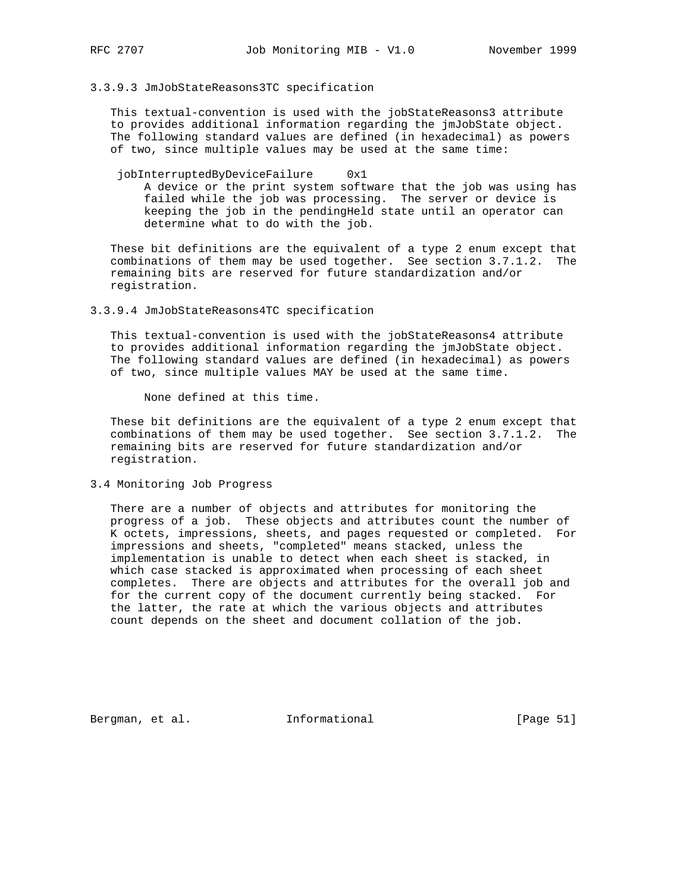#### 3.3.9.3 JmJobStateReasons3TC specification

 This textual-convention is used with the jobStateReasons3 attribute to provides additional information regarding the jmJobState object. The following standard values are defined (in hexadecimal) as powers of two, since multiple values may be used at the same time:

jobInterruptedByDeviceFailure 0x1 A device or the print system software that the job was using has failed while the job was processing. The server or device is keeping the job in the pendingHeld state until an operator can determine what to do with the job.

 These bit definitions are the equivalent of a type 2 enum except that combinations of them may be used together. See section 3.7.1.2. The remaining bits are reserved for future standardization and/or registration.

#### 3.3.9.4 JmJobStateReasons4TC specification

 This textual-convention is used with the jobStateReasons4 attribute to provides additional information regarding the jmJobState object. The following standard values are defined (in hexadecimal) as powers of two, since multiple values MAY be used at the same time.

None defined at this time.

 These bit definitions are the equivalent of a type 2 enum except that combinations of them may be used together. See section 3.7.1.2. The remaining bits are reserved for future standardization and/or registration.

3.4 Monitoring Job Progress

 There are a number of objects and attributes for monitoring the progress of a job. These objects and attributes count the number of K octets, impressions, sheets, and pages requested or completed. For impressions and sheets, "completed" means stacked, unless the implementation is unable to detect when each sheet is stacked, in which case stacked is approximated when processing of each sheet completes. There are objects and attributes for the overall job and for the current copy of the document currently being stacked. For the latter, the rate at which the various objects and attributes count depends on the sheet and document collation of the job.

Bergman, et al. **Informational** [Page 51]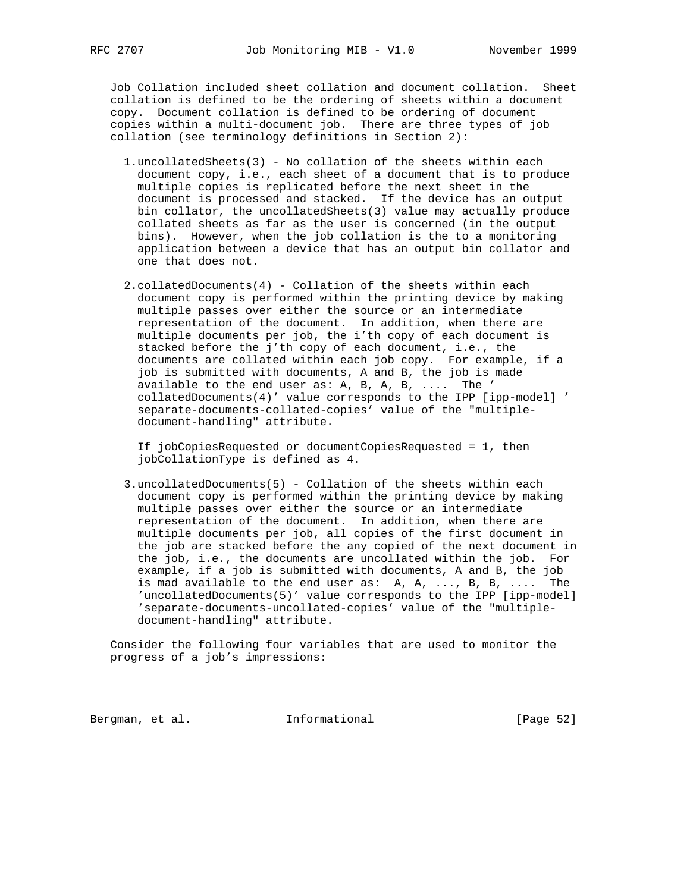Job Collation included sheet collation and document collation. Sheet collation is defined to be the ordering of sheets within a document copy. Document collation is defined to be ordering of document copies within a multi-document job. There are three types of job collation (see terminology definitions in Section 2):

- 1.uncollatedSheets(3) No collation of the sheets within each document copy, i.e., each sheet of a document that is to produce multiple copies is replicated before the next sheet in the document is processed and stacked. If the device has an output bin collator, the uncollatedSheets(3) value may actually produce collated sheets as far as the user is concerned (in the output bins). However, when the job collation is the to a monitoring application between a device that has an output bin collator and one that does not.
- 2.collatedDocuments(4) Collation of the sheets within each document copy is performed within the printing device by making multiple passes over either the source or an intermediate representation of the document. In addition, when there are multiple documents per job, the i'th copy of each document is stacked before the j'th copy of each document, i.e., the documents are collated within each job copy. For example, if a job is submitted with documents, A and B, the job is made available to the end user as: A, B, A, B, .... The ' collatedDocuments(4)' value corresponds to the IPP [ipp-model] ' separate-documents-collated-copies' value of the "multiple document-handling" attribute.

 If jobCopiesRequested or documentCopiesRequested = 1, then jobCollationType is defined as 4.

 3.uncollatedDocuments(5) - Collation of the sheets within each document copy is performed within the printing device by making multiple passes over either the source or an intermediate representation of the document. In addition, when there are multiple documents per job, all copies of the first document in the job are stacked before the any copied of the next document in the job, i.e., the documents are uncollated within the job. For example, if a job is submitted with documents, A and B, the job is mad available to the end user as: A, A, ..., B, B, .... The 'uncollatedDocuments(5)' value corresponds to the IPP [ipp-model] 'separate-documents-uncollated-copies' value of the "multiple document-handling" attribute.

 Consider the following four variables that are used to monitor the progress of a job's impressions:

Bergman, et al. 1nformational 1999 [Page 52]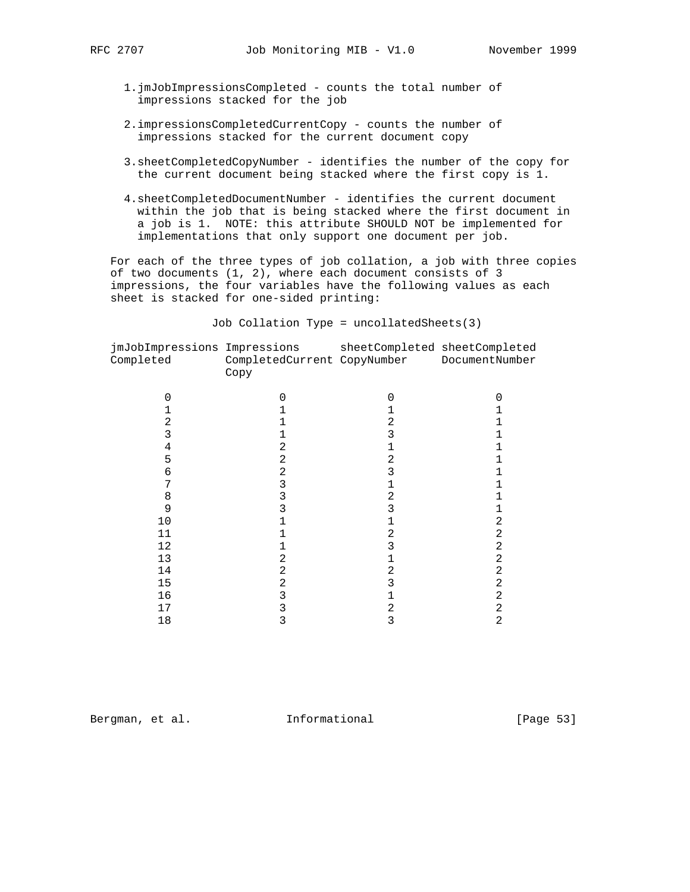- - 1.jmJobImpressionsCompleted counts the total number of impressions stacked for the job
	- 2.impressionsCompletedCurrentCopy counts the number of impressions stacked for the current document copy
	- 3.sheetCompletedCopyNumber identifies the number of the copy for the current document being stacked where the first copy is 1.
	- 4.sheetCompletedDocumentNumber identifies the current document within the job that is being stacked where the first document in a job is 1. NOTE: this attribute SHOULD NOT be implemented for implementations that only support one document per job.

 For each of the three types of job collation, a job with three copies of two documents (1, 2), where each document consists of 3 impressions, the four variables have the following values as each sheet is stacked for one-sided printing:

Job Collation Type = uncollatedSheets(3)

| jmJobImpressions Impressions<br>Completed | CompletedCurrent CopyNumber DocumentNumber<br>Copy |   | sheetCompleted sheetCompleted |
|-------------------------------------------|----------------------------------------------------|---|-------------------------------|
|                                           | 0                                                  | O |                               |
|                                           |                                                    |   |                               |
| 2                                         |                                                    | 2 |                               |
| 3                                         |                                                    |   |                               |
| 4                                         | 2                                                  |   |                               |
| 5                                         | 2                                                  | 2 |                               |
| 6                                         | 2                                                  | 3 |                               |
|                                           | 3                                                  |   |                               |
| 8                                         | 3                                                  | 2 |                               |
| 9                                         | 3                                                  | 3 |                               |
| 10                                        |                                                    |   | 2                             |
| 11                                        |                                                    | 2 | 2                             |
| 12                                        |                                                    | 3 | 2                             |
| 13                                        | 2                                                  |   | 2                             |
| 14                                        | 2                                                  | 2 | 2                             |
| 15                                        | 2                                                  | 3 | 2                             |
| 16                                        | 3                                                  |   | 2                             |
| 17                                        | 3                                                  | 2 | 2                             |
| 18                                        | 3                                                  | 3 | $\overline{2}$                |
|                                           |                                                    |   |                               |

Bergman, et al. **Informational** [Page 53]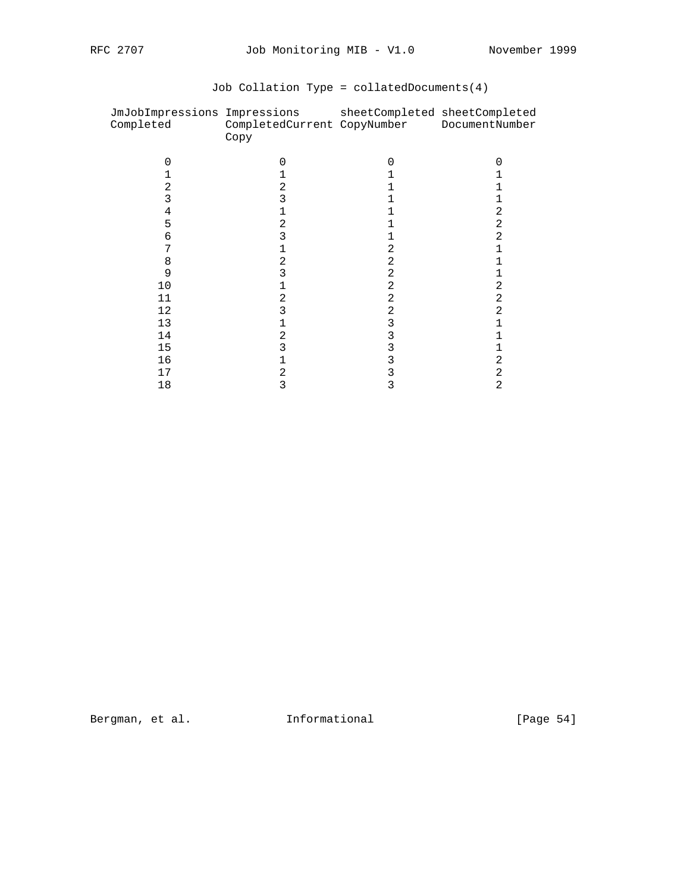| JmJobImpressions Impressions<br>Completed | CompletedCurrent CopyNumber<br>Copy | sheetCompleted sheetCompleted | DocumentNumber |
|-------------------------------------------|-------------------------------------|-------------------------------|----------------|
|                                           | O                                   | U                             |                |
|                                           |                                     |                               |                |
|                                           | 2                                   |                               |                |
| 3                                         |                                     |                               |                |
| 4                                         |                                     |                               | 2              |
| 5                                         |                                     |                               | 2              |
| 6                                         |                                     |                               | 2              |
|                                           |                                     | 2                             |                |
| 8                                         | 2                                   | 2                             |                |
| 9                                         |                                     | 2                             |                |
| 10                                        |                                     | 2                             | 2              |
| 11                                        | 2                                   | 2                             | 2              |
| 12                                        |                                     | 2                             | 2              |
| 13                                        |                                     | 3                             |                |
| 14                                        | 2                                   | 3                             |                |
| 15                                        |                                     |                               |                |
| 16                                        |                                     | 3                             | 2              |
| 17                                        |                                     |                               | 2              |
| 18                                        | 3                                   | 3                             | 2              |

# Job Collation Type = collatedDocuments(4)

Bergman, et al. 1nformational 1999 [Page 54]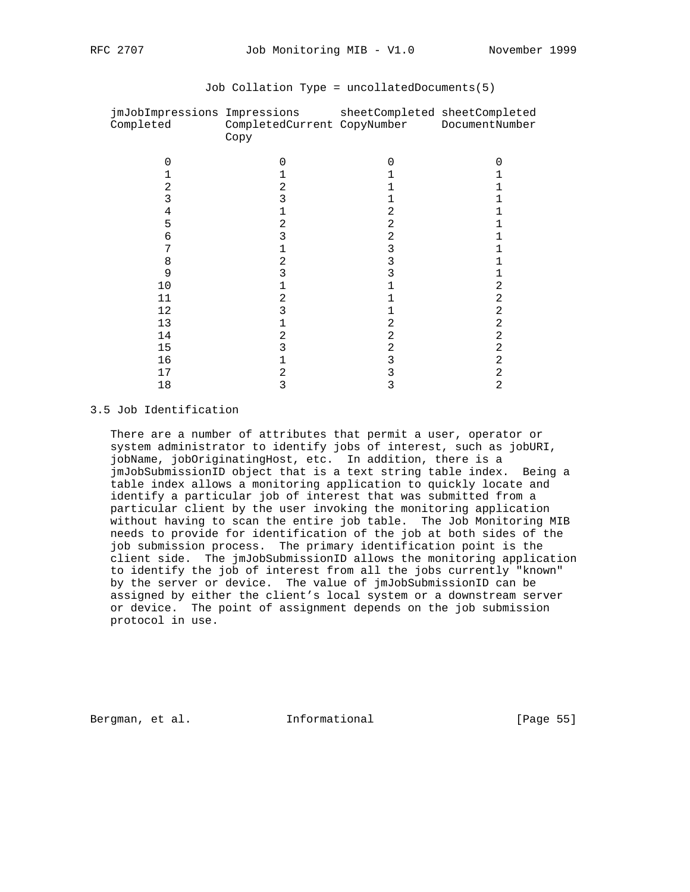| jmJobImpressions Impressions<br>Completed | CompletedCurrent CopyNumber DocumentNumber<br>Copy | sheetCompleted sheetCompleted |   |
|-------------------------------------------|----------------------------------------------------|-------------------------------|---|
|                                           |                                                    | U                             |   |
|                                           |                                                    |                               |   |
|                                           |                                                    |                               |   |
| 3                                         |                                                    |                               |   |
| 4                                         |                                                    |                               |   |
| 5                                         |                                                    | 2                             |   |
| 6                                         |                                                    | 2                             |   |
|                                           |                                                    | 3                             |   |
| 8                                         | 2                                                  | 3                             |   |
| 9                                         |                                                    |                               |   |
| 10                                        |                                                    |                               | 2 |
| 11                                        | 2                                                  |                               | 2 |
| 12                                        |                                                    |                               | 2 |
| 13                                        |                                                    |                               | 2 |
| 14                                        | 2                                                  | 2                             | 2 |
| 15                                        |                                                    | 2                             | 2 |
| 16                                        |                                                    | 3                             | 2 |
| 17                                        |                                                    |                               | 2 |
| 18                                        | 3                                                  | 3                             | 2 |

### Job Collation Type = uncollatedDocuments(5)

#### 3.5 Job Identification

 There are a number of attributes that permit a user, operator or system administrator to identify jobs of interest, such as jobURI, jobName, jobOriginatingHost, etc. In addition, there is a jmJobSubmissionID object that is a text string table index. Being a table index allows a monitoring application to quickly locate and identify a particular job of interest that was submitted from a particular client by the user invoking the monitoring application without having to scan the entire job table. The Job Monitoring MIB needs to provide for identification of the job at both sides of the job submission process. The primary identification point is the client side. The jmJobSubmissionID allows the monitoring application to identify the job of interest from all the jobs currently "known" by the server or device. The value of jmJobSubmissionID can be assigned by either the client's local system or a downstream server or device. The point of assignment depends on the job submission protocol in use.

Bergman, et al. **Informational** [Page 55]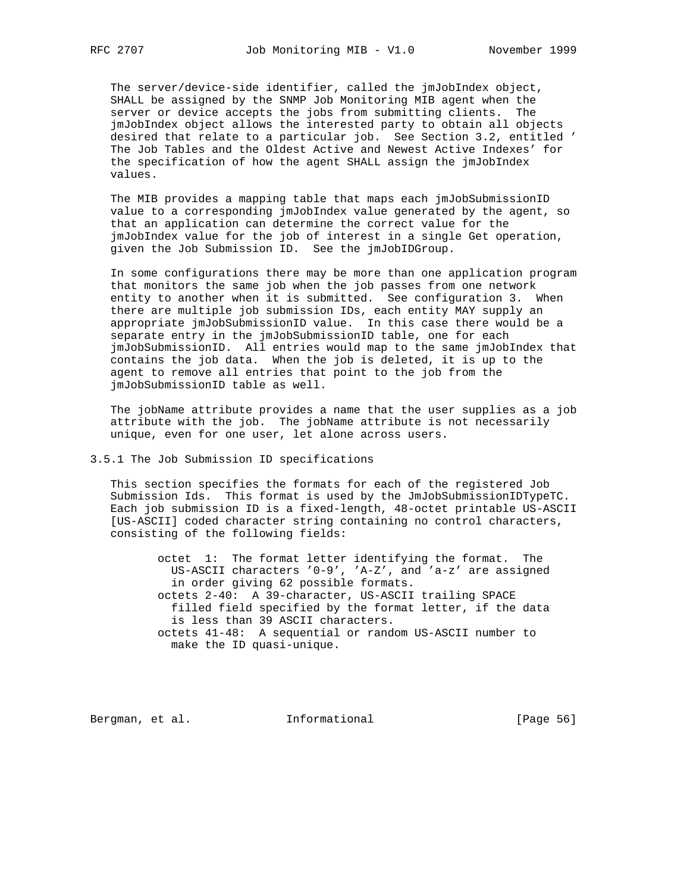The server/device-side identifier, called the jmJobIndex object, SHALL be assigned by the SNMP Job Monitoring MIB agent when the server or device accepts the jobs from submitting clients. The jmJobIndex object allows the interested party to obtain all objects desired that relate to a particular job. See Section 3.2, entitled ' The Job Tables and the Oldest Active and Newest Active Indexes' for the specification of how the agent SHALL assign the jmJobIndex values.

 The MIB provides a mapping table that maps each jmJobSubmissionID value to a corresponding jmJobIndex value generated by the agent, so that an application can determine the correct value for the jmJobIndex value for the job of interest in a single Get operation, given the Job Submission ID. See the jmJobIDGroup.

 In some configurations there may be more than one application program that monitors the same job when the job passes from one network entity to another when it is submitted. See configuration 3. When there are multiple job submission IDs, each entity MAY supply an appropriate jmJobSubmissionID value. In this case there would be a separate entry in the jmJobSubmissionID table, one for each jmJobSubmissionID. All entries would map to the same jmJobIndex that contains the job data. When the job is deleted, it is up to the agent to remove all entries that point to the job from the jmJobSubmissionID table as well.

 The jobName attribute provides a name that the user supplies as a job attribute with the job. The jobName attribute is not necessarily unique, even for one user, let alone across users.

### 3.5.1 The Job Submission ID specifications

 This section specifies the formats for each of the registered Job Submission Ids. This format is used by the JmJobSubmissionIDTypeTC. Each job submission ID is a fixed-length, 48-octet printable US-ASCII [US-ASCII] coded character string containing no control characters, consisting of the following fields:

 octet 1: The format letter identifying the format. The US-ASCII characters '0-9', 'A-Z', and 'a-z' are assigned in order giving 62 possible formats. octets 2-40: A 39-character, US-ASCII trailing SPACE filled field specified by the format letter, if the data is less than 39 ASCII characters. octets 41-48: A sequential or random US-ASCII number to make the ID quasi-unique.

Bergman, et al. **Informational** [Page 56]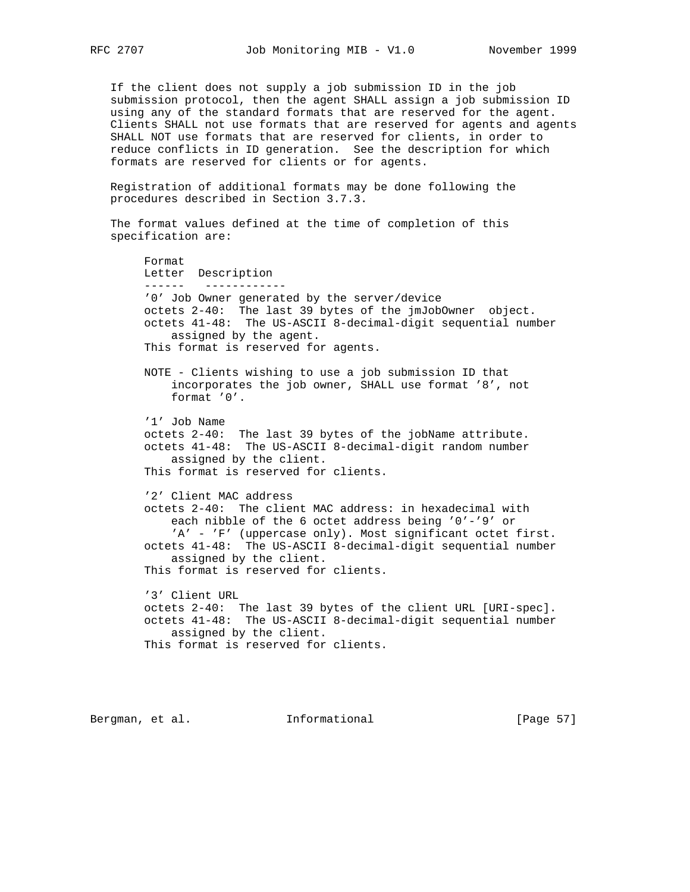If the client does not supply a job submission ID in the job submission protocol, then the agent SHALL assign a job submission ID using any of the standard formats that are reserved for the agent. Clients SHALL not use formats that are reserved for agents and agents SHALL NOT use formats that are reserved for clients, in order to reduce conflicts in ID generation. See the description for which formats are reserved for clients or for agents.

 Registration of additional formats may be done following the procedures described in Section 3.7.3.

 The format values defined at the time of completion of this specification are:

 Format Letter Description ------ ------------ '0' Job Owner generated by the server/device octets 2-40: The last 39 bytes of the jmJobOwner object. octets 41-48: The US-ASCII 8-decimal-digit sequential number assigned by the agent. This format is reserved for agents. NOTE - Clients wishing to use a job submission ID that incorporates the job owner, SHALL use format '8', not format '0'. '1' Job Name octets 2-40: The last 39 bytes of the jobName attribute. octets 41-48: The US-ASCII 8-decimal-digit random number assigned by the client. This format is reserved for clients. '2' Client MAC address octets 2-40: The client MAC address: in hexadecimal with each nibble of the 6 octet address being '0'-'9' or 'A' - 'F' (uppercase only). Most significant octet first. octets 41-48: The US-ASCII 8-decimal-digit sequential number assigned by the client. This format is reserved for clients. '3' Client URL octets 2-40: The last 39 bytes of the client URL [URI-spec]. octets 41-48: The US-ASCII 8-decimal-digit sequential number assigned by the client. This format is reserved for clients.

Bergman, et al. **Informational** [Page 57]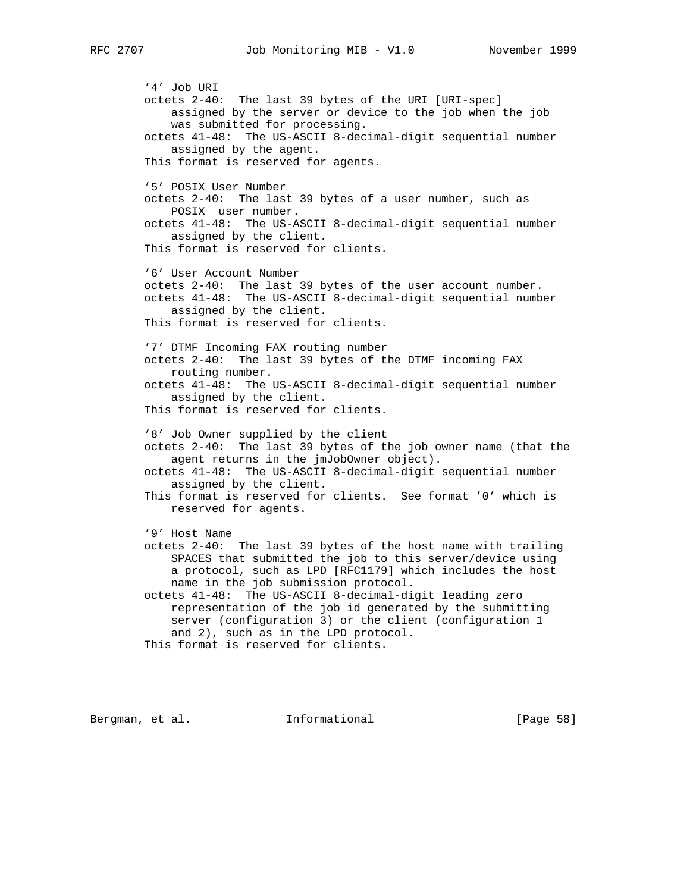'4' Job URI octets 2-40: The last 39 bytes of the URI [URI-spec] assigned by the server or device to the job when the job was submitted for processing. octets 41-48: The US-ASCII 8-decimal-digit sequential number assigned by the agent. This format is reserved for agents. '5' POSIX User Number octets 2-40: The last 39 bytes of a user number, such as POSIX user number. octets 41-48: The US-ASCII 8-decimal-digit sequential number assigned by the client. This format is reserved for clients. '6' User Account Number octets 2-40: The last 39 bytes of the user account number. octets 41-48: The US-ASCII 8-decimal-digit sequential number assigned by the client. This format is reserved for clients. '7' DTMF Incoming FAX routing number octets 2-40: The last 39 bytes of the DTMF incoming FAX routing number. octets 41-48: The US-ASCII 8-decimal-digit sequential number assigned by the client. This format is reserved for clients. '8' Job Owner supplied by the client octets 2-40: The last 39 bytes of the job owner name (that the agent returns in the jmJobOwner object). octets 41-48: The US-ASCII 8-decimal-digit sequential number assigned by the client. This format is reserved for clients. See format '0' which is reserved for agents. '9' Host Name octets 2-40: The last 39 bytes of the host name with trailing SPACES that submitted the job to this server/device using a protocol, such as LPD [RFC1179] which includes the host name in the job submission protocol. octets 41-48: The US-ASCII 8-decimal-digit leading zero representation of the job id generated by the submitting server (configuration 3) or the client (configuration 1 and 2), such as in the LPD protocol. This format is reserved for clients.

Bergman, et al. **Informational** [Page 58]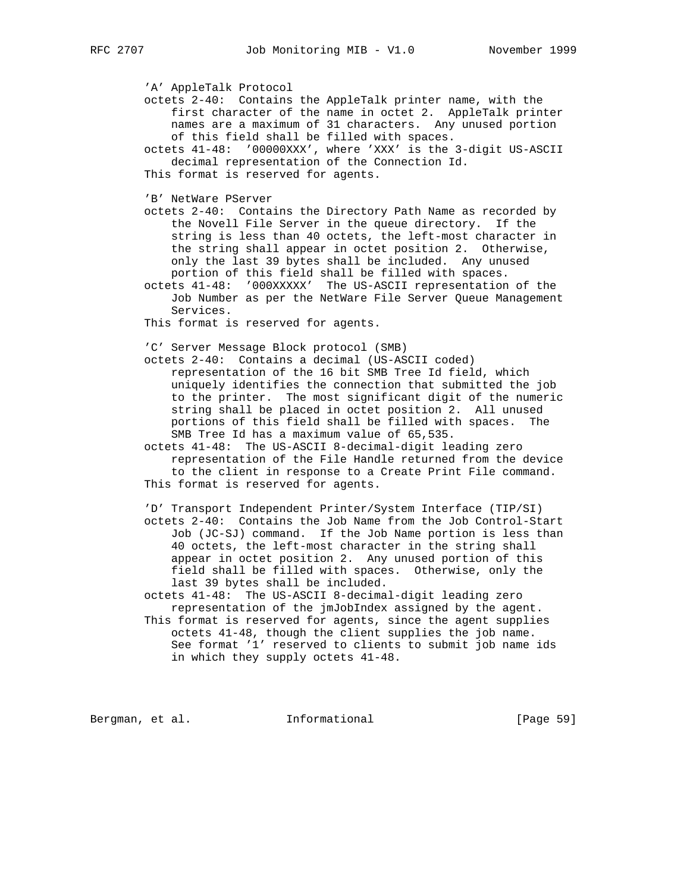'A' AppleTalk Protocol octets 2-40: Contains the AppleTalk printer name, with the first character of the name in octet 2. AppleTalk printer names are a maximum of 31 characters. Any unused portion of this field shall be filled with spaces. octets 41-48: '00000XXX', where 'XXX' is the 3-digit US-ASCII decimal representation of the Connection Id. This format is reserved for agents. 'B' NetWare PServer octets 2-40: Contains the Directory Path Name as recorded by the Novell File Server in the queue directory. If the string is less than 40 octets, the left-most character in the string shall appear in octet position 2. Otherwise, only the last 39 bytes shall be included. Any unused portion of this field shall be filled with spaces. octets 41-48: '000XXXXX' The US-ASCII representation of the Job Number as per the NetWare File Server Queue Management Services. This format is reserved for agents. 'C' Server Message Block protocol (SMB) octets 2-40: Contains a decimal (US-ASCII coded) representation of the 16 bit SMB Tree Id field, which uniquely identifies the connection that submitted the job to the printer. The most significant digit of the numeric string shall be placed in octet position 2. All unused portions of this field shall be filled with spaces. The SMB Tree Id has a maximum value of 65,535. octets 41-48: The US-ASCII 8-decimal-digit leading zero representation of the File Handle returned from the device to the client in response to a Create Print File command. This format is reserved for agents. 'D' Transport Independent Printer/System Interface (TIP/SI) octets 2-40: Contains the Job Name from the Job Control-Start Job (JC-SJ) command. If the Job Name portion is less than 40 octets, the left-most character in the string shall appear in octet position 2. Any unused portion of this field shall be filled with spaces. Otherwise, only the last 39 bytes shall be included. octets 41-48: The US-ASCII 8-decimal-digit leading zero representation of the jmJobIndex assigned by the agent. This format is reserved for agents, since the agent supplies octets 41-48, though the client supplies the job name. See format '1' reserved to clients to submit job name ids in which they supply octets 41-48. Bergman, et al. 1nformational 1999 [Page 59]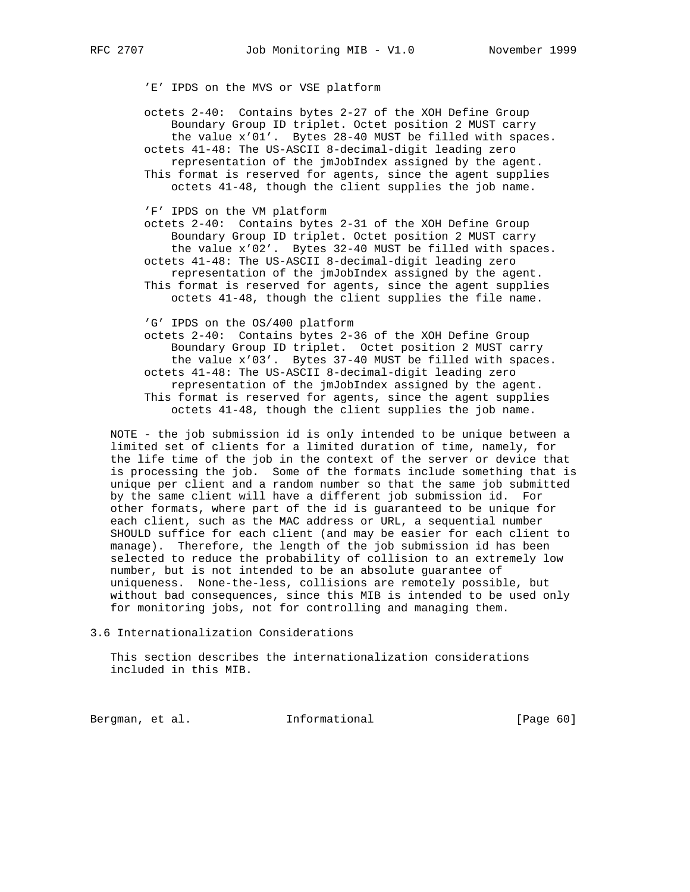'E' IPDS on the MVS or VSE platform

 octets 2-40: Contains bytes 2-27 of the XOH Define Group Boundary Group ID triplet. Octet position 2 MUST carry the value x'01'. Bytes 28-40 MUST be filled with spaces. octets 41-48: The US-ASCII 8-decimal-digit leading zero representation of the jmJobIndex assigned by the agent. This format is reserved for agents, since the agent supplies octets 41-48, though the client supplies the job name.

'F' IPDS on the VM platform

 octets 2-40: Contains bytes 2-31 of the XOH Define Group Boundary Group ID triplet. Octet position 2 MUST carry the value x'02'. Bytes 32-40 MUST be filled with spaces. octets 41-48: The US-ASCII 8-decimal-digit leading zero representation of the jmJobIndex assigned by the agent. This format is reserved for agents, since the agent supplies octets 41-48, though the client supplies the file name.

'G' IPDS on the OS/400 platform

 octets 2-40: Contains bytes 2-36 of the XOH Define Group Boundary Group ID triplet. Octet position 2 MUST carry the value x'03'. Bytes 37-40 MUST be filled with spaces. octets 41-48: The US-ASCII 8-decimal-digit leading zero representation of the jmJobIndex assigned by the agent. This format is reserved for agents, since the agent supplies octets 41-48, though the client supplies the job name.

 NOTE - the job submission id is only intended to be unique between a limited set of clients for a limited duration of time, namely, for the life time of the job in the context of the server or device that is processing the job. Some of the formats include something that is unique per client and a random number so that the same job submitted by the same client will have a different job submission id. For other formats, where part of the id is guaranteed to be unique for each client, such as the MAC address or URL, a sequential number SHOULD suffice for each client (and may be easier for each client to manage). Therefore, the length of the job submission id has been selected to reduce the probability of collision to an extremely low number, but is not intended to be an absolute guarantee of uniqueness. None-the-less, collisions are remotely possible, but without bad consequences, since this MIB is intended to be used only for monitoring jobs, not for controlling and managing them.

3.6 Internationalization Considerations

 This section describes the internationalization considerations included in this MIB.

Bergman, et al. 1nformational [Page 60]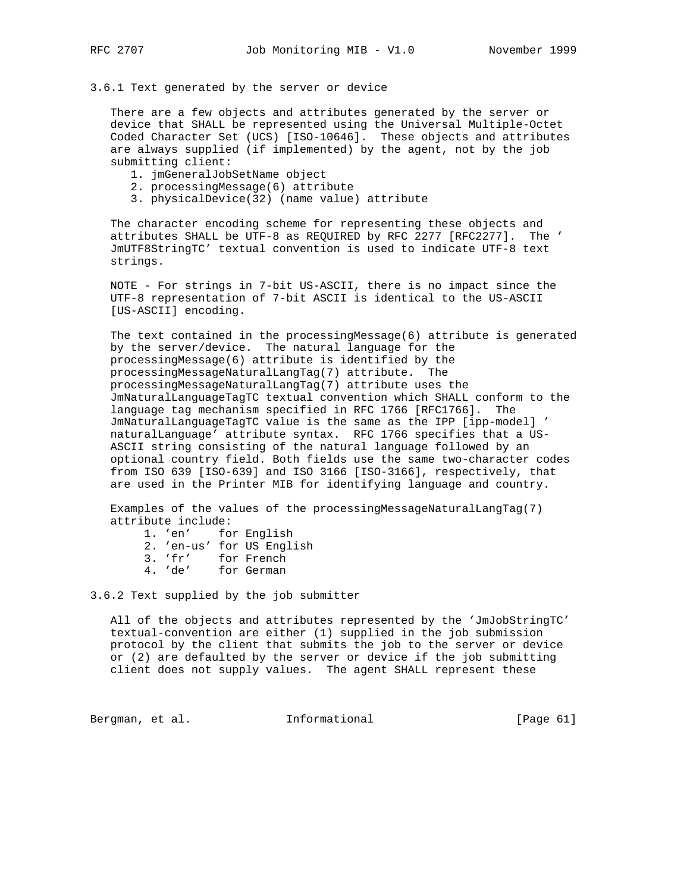#### 3.6.1 Text generated by the server or device

 There are a few objects and attributes generated by the server or device that SHALL be represented using the Universal Multiple-Octet Coded Character Set (UCS) [ISO-10646]. These objects and attributes are always supplied (if implemented) by the agent, not by the job submitting client:

- 1. jmGeneralJobSetName object
- 2. processingMessage(6) attribute
- 3. physicalDevice(32) (name value) attribute

 The character encoding scheme for representing these objects and attributes SHALL be UTF-8 as REQUIRED by RFC 2277 [RFC2277]. The ' JmUTF8StringTC' textual convention is used to indicate UTF-8 text strings.

 NOTE - For strings in 7-bit US-ASCII, there is no impact since the UTF-8 representation of 7-bit ASCII is identical to the US-ASCII [US-ASCII] encoding.

 The text contained in the processingMessage(6) attribute is generated by the server/device. The natural language for the processingMessage(6) attribute is identified by the processingMessageNaturalLangTag(7) attribute. The processingMessageNaturalLangTag(7) attribute uses the JmNaturalLanguageTagTC textual convention which SHALL conform to the language tag mechanism specified in RFC 1766 [RFC1766]. The JmNaturalLanguageTagTC value is the same as the IPP [ipp-model] ' naturalLanguage' attribute syntax. RFC 1766 specifies that a US- ASCII string consisting of the natural language followed by an optional country field. Both fields use the same two-character codes from ISO 639 [ISO-639] and ISO 3166 [ISO-3166], respectively, that are used in the Printer MIB for identifying language and country.

 Examples of the values of the processingMessageNaturalLangTag(7) attribute include:

|  | 1. 'en'   | for English               |
|--|-----------|---------------------------|
|  |           | 2. 'en-us' for US English |
|  | $3.$ 'fr' | for French                |
|  | $4.$ 'de' | for German                |

3.6.2 Text supplied by the job submitter

 All of the objects and attributes represented by the 'JmJobStringTC' textual-convention are either (1) supplied in the job submission protocol by the client that submits the job to the server or device or (2) are defaulted by the server or device if the job submitting client does not supply values. The agent SHALL represent these

Bergman, et al. 1nformational 1999 [Page 61]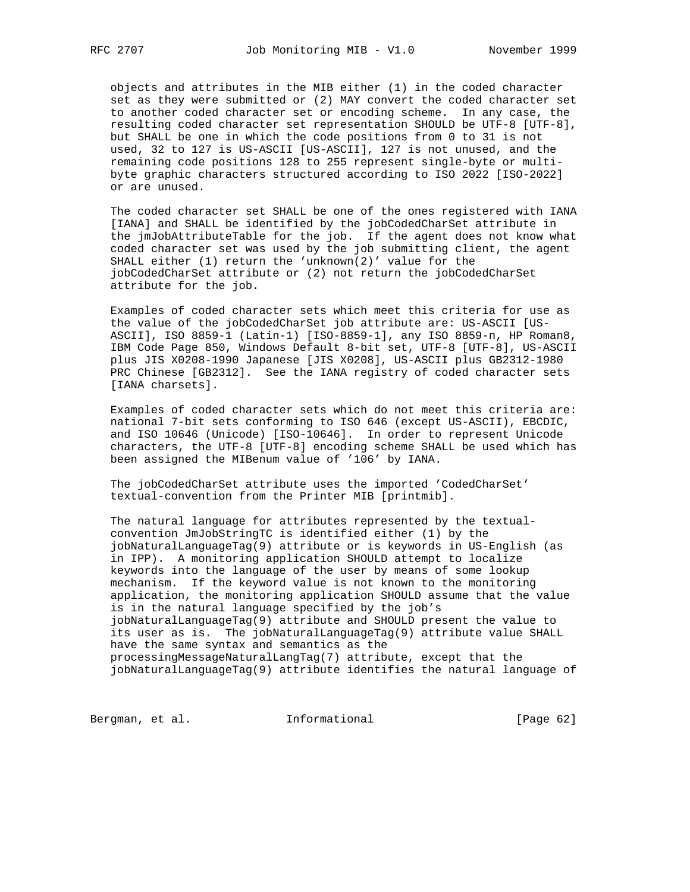objects and attributes in the MIB either (1) in the coded character set as they were submitted or (2) MAY convert the coded character set to another coded character set or encoding scheme. In any case, the resulting coded character set representation SHOULD be UTF-8 [UTF-8], but SHALL be one in which the code positions from 0 to 31 is not used, 32 to 127 is US-ASCII [US-ASCII], 127 is not unused, and the remaining code positions 128 to 255 represent single-byte or multi byte graphic characters structured according to ISO 2022 [ISO-2022] or are unused.

 The coded character set SHALL be one of the ones registered with IANA [IANA] and SHALL be identified by the jobCodedCharSet attribute in the jmJobAttributeTable for the job. If the agent does not know what coded character set was used by the job submitting client, the agent SHALL either (1) return the 'unknown(2)' value for the jobCodedCharSet attribute or (2) not return the jobCodedCharSet attribute for the job.

 Examples of coded character sets which meet this criteria for use as the value of the jobCodedCharSet job attribute are: US-ASCII [US- ASCII], ISO 8859-1 (Latin-1) [ISO-8859-1], any ISO 8859-n, HP Roman8, IBM Code Page 850, Windows Default 8-bit set, UTF-8 [UTF-8], US-ASCII plus JIS X0208-1990 Japanese [JIS X0208], US-ASCII plus GB2312-1980 PRC Chinese [GB2312]. See the IANA registry of coded character sets [IANA charsets].

 Examples of coded character sets which do not meet this criteria are: national 7-bit sets conforming to ISO 646 (except US-ASCII), EBCDIC, and ISO 10646 (Unicode) [ISO-10646]. In order to represent Unicode characters, the UTF-8 [UTF-8] encoding scheme SHALL be used which has been assigned the MIBenum value of '106' by IANA.

 The jobCodedCharSet attribute uses the imported 'CodedCharSet' textual-convention from the Printer MIB [printmib].

 The natural language for attributes represented by the textual convention JmJobStringTC is identified either (1) by the jobNaturalLanguageTag(9) attribute or is keywords in US-English (as in IPP). A monitoring application SHOULD attempt to localize keywords into the language of the user by means of some lookup mechanism. If the keyword value is not known to the monitoring application, the monitoring application SHOULD assume that the value is in the natural language specified by the job's jobNaturalLanguageTag(9) attribute and SHOULD present the value to its user as is. The jobNaturalLanguageTag(9) attribute value SHALL have the same syntax and semantics as the processingMessageNaturalLangTag(7) attribute, except that the jobNaturalLanguageTag(9) attribute identifies the natural language of

Bergman, et al. 1nformational 1999 [Page 62]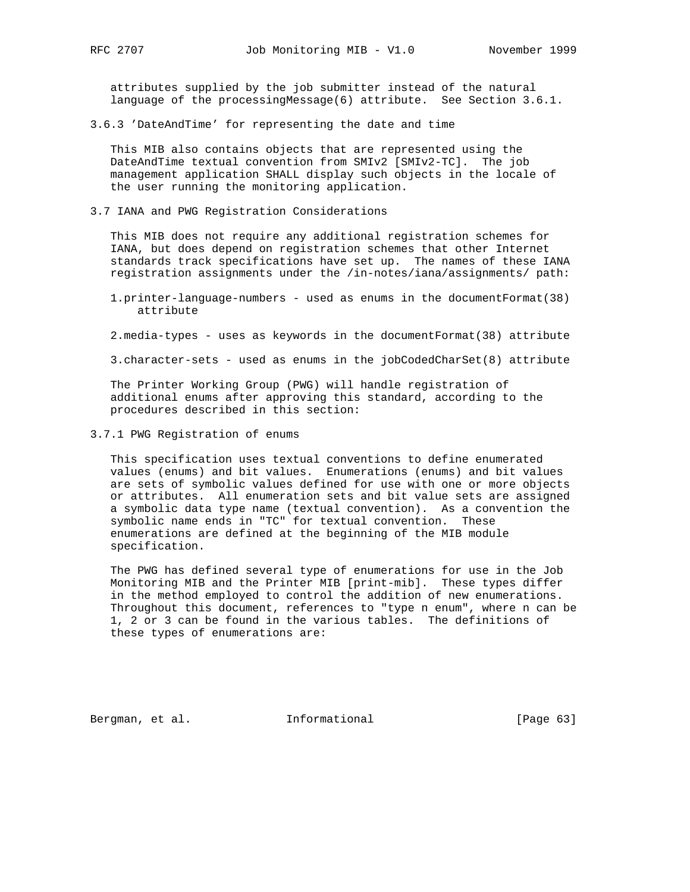attributes supplied by the job submitter instead of the natural language of the processingMessage(6) attribute. See Section 3.6.1.

3.6.3 'DateAndTime' for representing the date and time

 This MIB also contains objects that are represented using the DateAndTime textual convention from SMIv2 [SMIv2-TC]. The job management application SHALL display such objects in the locale of the user running the monitoring application.

3.7 IANA and PWG Registration Considerations

 This MIB does not require any additional registration schemes for IANA, but does depend on registration schemes that other Internet standards track specifications have set up. The names of these IANA registration assignments under the /in-notes/iana/assignments/ path:

- 1.printer-language-numbers used as enums in the documentFormat(38) attribute
- 2.media-types uses as keywords in the documentFormat(38) attribute
- 3.character-sets used as enums in the jobCodedCharSet(8) attribute

 The Printer Working Group (PWG) will handle registration of additional enums after approving this standard, according to the procedures described in this section:

3.7.1 PWG Registration of enums

 This specification uses textual conventions to define enumerated values (enums) and bit values. Enumerations (enums) and bit values are sets of symbolic values defined for use with one or more objects or attributes. All enumeration sets and bit value sets are assigned a symbolic data type name (textual convention). As a convention the symbolic name ends in "TC" for textual convention. These enumerations are defined at the beginning of the MIB module specification.

 The PWG has defined several type of enumerations for use in the Job Monitoring MIB and the Printer MIB [print-mib]. These types differ in the method employed to control the addition of new enumerations. Throughout this document, references to "type n enum", where n can be 1, 2 or 3 can be found in the various tables. The definitions of these types of enumerations are:

Bergman, et al. **Informational** [Page 63]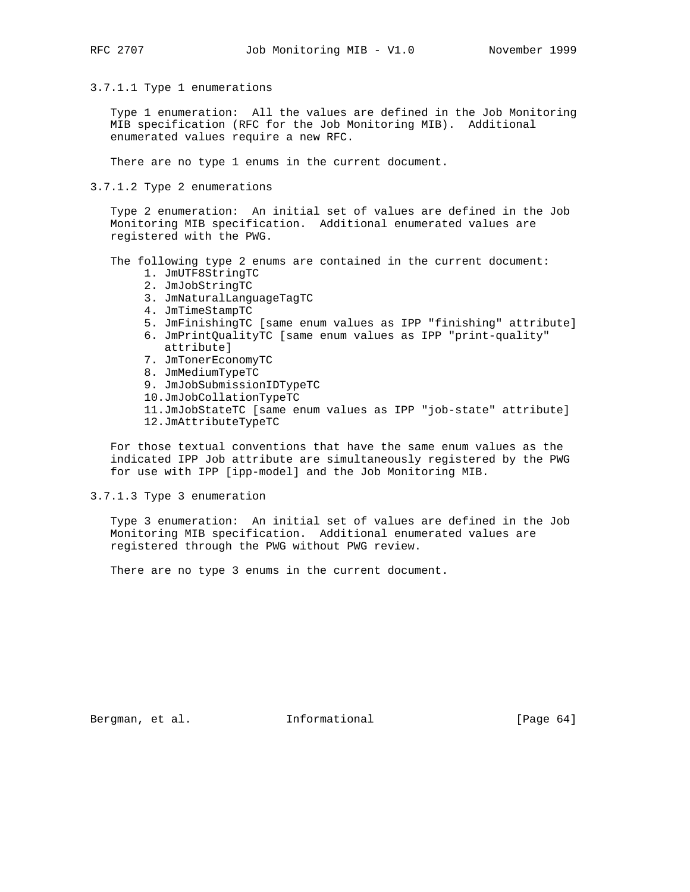3.7.1.1 Type 1 enumerations

 Type 1 enumeration: All the values are defined in the Job Monitoring MIB specification (RFC for the Job Monitoring MIB). Additional enumerated values require a new RFC.

There are no type 1 enums in the current document.

3.7.1.2 Type 2 enumerations

 Type 2 enumeration: An initial set of values are defined in the Job Monitoring MIB specification. Additional enumerated values are registered with the PWG.

The following type 2 enums are contained in the current document:

- 1. JmUTF8StringTC
- 2. JmJobStringTC
- 3. JmNaturalLanguageTagTC
- 4. JmTimeStampTC
- 5. JmFinishingTC [same enum values as IPP "finishing" attribute]
- 6. JmPrintQualityTC [same enum values as IPP "print-quality" attribute]
- 7. JmTonerEconomyTC
- 8. JmMediumTypeTC
- 9. JmJobSubmissionIDTypeTC
- 10.JmJobCollationTypeTC
- 11.JmJobStateTC [same enum values as IPP "job-state" attribute]
- 12.JmAttributeTypeTC

 For those textual conventions that have the same enum values as the indicated IPP Job attribute are simultaneously registered by the PWG for use with IPP [ipp-model] and the Job Monitoring MIB.

3.7.1.3 Type 3 enumeration

 Type 3 enumeration: An initial set of values are defined in the Job Monitoring MIB specification. Additional enumerated values are registered through the PWG without PWG review.

There are no type 3 enums in the current document.

Bergman, et al. **Informational** [Page 64]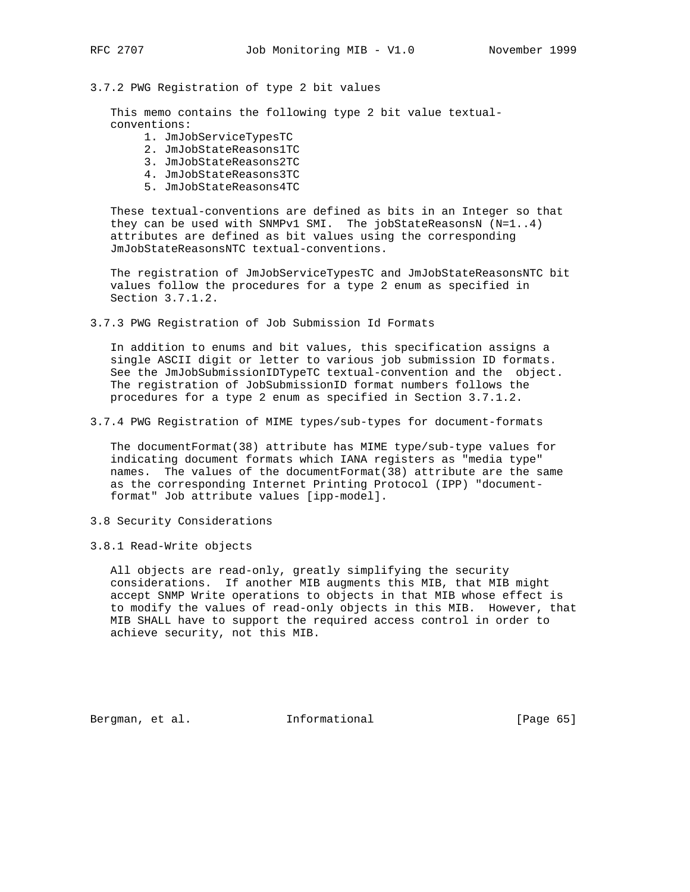## 3.7.2 PWG Registration of type 2 bit values

 This memo contains the following type 2 bit value textual conventions:

- 1. JmJobServiceTypesTC
- 2. JmJobStateReasons1TC
- 3. JmJobStateReasons2TC
- 4. JmJobStateReasons3TC
- 5. JmJobStateReasons4TC

 These textual-conventions are defined as bits in an Integer so that they can be used with SNMPv1 SMI. The jobStateReasonsN  $(N=1..4)$  attributes are defined as bit values using the corresponding JmJobStateReasonsNTC textual-conventions.

 The registration of JmJobServiceTypesTC and JmJobStateReasonsNTC bit values follow the procedures for a type 2 enum as specified in Section 3.7.1.2.

3.7.3 PWG Registration of Job Submission Id Formats

 In addition to enums and bit values, this specification assigns a single ASCII digit or letter to various job submission ID formats. See the JmJobSubmissionIDTypeTC textual-convention and the object. The registration of JobSubmissionID format numbers follows the procedures for a type 2 enum as specified in Section 3.7.1.2.

3.7.4 PWG Registration of MIME types/sub-types for document-formats

 The documentFormat(38) attribute has MIME type/sub-type values for indicating document formats which IANA registers as "media type" names. The values of the documentFormat(38) attribute are the same as the corresponding Internet Printing Protocol (IPP) "document format" Job attribute values [ipp-model].

- 3.8 Security Considerations
- 3.8.1 Read-Write objects

 All objects are read-only, greatly simplifying the security considerations. If another MIB augments this MIB, that MIB might accept SNMP Write operations to objects in that MIB whose effect is to modify the values of read-only objects in this MIB. However, that MIB SHALL have to support the required access control in order to achieve security, not this MIB.

Bergman, et al. **Informational** [Page 65]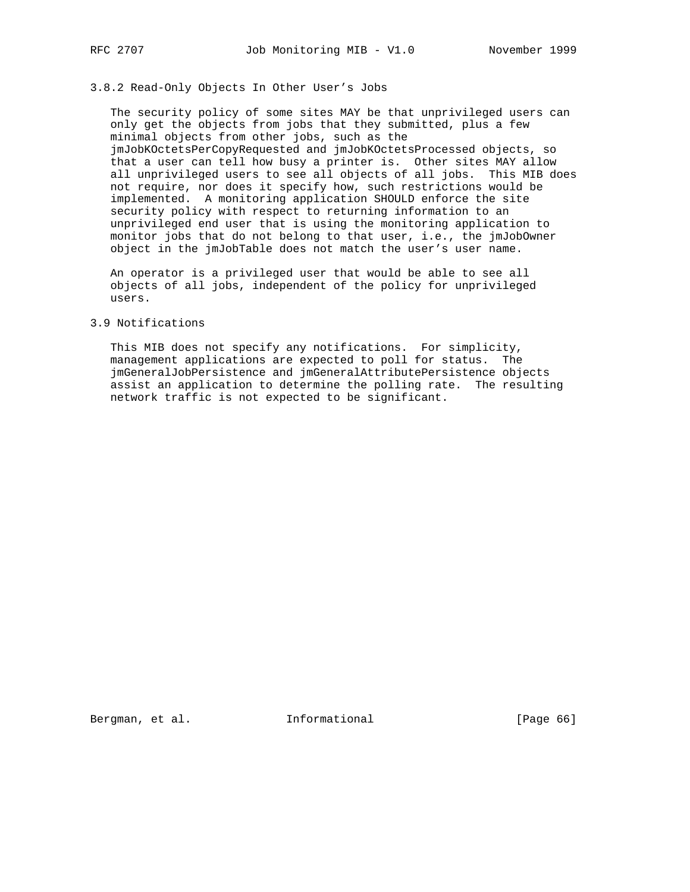# 3.8.2 Read-Only Objects In Other User's Jobs

 The security policy of some sites MAY be that unprivileged users can only get the objects from jobs that they submitted, plus a few minimal objects from other jobs, such as the jmJobKOctetsPerCopyRequested and jmJobKOctetsProcessed objects, so that a user can tell how busy a printer is. Other sites MAY allow all unprivileged users to see all objects of all jobs. This MIB does not require, nor does it specify how, such restrictions would be implemented. A monitoring application SHOULD enforce the site security policy with respect to returning information to an unprivileged end user that is using the monitoring application to monitor jobs that do not belong to that user, i.e., the jmJobOwner object in the jmJobTable does not match the user's user name.

 An operator is a privileged user that would be able to see all objects of all jobs, independent of the policy for unprivileged users.

### 3.9 Notifications

 This MIB does not specify any notifications. For simplicity, management applications are expected to poll for status. The jmGeneralJobPersistence and jmGeneralAttributePersistence objects assist an application to determine the polling rate. The resulting network traffic is not expected to be significant.

Bergman, et al. **Informational** [Page 66]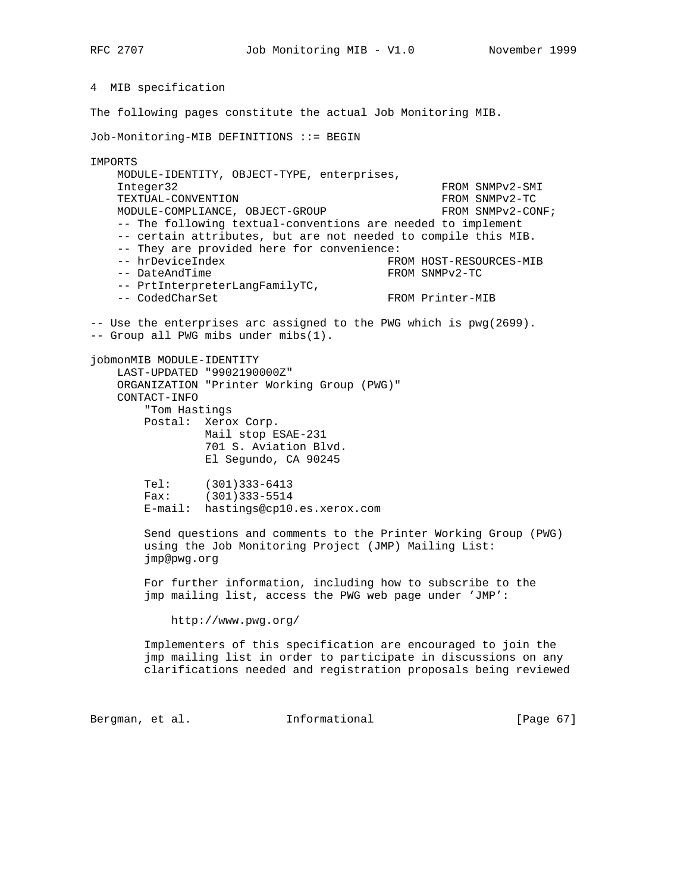4 MIB specification

The following pages constitute the actual Job Monitoring MIB.

Job-Monitoring-MIB DEFINITIONS ::= BEGIN

IMPORTS MODULE-IDENTITY, OBJECT-TYPE, enterprises, Integer32 FROM SNMPv2-SMI TEXTUAL-CONVENTION FROM SNMPv2-TC MODULE-COMPLIANCE, OBJECT-GROUP FROM SNMPv2-CONF; -- The following textual-conventions are needed to implement -- certain attributes, but are not needed to compile this MIB. -- They are provided here for convenience: -- hrDeviceIndex FROM HOST-RESOURCES-MIB -- DateAndTime FROM SNMPv2-TC -- PrtInterpreterLangFamilyTC, -- CodedCharSet FROM Printer-MIB -- Use the enterprises arc assigned to the PWG which is pwg(2699). -- Group all PWG mibs under mibs(1). jobmonMIB MODULE-IDENTITY LAST-UPDATED "9902190000Z" ORGANIZATION "Printer Working Group (PWG)" CONTACT-INFO "Tom Hastings Postal: Xerox Corp. Mail stop ESAE-231 701 S. Aviation Blvd. El Segundo, CA 90245 Tel: (301)333-6413 Fax: (301)333-5514 E-mail: hastings@cp10.es.xerox.com Send questions and comments to the Printer Working Group (PWG) using the Job Monitoring Project (JMP) Mailing List: jmp@pwg.org For further information, including how to subscribe to the jmp mailing list, access the PWG web page under 'JMP': http://www.pwg.org/ Implementers of this specification are encouraged to join the jmp mailing list in order to participate in discussions on any clarifications needed and registration proposals being reviewed

Bergman, et al. 1nformational [Page 67]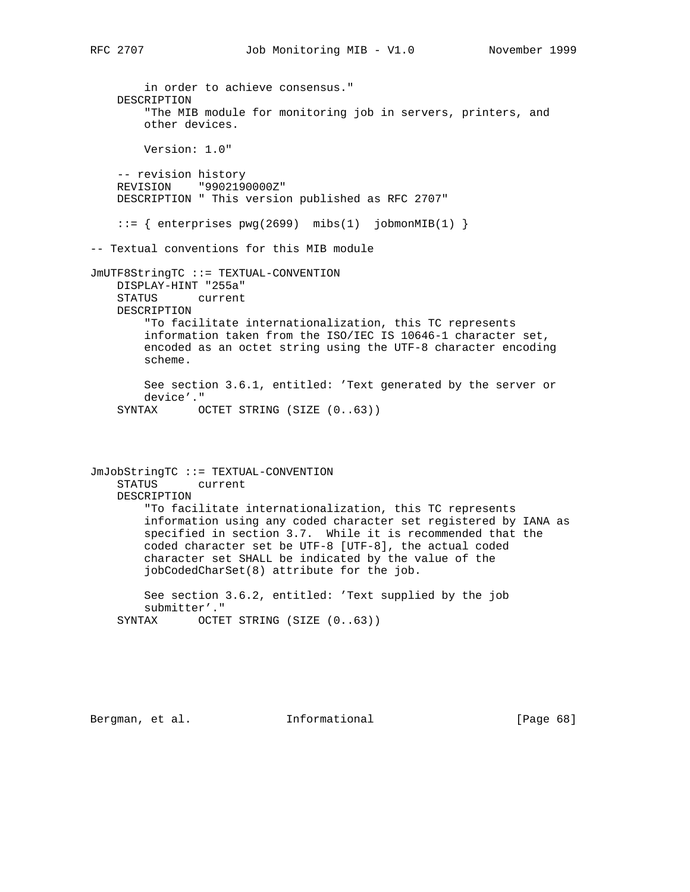in order to achieve consensus." DESCRIPTION "The MIB module for monitoring job in servers, printers, and other devices. Version: 1.0" -- revision history REVISION "9902190000Z" DESCRIPTION " This version published as RFC 2707"  $::=$  { enterprises pwg(2699) mibs(1) jobmonMIB(1) } -- Textual conventions for this MIB module JmUTF8StringTC ::= TEXTUAL-CONVENTION DISPLAY-HINT "255a" STATUS current DESCRIPTION "To facilitate internationalization, this TC represents information taken from the ISO/IEC IS 10646-1 character set, encoded as an octet string using the UTF-8 character encoding scheme. See section 3.6.1, entitled: 'Text generated by the server or device'." SYNTAX OCTET STRING (SIZE (0..63)) JmJobStringTC ::= TEXTUAL-CONVENTION STATUS current DESCRIPTION "To facilitate internationalization, this TC represents information using any coded character set registered by IANA as specified in section 3.7. While it is recommended that the coded character set be UTF-8 [UTF-8], the actual coded character set SHALL be indicated by the value of the jobCodedCharSet(8) attribute for the job. See section 3.6.2, entitled: 'Text supplied by the job submitter'." SYNTAX OCTET STRING (SIZE  $(0..63)$ )

Bergman, et al. **Informational** [Page 68]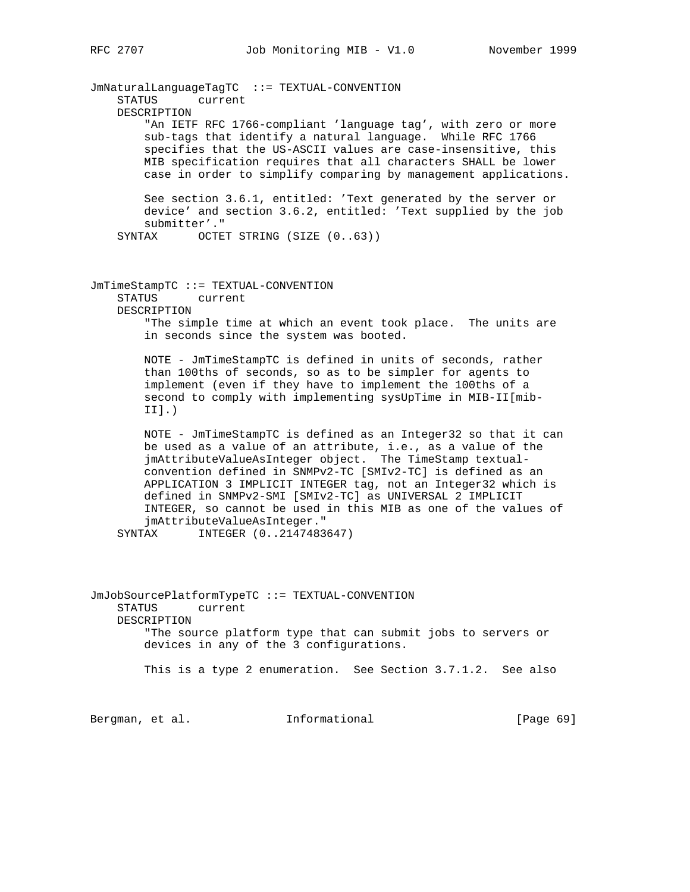JmNaturalLanguageTagTC ::= TEXTUAL-CONVENTION STATUS current DESCRIPTION "An IETF RFC 1766-compliant 'language tag', with zero or more sub-tags that identify a natural language. While RFC 1766 specifies that the US-ASCII values are case-insensitive, this MIB specification requires that all characters SHALL be lower case in order to simplify comparing by management applications. See section 3.6.1, entitled: 'Text generated by the server or device' and section 3.6.2, entitled: 'Text supplied by the job submitter'." SYNTAX OCTET STRING (SIZE (0..63))

JmTimeStampTC ::= TEXTUAL-CONVENTION STATUS current DESCRIPTION "The simple time at which an event took place. The units are

in seconds since the system was booted.

 NOTE - JmTimeStampTC is defined in units of seconds, rather than 100ths of seconds, so as to be simpler for agents to implement (even if they have to implement the 100ths of a second to comply with implementing sysUpTime in MIB-II[mib- II].)

 NOTE - JmTimeStampTC is defined as an Integer32 so that it can be used as a value of an attribute, i.e., as a value of the jmAttributeValueAsInteger object. The TimeStamp textual convention defined in SNMPv2-TC [SMIv2-TC] is defined as an APPLICATION 3 IMPLICIT INTEGER tag, not an Integer32 which is defined in SNMPv2-SMI [SMIv2-TC] as UNIVERSAL 2 IMPLICIT INTEGER, so cannot be used in this MIB as one of the values of jmAttributeValueAsInteger."

SYNTAX INTEGER (0..2147483647)

JmJobSourcePlatformTypeTC ::= TEXTUAL-CONVENTION STATUS current DESCRIPTION "The source platform type that can submit jobs to servers or devices in any of the 3 configurations. This is a type 2 enumeration. See Section 3.7.1.2. See also

Bergman, et al. **Informational** [Page 69]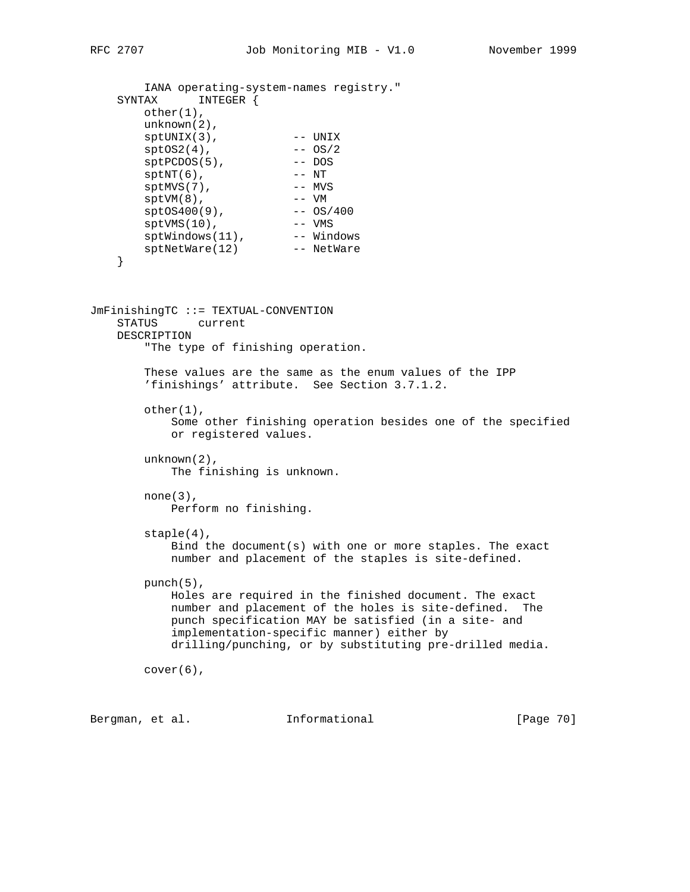```
 IANA operating-system-names registry."
    SYNTAX INTEGER {
        other(1),
        unknown(2),
 sptUNIX(3), -- UNIX
sptOS2(4), -- OS/2sptPCDOS(5), -- DOS
sptNT(6), -- NT
sptMVS(7), --- MVS
       sptMVS(7), -- MVS<br>
sptVM(8), -- VM<br>
sptOS400(9), -- OS/400
       sptOS400(9),<br>sptVMS(10),
sptVMS(10), --- VMS
sptWindows(11),  -- Windows
 sptNetWare(12) -- NetWare
    }
JmFinishingTC ::= TEXTUAL-CONVENTION
    STATUS current
    DESCRIPTION
        "The type of finishing operation.
        These values are the same as the enum values of the IPP
        'finishings' attribute. See Section 3.7.1.2.
       other(1),
            Some other finishing operation besides one of the specified
            or registered values.
        unknown(2),
           The finishing is unknown.
       none(3),
           Perform no finishing.
        staple(4),
            Bind the document(s) with one or more staples. The exact
            number and placement of the staples is site-defined.
        punch(5),
           Holes are required in the finished document. The exact
           number and placement of the holes is site-defined. The
           punch specification MAY be satisfied (in a site- and
            implementation-specific manner) either by
            drilling/punching, or by substituting pre-drilled media.
        cover(6),
Bergman, et al. Informational [Page 70]
```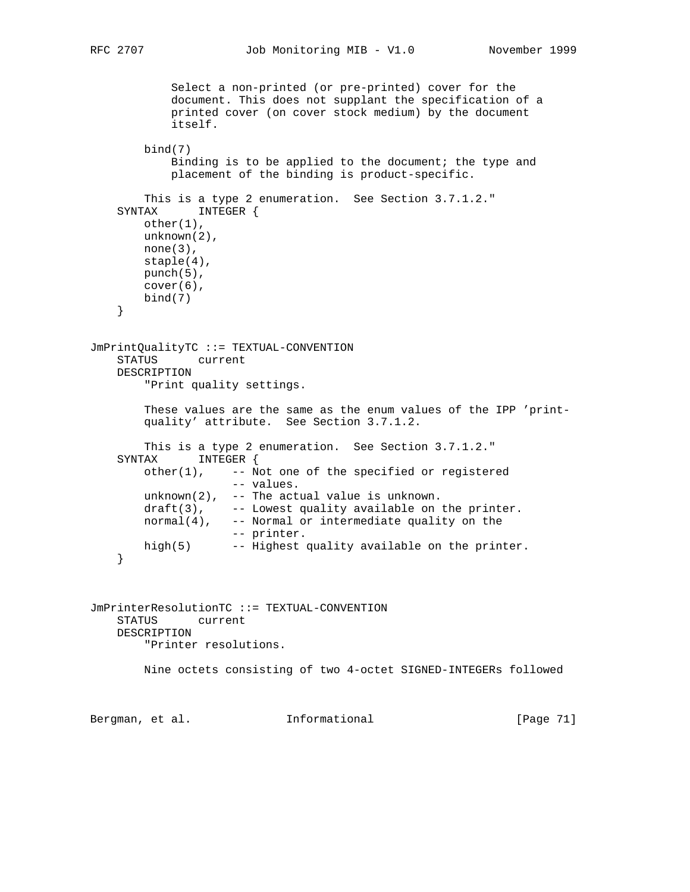```
 Select a non-printed (or pre-printed) cover for the
            document. This does not supplant the specification of a
            printed cover (on cover stock medium) by the document
            itself.
        bind(7)
            Binding is to be applied to the document; the type and
            placement of the binding is product-specific.
        This is a type 2 enumeration. See Section 3.7.1.2."
    SYNTAX INTEGER {
        other(1),
        unknown(2),
       none(3),
        staple(4),
        punch(5),
        cover(6),
        bind(7)
     }
JmPrintQualityTC ::= TEXTUAL-CONVENTION
    STATUS current
    DESCRIPTION
        "Print quality settings.
        These values are the same as the enum values of the IPP 'print-
        quality' attribute. See Section 3.7.1.2.
        This is a type 2 enumeration. See Section 3.7.1.2."
    SYNTAX INTEGER {
       other(1), -- Not one of the specified or registered
                     -- values.
        unknown(2), -- The actual value is unknown.
       draff(3), -- Lowest quality available on the printer.
       normal(4), -- Normal or intermediate quality on the
                    -- printer.
        high(5) -- Highest quality available on the printer.
     }
JmPrinterResolutionTC ::= TEXTUAL-CONVENTION
    STATUS current
    DESCRIPTION
        "Printer resolutions.
        Nine octets consisting of two 4-octet SIGNED-INTEGERs followed
Bergman, et al. Informational [Page 71]
```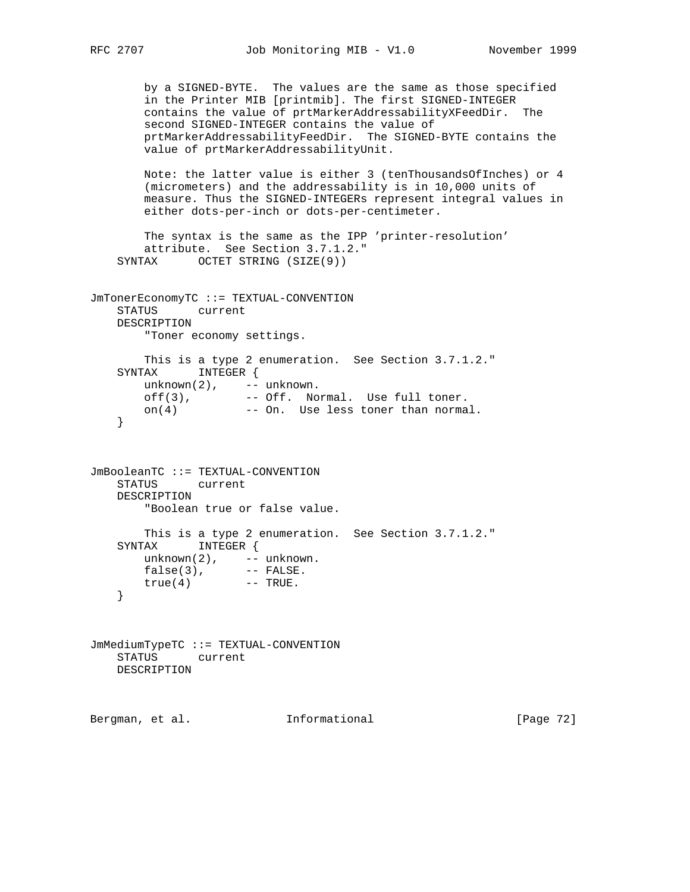```
 by a SIGNED-BYTE. The values are the same as those specified
        in the Printer MIB [printmib]. The first SIGNED-INTEGER
        contains the value of prtMarkerAddressabilityXFeedDir. The
        second SIGNED-INTEGER contains the value of
        prtMarkerAddressabilityFeedDir. The SIGNED-BYTE contains the
        value of prtMarkerAddressabilityUnit.
        Note: the latter value is either 3 (tenThousandsOfInches) or 4
        (micrometers) and the addressability is in 10,000 units of
        measure. Thus the SIGNED-INTEGERs represent integral values in
        either dots-per-inch or dots-per-centimeter.
        The syntax is the same as the IPP 'printer-resolution'
        attribute. See Section 3.7.1.2."
    SYNTAX OCTET STRING (SIZE(9))
JmTonerEconomyTC ::= TEXTUAL-CONVENTION
    STATUS current
    DESCRIPTION
        "Toner economy settings.
        This is a type 2 enumeration. See Section 3.7.1.2."
    SYNTAX INTEGER {
       unknown(2), -- unknown. off(3), -- Off. Normal. Use full toner.
 on(4) -- On. Use less toner than normal.
    }
JmBooleanTC ::= TEXTUAL-CONVENTION
    STATUS current
    DESCRIPTION
        "Boolean true or false value.
        This is a type 2 enumeration. See Section 3.7.1.2."
    SYNTAX INTEGER {
unknown(2), -- unknown.
 false(3), -- FALSE.
true(4) -- TRUE.
    }
JmMediumTypeTC ::= TEXTUAL-CONVENTION
    STATUS current
```

```
 DESCRIPTION
```
Bergman, et al. **Informational** [Page 72]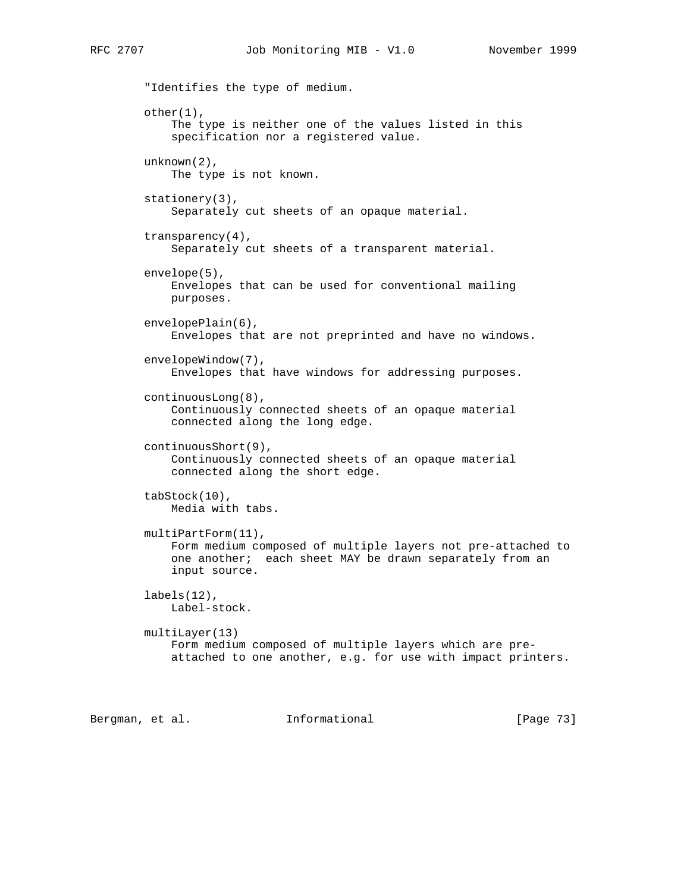"Identifies the type of medium. other(1), The type is neither one of the values listed in this specification nor a registered value. unknown(2), The type is not known. stationery(3), Separately cut sheets of an opaque material. transparency(4), Separately cut sheets of a transparent material. envelope(5), Envelopes that can be used for conventional mailing purposes. envelopePlain(6), Envelopes that are not preprinted and have no windows. envelopeWindow(7), Envelopes that have windows for addressing purposes. continuousLong(8), Continuously connected sheets of an opaque material connected along the long edge. continuousShort(9), Continuously connected sheets of an opaque material connected along the short edge. tabStock(10), Media with tabs. multiPartForm(11), Form medium composed of multiple layers not pre-attached to one another; each sheet MAY be drawn separately from an input source. labels(12), Label-stock. multiLayer(13) Form medium composed of multiple layers which are pre attached to one another, e.g. for use with impact printers.

Bergman, et al. **Informational** [Page 73]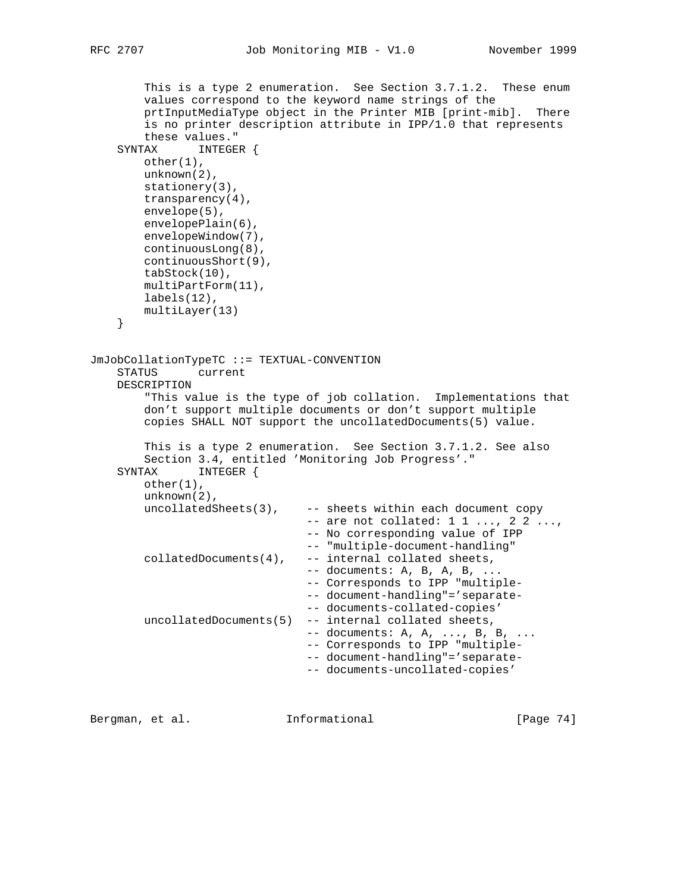```
 This is a type 2 enumeration. See Section 3.7.1.2. These enum
         values correspond to the keyword name strings of the
         prtInputMediaType object in the Printer MIB [print-mib]. There
         is no printer description attribute in IPP/1.0 that represents
         these values."
     SYNTAX INTEGER {
        other(1),
        unknown(2),
        stationery(3),
        transparency(4),
        envelope(5),
       envelopePlain(6),
        envelopeWindow(7),
        continuousLong(8),
         continuousShort(9),
         tabStock(10),
        multiPartForm(11),
       labels(12),
        multiLayer(13)
     }
JmJobCollationTypeTC ::= TEXTUAL-CONVENTION
     STATUS current
    DESCRIPTION
         "This value is the type of job collation. Implementations that
         don't support multiple documents or don't support multiple
         copies SHALL NOT support the uncollatedDocuments(5) value.
         This is a type 2 enumeration. See Section 3.7.1.2. See also
         Section 3.4, entitled 'Monitoring Job Progress'."
     SYNTAX INTEGER {
        other(1),
        unknown(2),
         uncollatedSheets(3), -- sheets within each document copy
                                -- are not collated: 1 1 ..., 2 2 ...,
                                 -- No corresponding value of IPP
                                 -- "multiple-document-handling"
        collatedDocuments(4), -- internal collated sheets,
                                 -- documents: A, B, A, B, ...
                                 -- Corresponds to IPP "multiple-
                                 -- document-handling"='separate-
                                 -- documents-collated-copies'
         uncollatedDocuments(5) -- internal collated sheets,
                                -- documents: A, A, ..., B, B, ...
                                 -- Corresponds to IPP "multiple-
                                 -- document-handling"='separate-
                                 -- documents-uncollated-copies'
```
Bergman, et al. **Informational** [Page 74]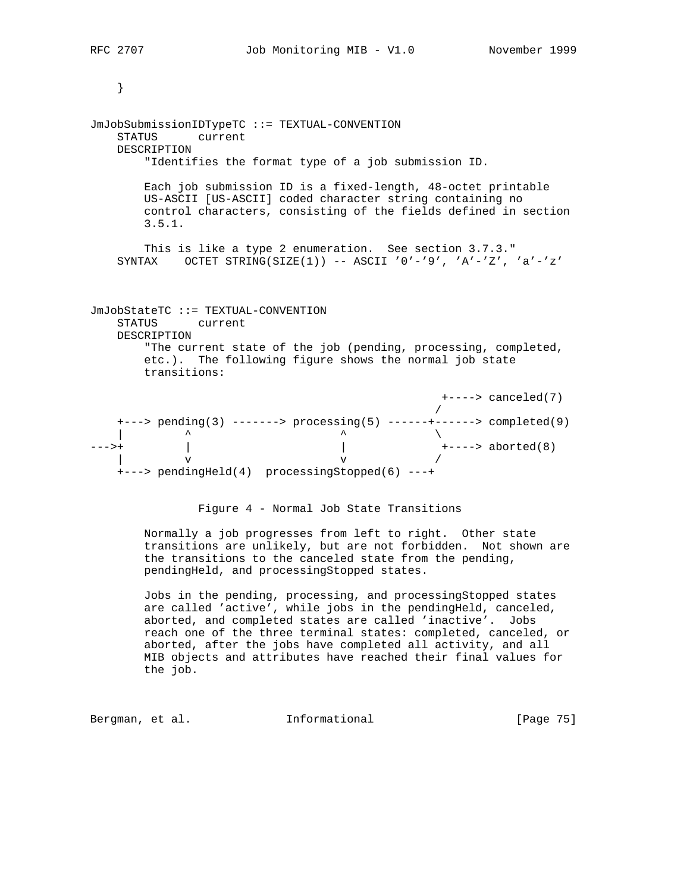```
 }
```
JmJobSubmissionIDTypeTC ::= TEXTUAL-CONVENTION STATUS current DESCRIPTION "Identifies the format type of a job submission ID. Each job submission ID is a fixed-length, 48-octet printable US-ASCII [US-ASCII] coded character string containing no control characters, consisting of the fields defined in section 3.5.1. This is like a type 2 enumeration. See section 3.7.3." SYNTAX OCTET STRING(SIZE(1)) -- ASCII '0'-'9', 'A'-'Z', 'a'-'z' JmJobStateTC ::= TEXTUAL-CONVENTION STATUS current DESCRIPTION "The current state of the job (pending, processing, completed, etc.). The following figure shows the normal job state transitions: +----> canceled(7)<br>/ / +---> pending(3) -------> processing(5) ------+------> completed(9)  $\qquad \qquad \wedge$ --->+ | | +----> aborted(8)  $\mathbf v$   $\mathbf v$  / +---> pendingHeld(4) processingStopped(6) ---+ Figure 4 - Normal Job State Transitions Normally a job progresses from left to right. Other state transitions are unlikely, but are not forbidden. Not shown are the transitions to the canceled state from the pending,

> Jobs in the pending, processing, and processingStopped states are called 'active', while jobs in the pendingHeld, canceled, aborted, and completed states are called 'inactive'. Jobs reach one of the three terminal states: completed, canceled, or aborted, after the jobs have completed all activity, and all MIB objects and attributes have reached their final values for the job.

Bergman, et al. **Informational** [Page 75]

pendingHeld, and processingStopped states.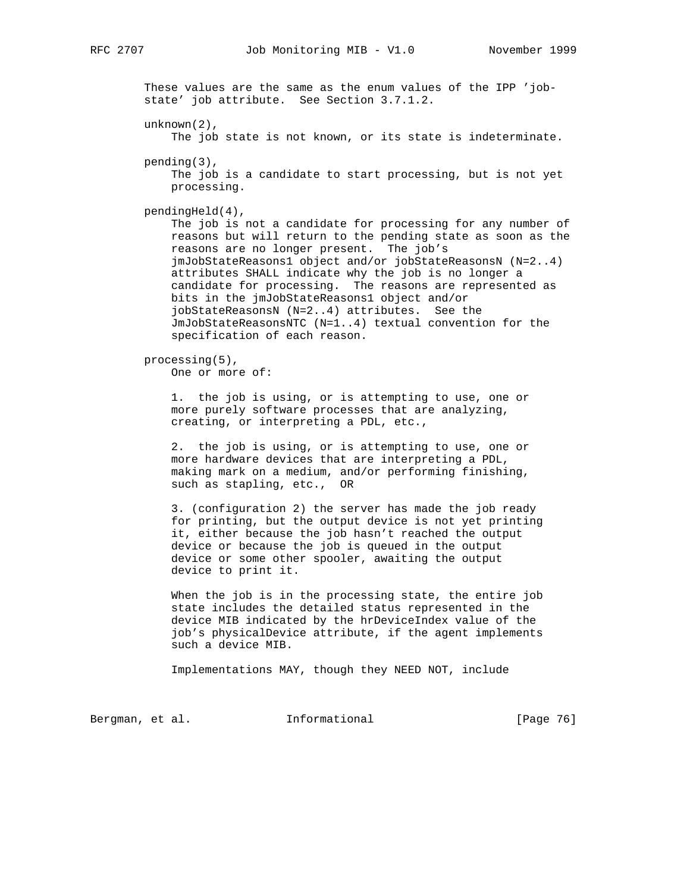These values are the same as the enum values of the IPP 'job state' job attribute. See Section 3.7.1.2. unknown(2), The job state is not known, or its state is indeterminate. pending(3), The job is a candidate to start processing, but is not yet processing. pendingHeld(4), The job is not a candidate for processing for any number of reasons but will return to the pending state as soon as the reasons are no longer present. The job's jmJobStateReasons1 object and/or jobStateReasonsN (N=2..4) attributes SHALL indicate why the job is no longer a candidate for processing. The reasons are represented as bits in the jmJobStateReasons1 object and/or jobStateReasonsN (N=2..4) attributes. See the JmJobStateReasonsNTC (N=1..4) textual convention for the specification of each reason. processing(5), One or more of: 1. the job is using, or is attempting to use, one or more purely software processes that are analyzing, creating, or interpreting a PDL, etc., 2. the job is using, or is attempting to use, one or more hardware devices that are interpreting a PDL, making mark on a medium, and/or performing finishing, such as stapling, etc., OR 3. (configuration 2) the server has made the job ready for printing, but the output device is not yet printing it, either because the job hasn't reached the output device or because the job is queued in the output device or some other spooler, awaiting the output device to print it. When the job is in the processing state, the entire job state includes the detailed status represented in the device MIB indicated by the hrDeviceIndex value of the job's physicalDevice attribute, if the agent implements such a device MIB. Implementations MAY, though they NEED NOT, include Bergman, et al. **Informational** [Page 76]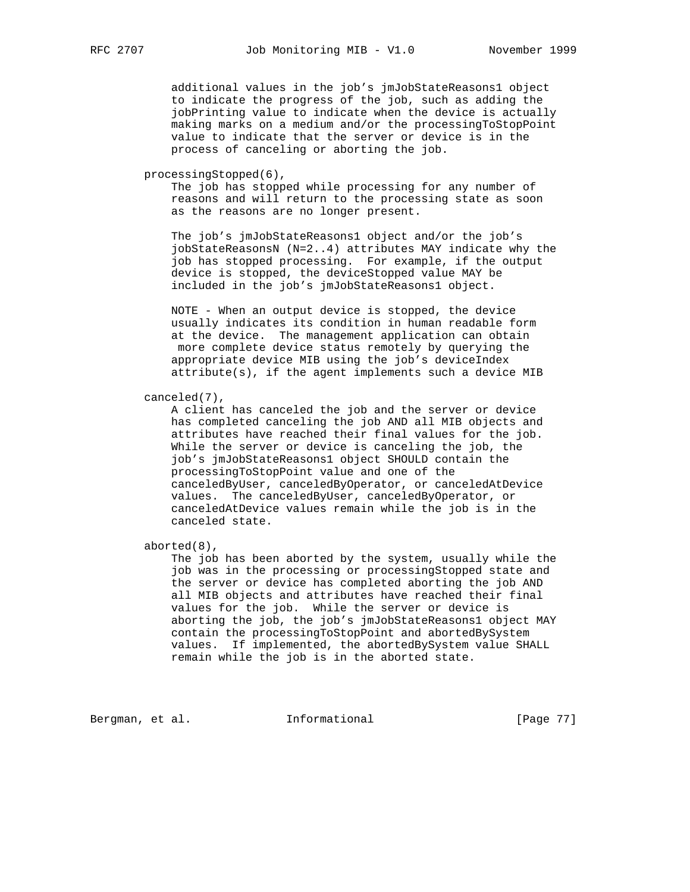additional values in the job's jmJobStateReasons1 object to indicate the progress of the job, such as adding the jobPrinting value to indicate when the device is actually making marks on a medium and/or the processingToStopPoint value to indicate that the server or device is in the process of canceling or aborting the job.

processingStopped(6),

 The job has stopped while processing for any number of reasons and will return to the processing state as soon as the reasons are no longer present.

 The job's jmJobStateReasons1 object and/or the job's jobStateReasonsN (N=2..4) attributes MAY indicate why the job has stopped processing. For example, if the output device is stopped, the deviceStopped value MAY be included in the job's jmJobStateReasons1 object.

 NOTE - When an output device is stopped, the device usually indicates its condition in human readable form at the device. The management application can obtain more complete device status remotely by querying the appropriate device MIB using the job's deviceIndex attribute(s), if the agent implements such a device MIB

canceled(7),

 A client has canceled the job and the server or device has completed canceling the job AND all MIB objects and attributes have reached their final values for the job. While the server or device is canceling the job, the job's jmJobStateReasons1 object SHOULD contain the processingToStopPoint value and one of the canceledByUser, canceledByOperator, or canceledAtDevice values. The canceledByUser, canceledByOperator, or canceledAtDevice values remain while the job is in the canceled state.

aborted(8),

 The job has been aborted by the system, usually while the job was in the processing or processingStopped state and the server or device has completed aborting the job AND all MIB objects and attributes have reached their final values for the job. While the server or device is aborting the job, the job's jmJobStateReasons1 object MAY contain the processingToStopPoint and abortedBySystem values. If implemented, the abortedBySystem value SHALL remain while the job is in the aborted state.

Bergman, et al. 1nformational 1999 [Page 77]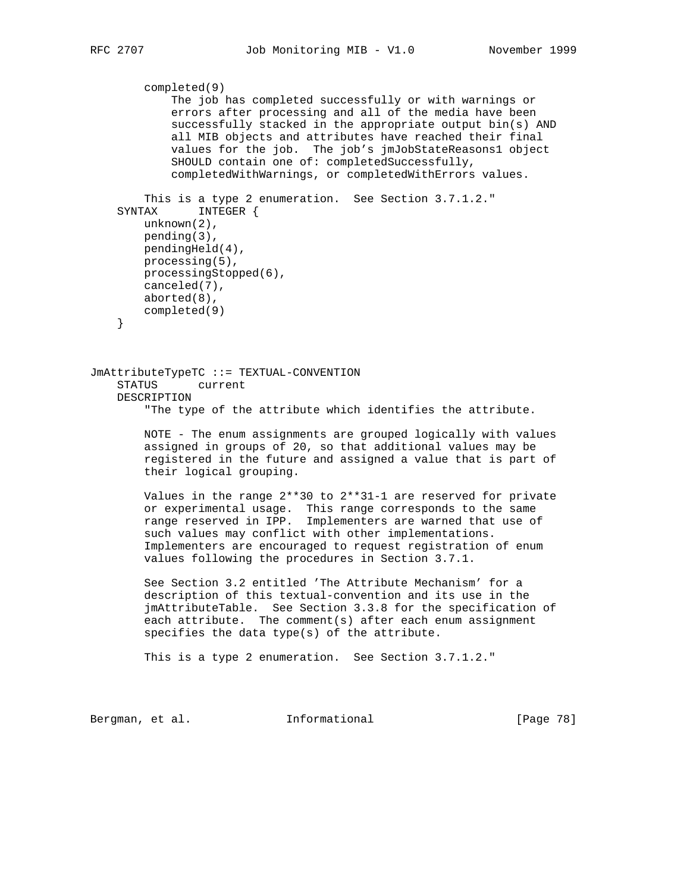```
 completed(9)
             The job has completed successfully or with warnings or
             errors after processing and all of the media have been
             successfully stacked in the appropriate output bin(s) AND
             all MIB objects and attributes have reached their final
             values for the job. The job's jmJobStateReasons1 object
             SHOULD contain one of: completedSuccessfully,
             completedWithWarnings, or completedWithErrors values.
         This is a type 2 enumeration. See Section 3.7.1.2."
     SYNTAX INTEGER {
        unknown(2),
        pending(3),
        pendingHeld(4),
         processing(5),
        processingStopped(6),
        canceled(7),
        aborted(8),
        completed(9)
     }
JmAttributeTypeTC ::= TEXTUAL-CONVENTION
     STATUS current
    DESCRIPTION
         "The type of the attribute which identifies the attribute.
        NOTE - The enum assignments are grouped logically with values
         assigned in groups of 20, so that additional values may be
         registered in the future and assigned a value that is part of
         their logical grouping.
         Values in the range 2**30 to 2**31-1 are reserved for private
         or experimental usage. This range corresponds to the same
        range reserved in IPP. Implementers are warned that use of
         such values may conflict with other implementations.
         Implementers are encouraged to request registration of enum
         values following the procedures in Section 3.7.1.
         See Section 3.2 entitled 'The Attribute Mechanism' for a
         description of this textual-convention and its use in the
         jmAttributeTable. See Section 3.3.8 for the specification of
         each attribute. The comment(s) after each enum assignment
         specifies the data type(s) of the attribute.
         This is a type 2 enumeration. See Section 3.7.1.2."
```
Bergman, et al. **Informational** [Page 78]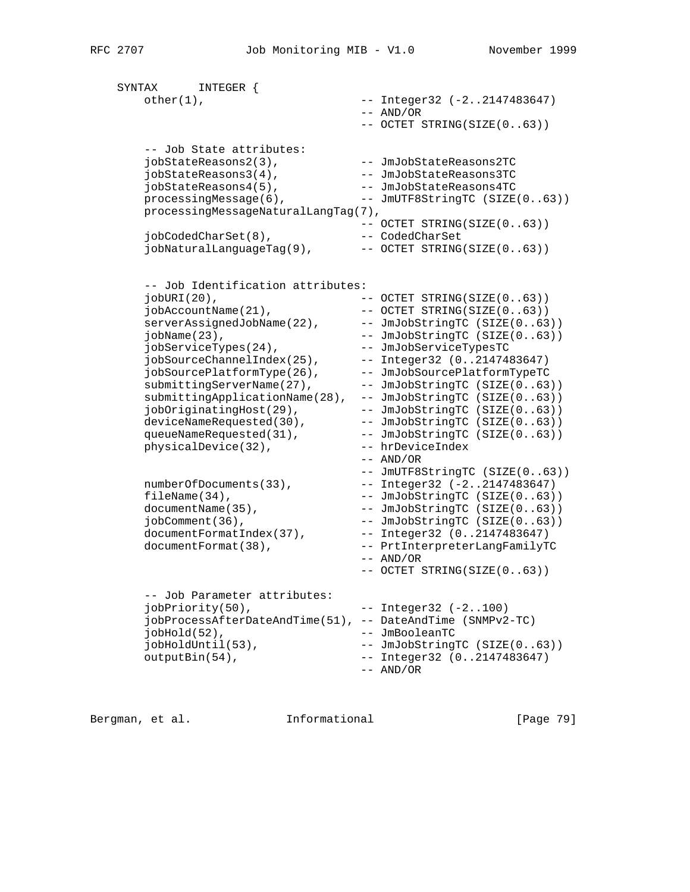```
 SYNTAX INTEGER {
     other(1), - Integer32 (-2..2147483647)
                            -- AND/OR
                             -- OCTET STRING(SIZE(0..63))
      -- Job State attributes:
 jobStateReasons2(3), -- JmJobStateReasons2TC
 jobStateReasons3(4), -- JmJobStateReasons3TC
 jobStateReasons4(5), -- JmJobStateReasons4TC
processingMessage(6),    -- JmUTF8StringTC (SIZE(0..63))
      processingMessageNaturalLangTag(7),
 -- OCTET STRING(SIZE(0..63))
 jobCodedCharSet(8), -- CodedCharSet
 jobNaturalLanguageTag(9), -- OCTET STRING(SIZE(0..63))
 -- Job Identification attributes:
 jobURI(20), -- OCTET STRING(SIZE(0..63))
 jobAccountName(21), -- OCTET STRING(SIZE(0..63))
 serverAssignedJobName(22), -- JmJobStringTC (SIZE(0..63))
 jobName(23), -- JmJobStringTC (SIZE(0..63))
 jobServiceTypes(24), -- JmJobServiceTypesTC
 jobSourceChannelIndex(25), -- Integer32 (0..2147483647)
 jobSourcePlatformType(26), -- JmJobSourcePlatformTypeTC
submittingServerName(27), -- JmJobStringTC (SIZE(0..63))
 submittingApplicationName(28), -- JmJobStringTC (SIZE(0..63))
 jobOriginatingHost(29), -- JmJobStringTC (SIZE(0..63))
 deviceNameRequested(30), -- JmJobStringTC (SIZE(0..63))
 queueNameRequested(31), -- JmJobStringTC (SIZE(0..63))
 physicalDevice(32), -- hrDeviceIndex
 -- AND/OR
 -- JmUTF8StringTC (SIZE(0..63))
 numberOfDocuments(33), -- Integer32 (-2..2147483647)
fileName(34),    - JmJobStringTC (SIZE(0..63))
documentName(35),    - JmJobStringTC (SIZE(0..63))
 jobComment(36), -- JmJobStringTC (SIZE(0..63))
 documentFormatIndex(37), -- Integer32 (0..2147483647)
 documentFormat(38), -- PrtInterpreterLangFamilyTC
 -- AND/OR
 -- OCTET STRING(SIZE(0..63))
      -- Job Parameter attributes:
     jobPriority(50), -- Integer32 (-2..100) jobProcessAfterDateAndTime(51), -- DateAndTime (SNMPv2-TC)
 jobHold(52), -- JmBooleanTC
 jobHoldUntil(53), -- JmJobStringTC (SIZE(0..63))
 outputBin(54), -- Integer32 (0..2147483647)
 -- AND/OR
```
Bergman, et al. 1nformational 1999 [Page 79]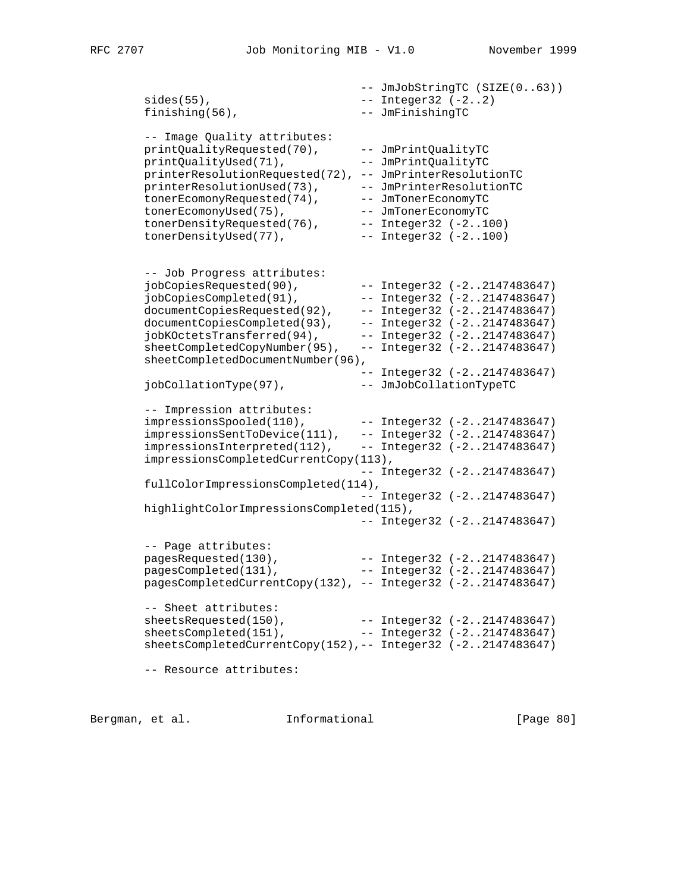-- JmJobStringTC (SIZE(0..63))  $sides(55)$ ,  $-$  Integer32  $(-2..2)$  finishing(56), -- JmFinishingTC -- Image Quality attributes: printQualityRequested(70), -- JmPrintQualityTC printQualityUsed(71), -- JmPrintQualityTC printerResolutionRequested(72), -- JmPrinterResolutionTC printerResolutionUsed(73), -- JmPrinterResolutionTC tonerEcomonyRequested(74), -- JmTonerEconomyTC tonerEcomonyUsed(75), -- JmTonerEconomyTC tonerDensityRequested(76), -- Integer32 (-2..100) tonerDensityUsed(77), -- Integer32 (-2..100) -- Job Progress attributes: jobCopiesRequested(90), -- Integer32 (-2..2147483647) jobCopiesCompleted(91), -- Integer32 (-2..2147483647) documentCopiesRequested(92), -- Integer32 (-2..2147483647) documentCopiesCompleted(93), -- Integer32 (-2..2147483647) jobKOctetsTransferred(94), -- Integer32 (-2..2147483647) sheetCompletedCopyNumber(95), -- Integer32 (-2..2147483647) sheetCompletedDocumentNumber(96), -- Integer32 (-2..2147483647) jobCollationType(97), -- JmJobCollationTypeTC -- Impression attributes: impressionsSpooled(110), -- Integer32 (-2..2147483647) impressionsSentToDevice(111), -- Integer32 (-2..2147483647) impressionsInterpreted(112), -- Integer32 (-2..2147483647) impressionsCompletedCurrentCopy(113), -- Integer32 (-2..2147483647) fullColorImpressionsCompleted(114), -- Integer32 (-2..2147483647) highlightColorImpressionsCompleted(115), -- Integer32 (-2..2147483647) -- Page attributes: pagesRequested(130), -- Integer32 (-2..2147483647) pagesCompleted(131), -- Integer32 (-2..2147483647) pagesCompletedCurrentCopy(132), -- Integer32 (-2..2147483647) -- Sheet attributes: sheetsRequested(150), -- Integer32 (-2..2147483647) sheetsCompleted(151), -- Integer32 (-2..2147483647) sheetsCompletedCurrentCopy(152),-- Integer32 (-2..2147483647) -- Resource attributes:

Bergman, et al. **Informational** [Page 80]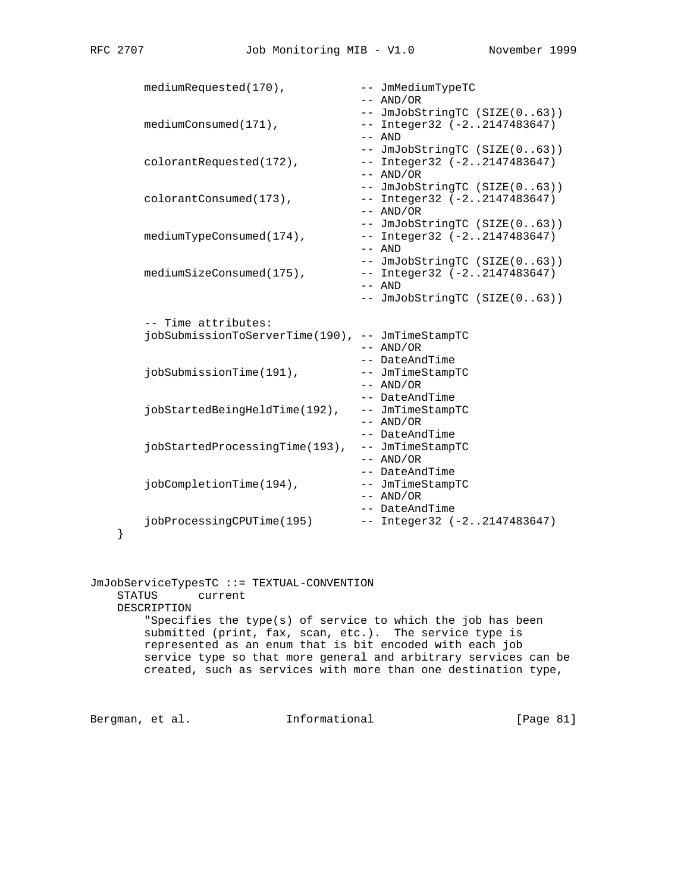}

|   | mediumRequested(170),                            | -- JmMediumTypeTC                 |
|---|--------------------------------------------------|-----------------------------------|
|   |                                                  | $--$ AND/OR                       |
|   |                                                  | -- JmJobStringTC (SIZE(063))      |
|   | $mediumConsumed(171)$ ,                          | $--$ Integer32 ( $-2$ 2147483647) |
|   |                                                  | $--$ AND                          |
|   |                                                  | -- JmJobStringTC (SIZE(063))      |
|   | colorantRequested(172),                          | -- Integer32 (-22147483647)       |
|   |                                                  | $--$ AND/OR                       |
|   |                                                  | -- JmJobStringTC (SIZE(063))      |
|   | colorantConsumed(173),                           | $--$ Integer32 $(-22147483647)$   |
|   |                                                  | $--$ AND/OR                       |
|   |                                                  | -- JmJobStringTC (SIZE(063))      |
|   | $medianTypeConsumed(174)$ ,                      | $--$ Integer32 $(-22147483647)$   |
|   |                                                  | $--$ AND                          |
|   |                                                  | -- JmJobStringTC (SIZE(063))      |
|   | $medianSizeConsumed(175)$ ,                      | $--$ Integer32 $(-22147483647)$   |
|   |                                                  | $--$ AND                          |
|   |                                                  | -- JmJobStringTC (SIZE(063))      |
|   |                                                  |                                   |
|   |                                                  |                                   |
|   | -- Time attributes:                              |                                   |
|   | jobSubmissionToServerTime(190), -- JmTimeStampTC |                                   |
|   |                                                  | $--$ AND/OR                       |
|   |                                                  | -- DateAndTime                    |
|   | jobSubmissionTime(191),                          | -- JmTimeStampTC                  |
|   |                                                  | $--$ AND/OR                       |
|   |                                                  | -- DateAndTime                    |
|   | jobStartedBeingHeldTime(192),                    | -- JmTimeStampTC                  |
|   |                                                  | $--$ AND/OR                       |
|   |                                                  | -- DateAndTime                    |
|   | jobStartedProcessingTime(193),                   | -- JmTimeStampTC                  |
|   |                                                  | $--$ AND/OR                       |
|   |                                                  | -- DateAndTime                    |
|   | jobCompletionTime(194),                          | -- JmTimeStampTC                  |
|   |                                                  | $--$ AND/OR                       |
|   |                                                  | -- DateAndTime                    |
| ļ | jobProcessingCPUTime(195)                        | $--$ Integer32 $(-22147483647)$   |

JmJobServiceTypesTC ::= TEXTUAL-CONVENTION STATUS current DESCRIPTION "Specifies the type(s) of service to which the job has been submitted (print, fax, scan, etc.). The service type is represented as an enum that is bit encoded with each job service type so that more general and arbitrary services can be created, such as services with more than one destination type,

Bergman, et al. 1nformational [Page 81]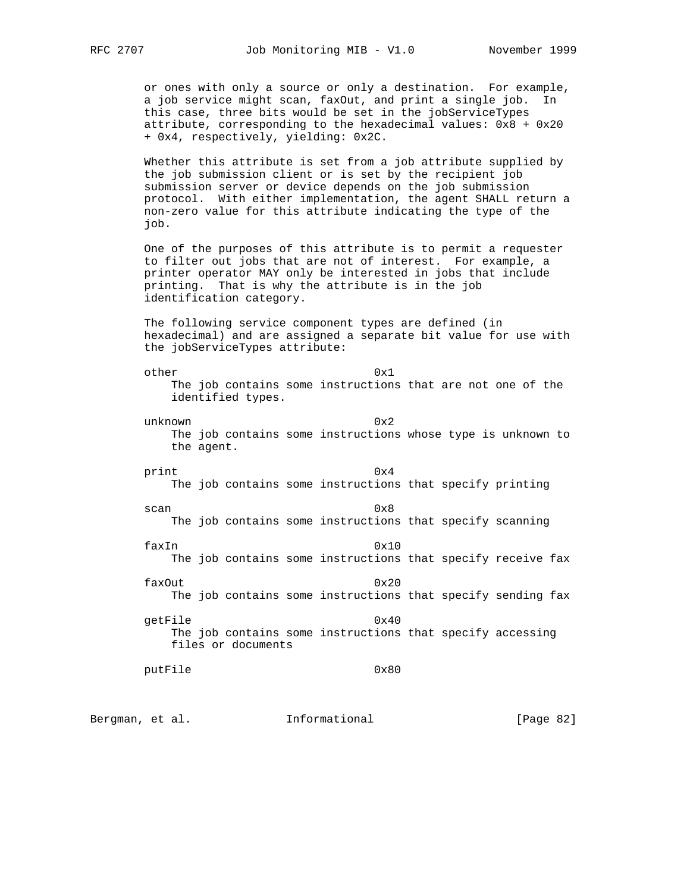or ones with only a source or only a destination. For example, a job service might scan, faxOut, and print a single job. In this case, three bits would be set in the jobServiceTypes attribute, corresponding to the hexadecimal values: 0x8 + 0x20 + 0x4, respectively, yielding: 0x2C.

 Whether this attribute is set from a job attribute supplied by the job submission client or is set by the recipient job submission server or device depends on the job submission protocol. With either implementation, the agent SHALL return a non-zero value for this attribute indicating the type of the job.

 One of the purposes of this attribute is to permit a requester to filter out jobs that are not of interest. For example, a printer operator MAY only be interested in jobs that include printing. That is why the attribute is in the job identification category.

 The following service component types are defined (in hexadecimal) and are assigned a separate bit value for use with the jobServiceTypes attribute:

other 0x1 The job contains some instructions that are not one of the identified types. unknown 0x2

 The job contains some instructions whose type is unknown to the agent.

print 0x4 The job contains some instructions that specify printing

scan 0x8 The job contains some instructions that specify scanning

> faxIn 0x10 The job contains some instructions that specify receive fax

> faxOut 0x20 The job contains some instructions that specify sending fax

getFile  $0x40$  The job contains some instructions that specify accessing files or documents

```
putFile 0x80
```
Bergman, et al. **Informational** [Page 82]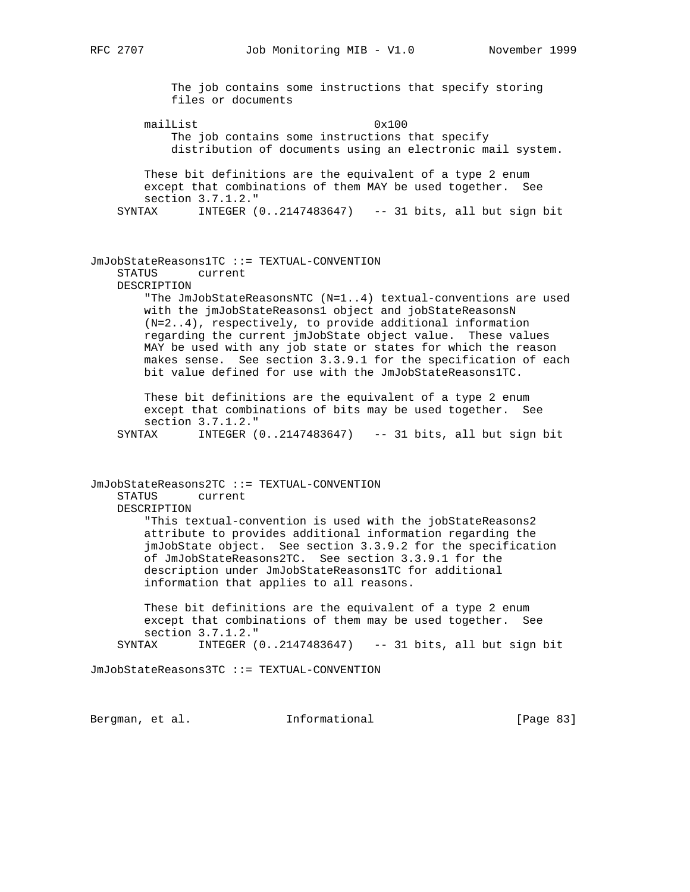The job contains some instructions that specify storing files or documents mailList 0x100 The job contains some instructions that specify distribution of documents using an electronic mail system. These bit definitions are the equivalent of a type 2 enum except that combinations of them MAY be used together. See section 3.7.1.2." SYNTAX INTEGER (0..2147483647) -- 31 bits, all but sign bit JmJobStateReasons1TC ::= TEXTUAL-CONVENTION STATUS current DESCRIPTION "The JmJobStateReasonsNTC (N=1..4) textual-conventions are used with the jmJobStateReasons1 object and jobStateReasonsN (N=2..4), respectively, to provide additional information regarding the current jmJobState object value. These values MAY be used with any job state or states for which the reason makes sense. See section 3.3.9.1 for the specification of each bit value defined for use with the JmJobStateReasons1TC. These bit definitions are the equivalent of a type 2 enum except that combinations of bits may be used together. See section 3.7.1.2." SYNTAX INTEGER (0..2147483647) -- 31 bits, all but sign bit JmJobStateReasons2TC ::= TEXTUAL-CONVENTION STATUS current DESCRIPTION "This textual-convention is used with the jobStateReasons2 attribute to provides additional information regarding the jmJobState object. See section 3.3.9.2 for the specification of JmJobStateReasons2TC. See section 3.3.9.1 for the description under JmJobStateReasons1TC for additional information that applies to all reasons. These bit definitions are the equivalent of a type 2 enum except that combinations of them may be used together. See section 3.7.1.2." SYNTAX INTEGER (0..2147483647) -- 31 bits, all but sign bit JmJobStateReasons3TC ::= TEXTUAL-CONVENTION

Bergman, et al. 1nformational 1999 [Page 83]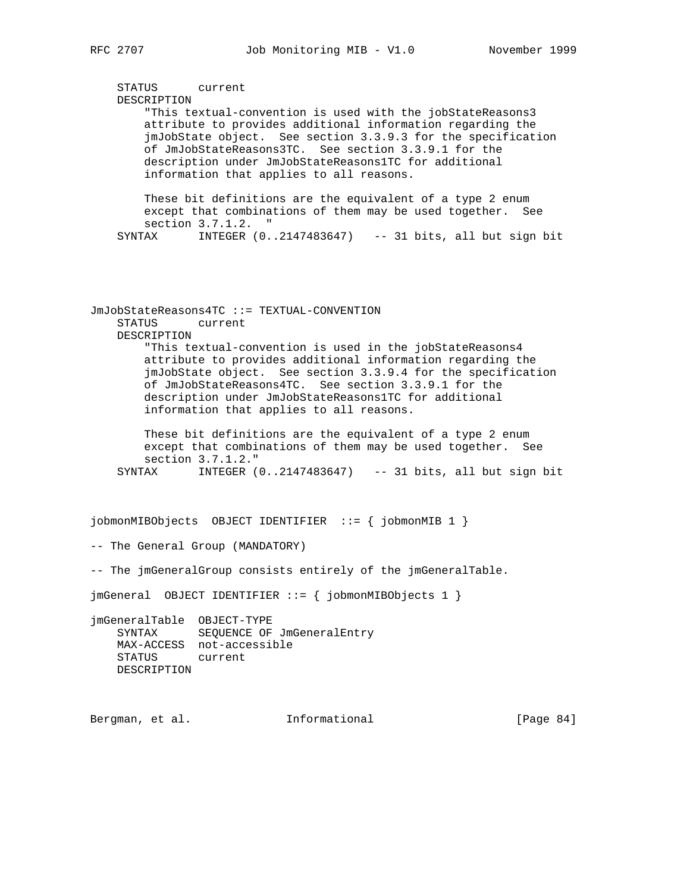STATUS current DESCRIPTION "This textual-convention is used with the jobStateReasons3 attribute to provides additional information regarding the jmJobState object. See section 3.3.9.3 for the specification of JmJobStateReasons3TC. See section 3.3.9.1 for the description under JmJobStateReasons1TC for additional information that applies to all reasons. These bit definitions are the equivalent of a type 2 enum except that combinations of them may be used together. See section 3.7.1.2. " SYNTAX INTEGER (0..2147483647) -- 31 bits, all but sign bit JmJobStateReasons4TC ::= TEXTUAL-CONVENTION STATUS current DESCRIPTION "This textual-convention is used in the jobStateReasons4 attribute to provides additional information regarding the jmJobState object. See section 3.3.9.4 for the specification of JmJobStateReasons4TC. See section 3.3.9.1 for the description under JmJobStateReasons1TC for additional information that applies to all reasons. These bit definitions are the equivalent of a type 2 enum except that combinations of them may be used together. See section 3.7.1.2." SYNTAX INTEGER (0..2147483647) -- 31 bits, all but sign bit jobmonMIBObjects OBJECT IDENTIFIER ::= { jobmonMIB 1 } -- The General Group (MANDATORY) -- The jmGeneralGroup consists entirely of the jmGeneralTable. jmGeneral OBJECT IDENTIFIER ::= { jobmonMIBObjects 1 } jmGeneralTable OBJECT-TYPE SYNTAX SEQUENCE OF JmGeneralEntry MAX-ACCESS not-accessible STATUS current DESCRIPTION Bergman, et al. **Informational** [Page 84]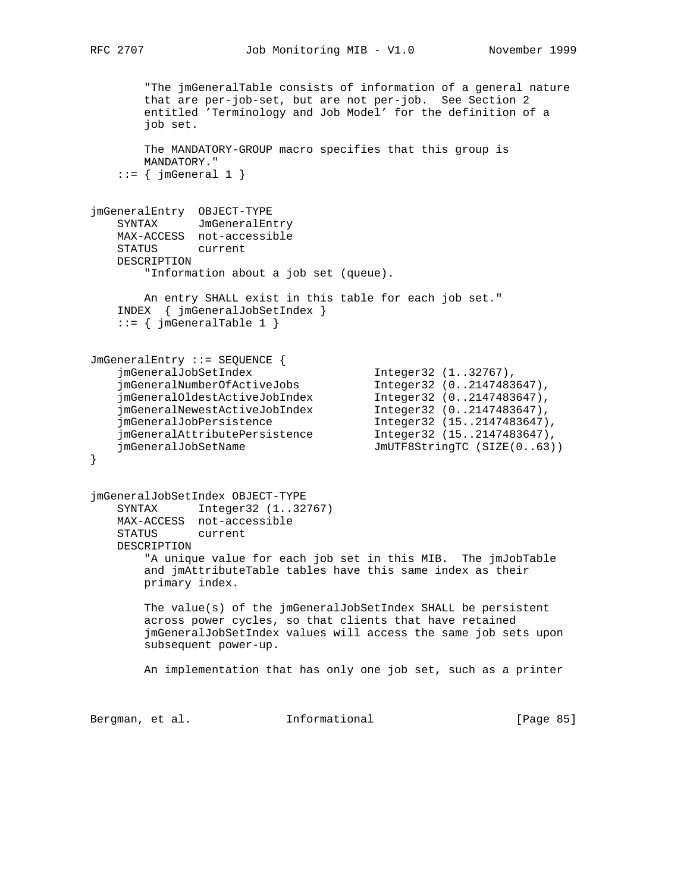```
 "The jmGeneralTable consists of information of a general nature
        that are per-job-set, but are not per-job. See Section 2
        entitled 'Terminology and Job Model' for the definition of a
        job set.
        The MANDATORY-GROUP macro specifies that this group is
        MANDATORY."
   ::= \{ jmGeneral 1 \}jmGeneralEntry OBJECT-TYPE
    SYNTAX JmGeneralEntry
    MAX-ACCESS not-accessible
    STATUS current
    DESCRIPTION
        "Information about a job set (queue).
        An entry SHALL exist in this table for each job set."
    INDEX { jmGeneralJobSetIndex }
   ::= { jmGeneralTable 1 }
JmGeneralEntry ::= SEQUENCE {
 jmGeneralJobSetIndex Integer32 (1..32767),
 jmGeneralNumberOfActiveJobs Integer32 (0..2147483647),
 jmGeneralOldestActiveJobIndex Integer32 (0..2147483647),
 jmGeneralNewestActiveJobIndex Integer32 (0..2147483647),
 jmGeneralJobPersistence Integer32 (15..2147483647),
 jmGeneralAttributePersistence Integer32 (15..2147483647),
 jmGeneralJobSetName JmUTF8StringTC (SIZE(0..63))
}
jmGeneralJobSetIndex OBJECT-TYPE
    SYNTAX Integer32 (1..32767)
    MAX-ACCESS not-accessible
    STATUS current
    DESCRIPTION
        "A unique value for each job set in this MIB. The jmJobTable
        and jmAttributeTable tables have this same index as their
        primary index.
        The value(s) of the jmGeneralJobSetIndex SHALL be persistent
        across power cycles, so that clients that have retained
        jmGeneralJobSetIndex values will access the same job sets upon
        subsequent power-up.
        An implementation that has only one job set, such as a printer
Bergman, et al. Informational [Page 85]
```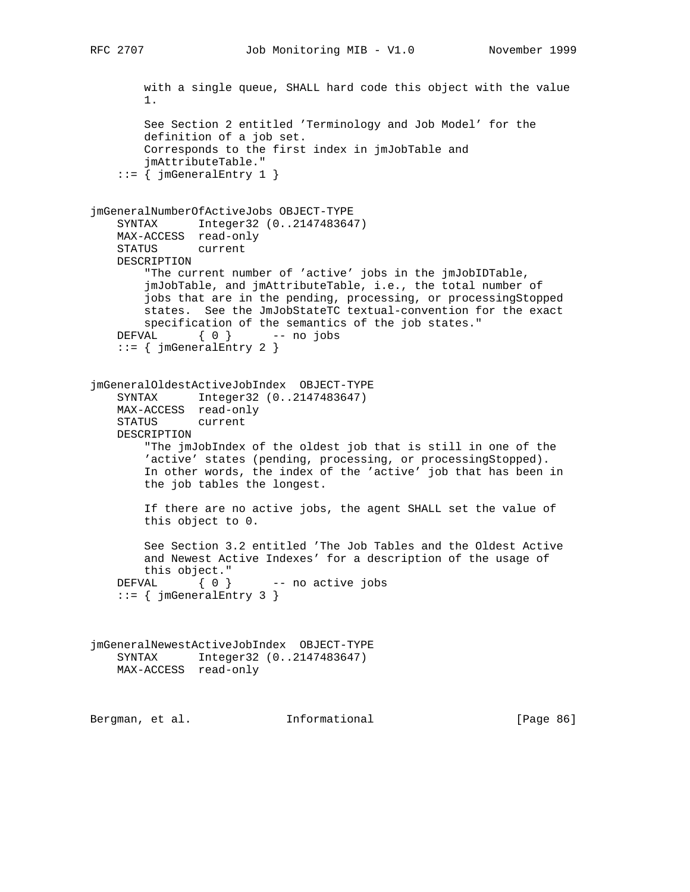```
 with a single queue, SHALL hard code this object with the value
        1.
        See Section 2 entitled 'Terminology and Job Model' for the
        definition of a job set.
        Corresponds to the first index in jmJobTable and
        jmAttributeTable."
    ::= { jmGeneralEntry 1 }
jmGeneralNumberOfActiveJobs OBJECT-TYPE
    SYNTAX Integer32 (0..2147483647)
    MAX-ACCESS read-only
    STATUS current
    DESCRIPTION
        "The current number of 'active' jobs in the jmJobIDTable,
        jmJobTable, and jmAttributeTable, i.e., the total number of
        jobs that are in the pending, processing, or processingStopped
        states. See the JmJobStateTC textual-convention for the exact
        specification of the semantics of the job states."
   DEFVAL \{ 0 \} -- no jobs
     ::= { jmGeneralEntry 2 }
jmGeneralOldestActiveJobIndex OBJECT-TYPE
 SYNTAX Integer32 (0..2147483647)
 MAX-ACCESS read-only
    STATUS current
    DESCRIPTION
        "The jmJobIndex of the oldest job that is still in one of the
        'active' states (pending, processing, or processingStopped).
        In other words, the index of the 'active' job that has been in
        the job tables the longest.
        If there are no active jobs, the agent SHALL set the value of
        this object to 0.
        See Section 3.2 entitled 'The Job Tables and the Oldest Active
        and Newest Active Indexes' for a description of the usage of
        this object."
   DEFVAL \{ 0 \} -- no active jobs
   ::= { jmGeneralEntry 3 }
jmGeneralNewestActiveJobIndex OBJECT-TYPE
    SYNTAX Integer32 (0..2147483647)
    MAX-ACCESS read-only
Bergman, et al. Informational [Page 86]
```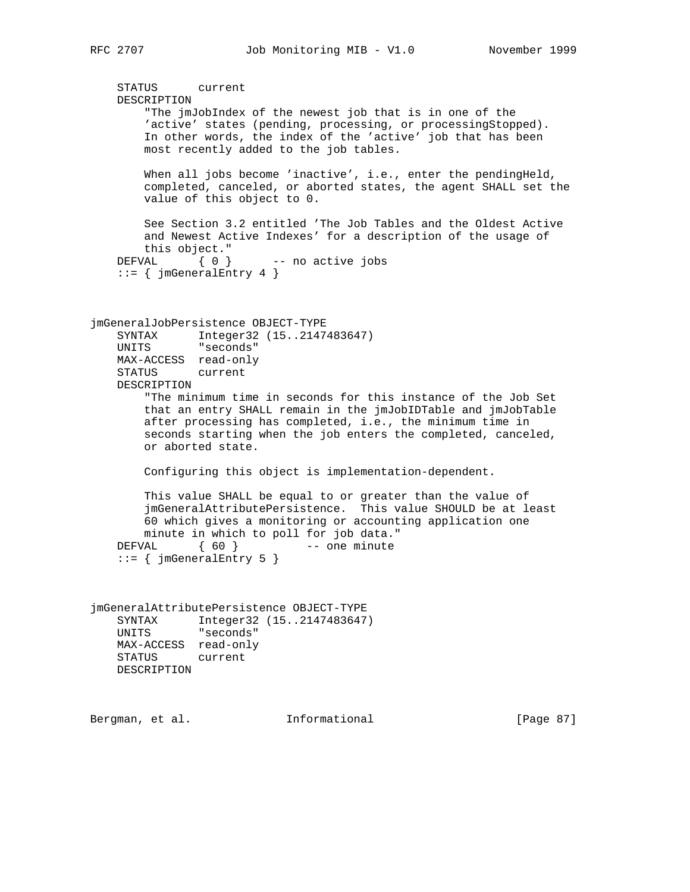```
 STATUS current
    DESCRIPTION
        "The jmJobIndex of the newest job that is in one of the
        'active' states (pending, processing, or processingStopped).
        In other words, the index of the 'active' job that has been
        most recently added to the job tables.
       When all jobs become 'inactive', i.e., enter the pendingHeld,
        completed, canceled, or aborted states, the agent SHALL set the
        value of this object to 0.
        See Section 3.2 entitled 'The Job Tables and the Oldest Active
        and Newest Active Indexes' for a description of the usage of
        this object."
   DEFVAL \{ 0 \} -- no active jobs
    ::= { jmGeneralEntry 4 }
jmGeneralJobPersistence OBJECT-TYPE
    SYNTAX Integer32 (15..2147483647)
    UNITS "seconds"
    MAX-ACCESS read-only
    STATUS current
    DESCRIPTION
        "The minimum time in seconds for this instance of the Job Set
        that an entry SHALL remain in the jmJobIDTable and jmJobTable
        after processing has completed, i.e., the minimum time in
        seconds starting when the job enters the completed, canceled,
        or aborted state.
        Configuring this object is implementation-dependent.
        This value SHALL be equal to or greater than the value of
        jmGeneralAttributePersistence. This value SHOULD be at least
        60 which gives a monitoring or accounting application one
        minute in which to poll for job data."
   DEFVAL { 60 } -- one minute
   ::= { jmGeneralEntry 5 }
jmGeneralAttributePersistence OBJECT-TYPE
    SYNTAX Integer32 (15..2147483647)
    UNITS "seconds"
    MAX-ACCESS read-only
    STATUS current
    DESCRIPTION
```
Bergman, et al. **Informational** [Page 87]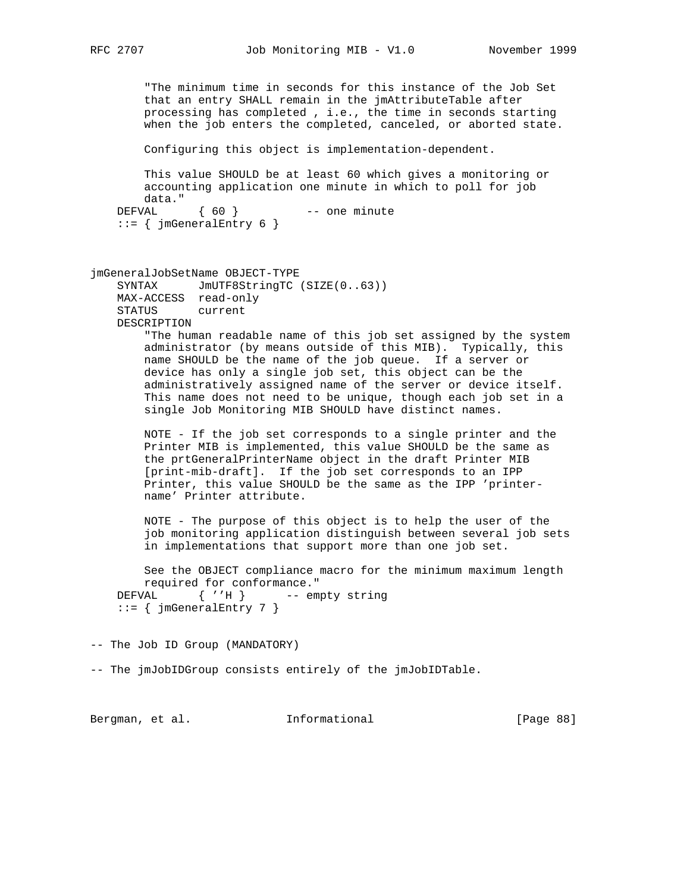"The minimum time in seconds for this instance of the Job Set that an entry SHALL remain in the jmAttributeTable after processing has completed , i.e., the time in seconds starting when the job enters the completed, canceled, or aborted state.

Configuring this object is implementation-dependent.

 This value SHOULD be at least 60 which gives a monitoring or accounting application one minute in which to poll for job data." DEFVAL { 60 } -- one minute ::= { jmGeneralEntry 6 }

jmGeneralJobSetName OBJECT-TYPE SYNTAX JmUTF8StringTC (SIZE(0..63)) MAX-ACCESS read-only STATUS current DESCRIPTION

> "The human readable name of this job set assigned by the system administrator (by means outside of this MIB). Typically, this name SHOULD be the name of the job queue. If a server or device has only a single job set, this object can be the administratively assigned name of the server or device itself. This name does not need to be unique, though each job set in a single Job Monitoring MIB SHOULD have distinct names.

 NOTE - If the job set corresponds to a single printer and the Printer MIB is implemented, this value SHOULD be the same as the prtGeneralPrinterName object in the draft Printer MIB [print-mib-draft]. If the job set corresponds to an IPP Printer, this value SHOULD be the same as the IPP 'printer name' Printer attribute.

 NOTE - The purpose of this object is to help the user of the job monitoring application distinguish between several job sets in implementations that support more than one job set.

 See the OBJECT compliance macro for the minimum maximum length required for conformance." DEFVAL { ''H } -- empty string ::= { jmGeneralEntry 7 }

-- The Job ID Group (MANDATORY)

-- The jmJobIDGroup consists entirely of the jmJobIDTable.

Bergman, et al. **Informational** [Page 88]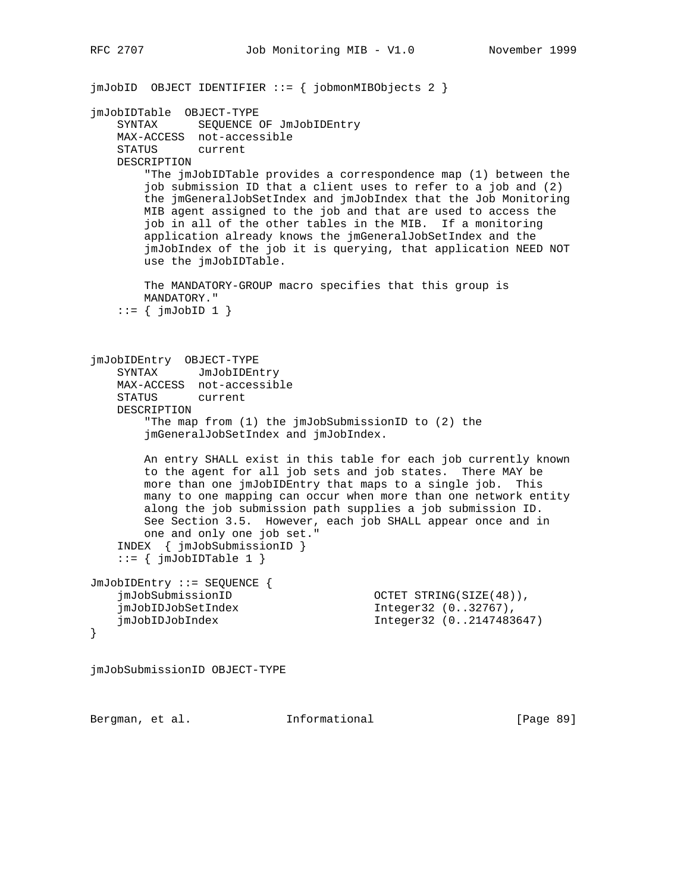```
jmJobID OBJECT IDENTIFIER ::= { jobmonMIBObjects 2 }
jmJobIDTable OBJECT-TYPE
    SYNTAX SEQUENCE OF JmJobIDEntry
    MAX-ACCESS not-accessible
    STATUS current
    DESCRIPTION
        "The jmJobIDTable provides a correspondence map (1) between the
        job submission ID that a client uses to refer to a job and (2)
        the jmGeneralJobSetIndex and jmJobIndex that the Job Monitoring
        MIB agent assigned to the job and that are used to access the
        job in all of the other tables in the MIB. If a monitoring
        application already knows the jmGeneralJobSetIndex and the
        jmJobIndex of the job it is querying, that application NEED NOT
        use the jmJobIDTable.
        The MANDATORY-GROUP macro specifies that this group is
        MANDATORY."
    ::= \{ jmJobID 1 \}jmJobIDEntry OBJECT-TYPE
   SYNTAX JmJobIDEntry
    MAX-ACCESS not-accessible
    STATUS current
    DESCRIPTION
        "The map from (1) the jmJobSubmissionID to (2) the
        jmGeneralJobSetIndex and jmJobIndex.
        An entry SHALL exist in this table for each job currently known
        to the agent for all job sets and job states. There MAY be
        more than one jmJobIDEntry that maps to a single job. This
        many to one mapping can occur when more than one network entity
        along the job submission path supplies a job submission ID.
        See Section 3.5. However, each job SHALL appear once and in
        one and only one job set."
     INDEX { jmJobSubmissionID }
    ::= { jmJobIDTable 1 }
JmJobIDEntry ::= SEQUENCE {
     jmJobSubmissionID OCTET STRING(SIZE(48)),
     jmJobIDJobSetIndex Integer32 (0..32767),
    jmJobIDJobIndex Integer32 (0..2147483647)
}
jmJobSubmissionID OBJECT-TYPE
```
Bergman, et al. **Informational** [Page 89]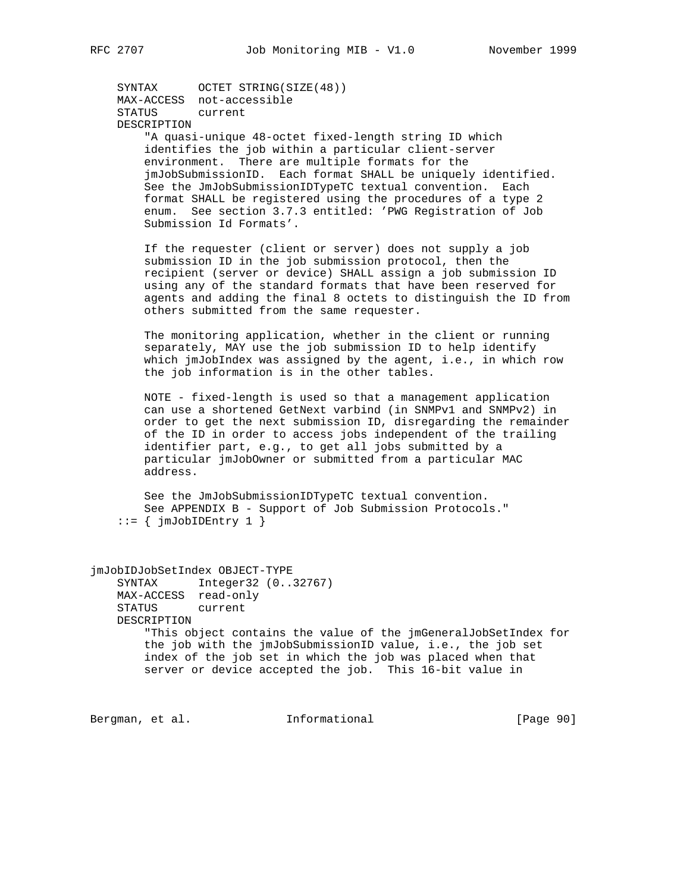SYNTAX OCTET STRING(SIZE(48)) MAX-ACCESS not-accessible STATUS current DESCRIPTION "A quasi-unique 48-octet fixed-length string ID which identifies the job within a particular client-server environment. There are multiple formats for the jmJobSubmissionID. Each format SHALL be uniquely identified. See the JmJobSubmissionIDTypeTC textual convention. Each format SHALL be registered using the procedures of a type 2 enum. See section 3.7.3 entitled: 'PWG Registration of Job Submission Id Formats'.

 If the requester (client or server) does not supply a job submission ID in the job submission protocol, then the recipient (server or device) SHALL assign a job submission ID using any of the standard formats that have been reserved for agents and adding the final 8 octets to distinguish the ID from others submitted from the same requester.

 The monitoring application, whether in the client or running separately, MAY use the job submission ID to help identify which jmJobIndex was assigned by the agent, i.e., in which row the job information is in the other tables.

 NOTE - fixed-length is used so that a management application can use a shortened GetNext varbind (in SNMPv1 and SNMPv2) in order to get the next submission ID, disregarding the remainder of the ID in order to access jobs independent of the trailing identifier part, e.g., to get all jobs submitted by a particular jmJobOwner or submitted from a particular MAC address.

 See the JmJobSubmissionIDTypeTC textual convention. See APPENDIX B - Support of Job Submission Protocols."  $::=$  {  $jmJobIDEntry 1$  }

jmJobIDJobSetIndex OBJECT-TYPE SYNTAX Integer32 (0..32767) MAX-ACCESS read-only STATUS current DESCRIPTION "This object contains the value of the jmGeneralJobSetIndex for the job with the jmJobSubmissionID value, i.e., the job set index of the job set in which the job was placed when that server or device accepted the job. This 16-bit value in

Bergman, et al. 1nformational 1999 [Page 90]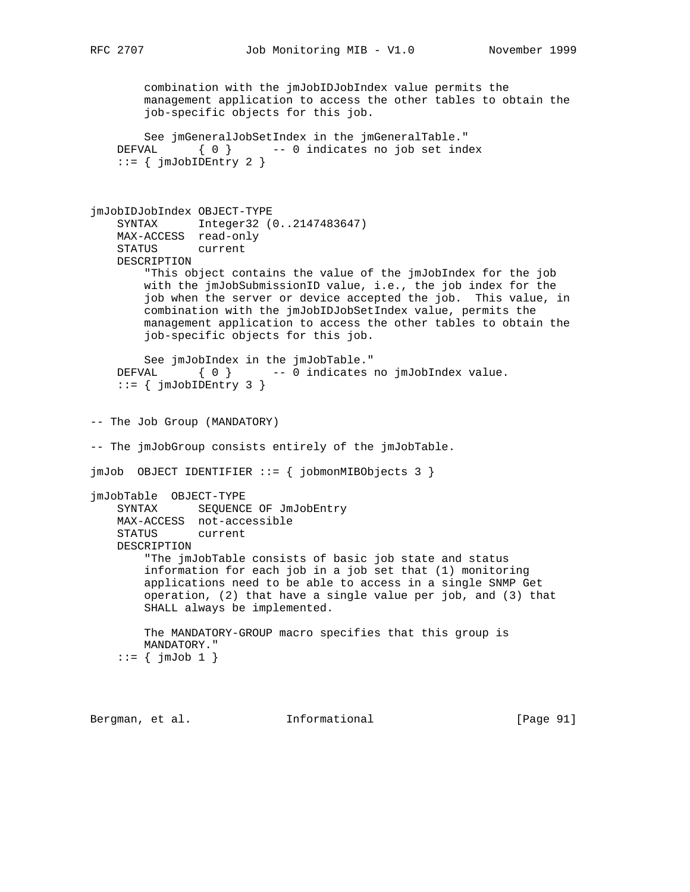combination with the jmJobIDJobIndex value permits the management application to access the other tables to obtain the job-specific objects for this job.

```
 See jmGeneralJobSetIndex in the jmGeneralTable."
 DEFVAL { 0 } -- 0 indicates no job set index
 ::= { jmJobIDEntry 2 }
```

```
jmJobIDJobIndex OBJECT-TYPE
     SYNTAX Integer32 (0..2147483647)
    MAX-ACCESS read-only
     STATUS current
    DESCRIPTION
         "This object contains the value of the jmJobIndex for the job
        with the jmJobSubmissionID value, i.e., the job index for the
         job when the server or device accepted the job. This value, in
        combination with the jmJobIDJobSetIndex value, permits the
        management application to access the other tables to obtain the
         job-specific objects for this job.
        See jmJobIndex in the jmJobTable."
   DEFVAL \{ 0 \} -- 0 indicates no jmJobIndex value.
     ::= { jmJobIDEntry 3 }
-- The Job Group (MANDATORY)
-- The jmJobGroup consists entirely of the jmJobTable.
jmJob OBJECT IDENTIFIER ::= { jobmonMIBObjects 3 }
jmJobTable OBJECT-TYPE
    SYNTAX SEQUENCE OF JmJobEntry
    MAX-ACCESS not-accessible
     STATUS current
    DESCRIPTION
         "The jmJobTable consists of basic job state and status
         information for each job in a job set that (1) monitoring
        applications need to be able to access in a single SNMP Get
        operation, (2) that have a single value per job, and (3) that
        SHALL always be implemented.
```
 The MANDATORY-GROUP macro specifies that this group is MANDATORY."  $::=$  {  $jmJob 1$  }

Bergman, et al. **Informational** [Page 91]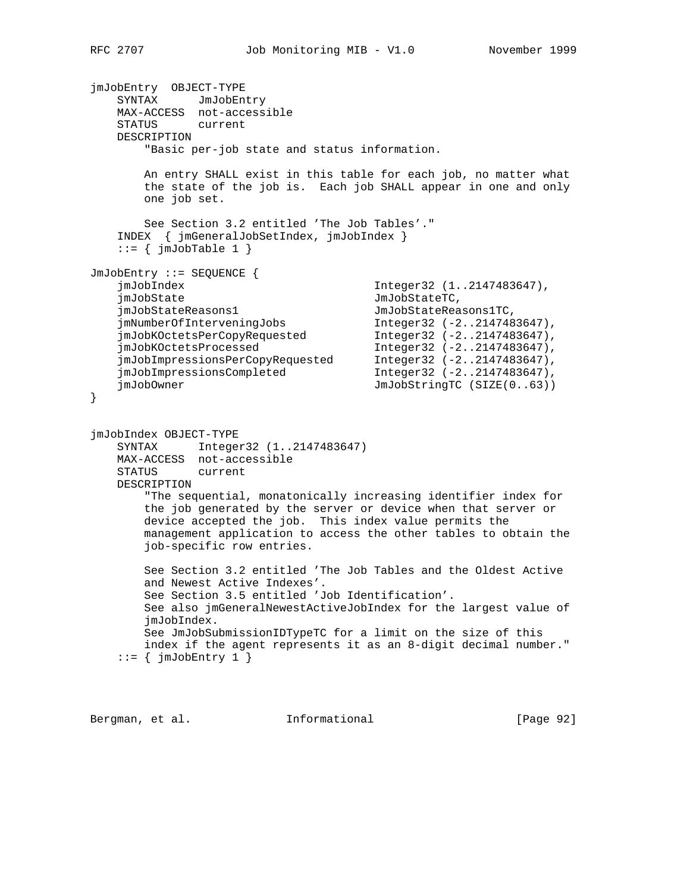```
jmJobEntry OBJECT-TYPE
   SYNTAX JmJobEntry
    MAX-ACCESS not-accessible
    STATUS current
    DESCRIPTION
        "Basic per-job state and status information.
        An entry SHALL exist in this table for each job, no matter what
        the state of the job is. Each job SHALL appear in one and only
        one job set.
        See Section 3.2 entitled 'The Job Tables'."
    INDEX { jmGeneralJobSetIndex, jmJobIndex }
   ::= { jmJobTable 1 }
JmJobEntry ::= SEQUENCE {
                                        Integer32 (1..2147483647),
    jmJobState JmJobStateTC,
 jmJobStateReasons1 JmJobStateReasons1TC,
 jmNumberOfInterveningJobs Integer32 (-2..2147483647),
 jmJobKOctetsPerCopyRequested Integer32 (-2..2147483647),
 jmJobKOctetsProcessed Integer32 (-2..2147483647),
 jmJobImpressionsPerCopyRequested Integer32 (-2..2147483647),
 jmJobImpressionsCompleted Integer32 (-2..2147483647),
   jmJobImpressionsPerCopyRequesce<br>
jmJobImpressionsCompleted<br>
JmJobStringTC (SIZE(0..63))
}
jmJobIndex OBJECT-TYPE
    SYNTAX Integer32 (1..2147483647)
    MAX-ACCESS not-accessible
    STATUS current
    DESCRIPTION
        "The sequential, monatonically increasing identifier index for
        the job generated by the server or device when that server or
        device accepted the job. This index value permits the
        management application to access the other tables to obtain the
        job-specific row entries.
        See Section 3.2 entitled 'The Job Tables and the Oldest Active
        and Newest Active Indexes'.
        See Section 3.5 entitled 'Job Identification'.
        See also jmGeneralNewestActiveJobIndex for the largest value of
        jmJobIndex.
        See JmJobSubmissionIDTypeTC for a limit on the size of this
        index if the agent represents it as an 8-digit decimal number."
   ::= { jmJobEntry 1 }
```
Bergman, et al. **Informational** [Page 92]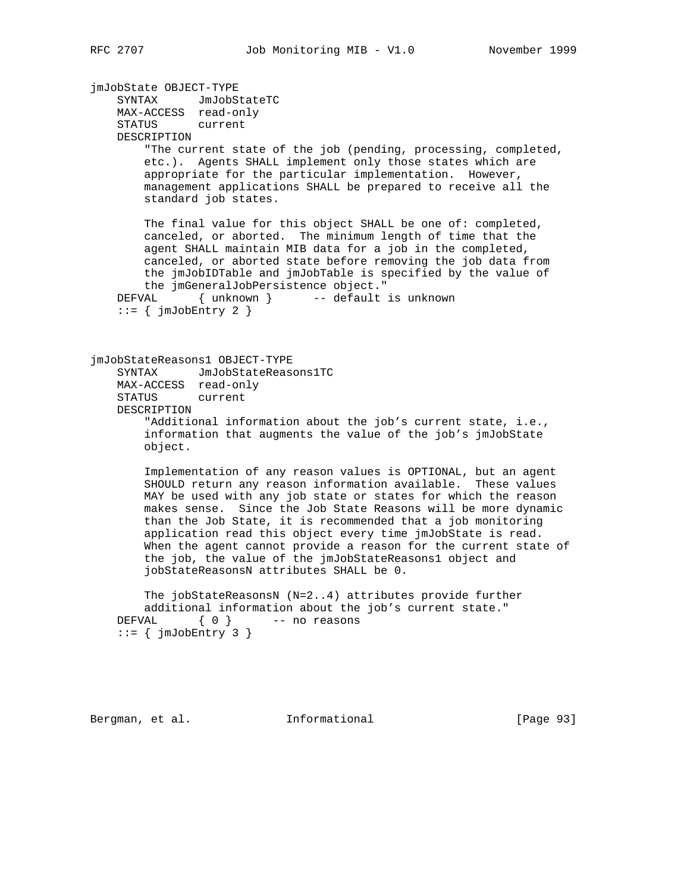jmJobState OBJECT-TYPE SYNTAX JmJobStateTC MAX-ACCESS read-only STATUS current DESCRIPTION "The current state of the job (pending, processing, completed, etc.). Agents SHALL implement only those states which are appropriate for the particular implementation. However, management applications SHALL be prepared to receive all the standard job states. The final value for this object SHALL be one of: completed, canceled, or aborted. The minimum length of time that the agent SHALL maintain MIB data for a job in the completed, canceled, or aborted state before removing the job data from the jmJobIDTable and jmJobTable is specified by the value of the jmGeneralJobPersistence object." DEFVAL { unknown } -- default is unknown  $::=$  {  $jmJobEntry$  2 } jmJobStateReasons1 OBJECT-TYPE SYNTAX JmJobStateReasons1TC MAX-ACCESS read-only STATUS current DESCRIPTION "Additional information about the job's current state, i.e., information that augments the value of the job's jmJobState object. Implementation of any reason values is OPTIONAL, but an agent SHOULD return any reason information available. These values MAY be used with any job state or states for which the reason makes sense. Since the Job State Reasons will be more dynamic than the Job State, it is recommended that a job monitoring application read this object every time jmJobState is read. When the agent cannot provide a reason for the current state of the job, the value of the jmJobStateReasons1 object and jobStateReasonsN attributes SHALL be 0. The jobStateReasonsN (N=2..4) attributes provide further additional information about the job's current state." DEFVAL  $\{ 0 \}$  -- no reasons  $::=$  {  $jmJobEntry$  3 } Bergman, et al. **Informational** [Page 93]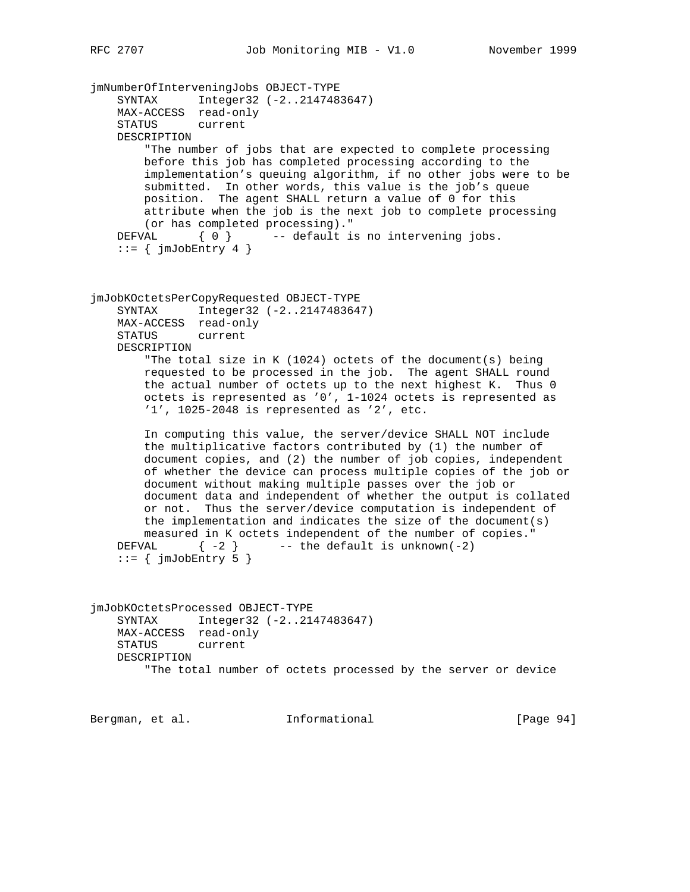jmNumberOfInterveningJobs OBJECT-TYPE SYNTAX Integer32 (-2..2147483647) MAX-ACCESS read-only STATUS current DESCRIPTION "The number of jobs that are expected to complete processing before this job has completed processing according to the implementation's queuing algorithm, if no other jobs were to be submitted. In other words, this value is the job's queue position. The agent SHALL return a value of 0 for this attribute when the job is the next job to complete processing (or has completed processing).<br>"
DEFVAL  $\{ 0 \}$  -- default is -- default is no intervening jobs.  $::=$  {  $jmJobEntry$  4 } jmJobKOctetsPerCopyRequested OBJECT-TYPE SYNTAX Integer32 (-2..2147483647) MAX-ACCESS read-only STATUS current DESCRIPTION "The total size in K (1024) octets of the document(s) being requested to be processed in the job. The agent SHALL round the actual number of octets up to the next highest K. Thus 0 octets is represented as '0', 1-1024 octets is represented as '1', 1025-2048 is represented as '2', etc. In computing this value, the server/device SHALL NOT include the multiplicative factors contributed by (1) the number of document copies, and (2) the number of job copies, independent of whether the device can process multiple copies of the job or document without making multiple passes over the job or document data and independent of whether the output is collated or not. Thus the server/device computation is independent of the implementation and indicates the size of the document(s) measured in K octets independent of the number of copies." DEFVAL  $\{-2\}$  -- the default is unknown(-2)  $::=$  {  $jmJobEntry$  5 } jmJobKOctetsProcessed OBJECT-TYPE SYNTAX Integer32 (-2..2147483647) MAX-ACCESS read-only STATUS current DESCRIPTION "The total number of octets processed by the server or device

Bergman, et al. **Informational** [Page 94]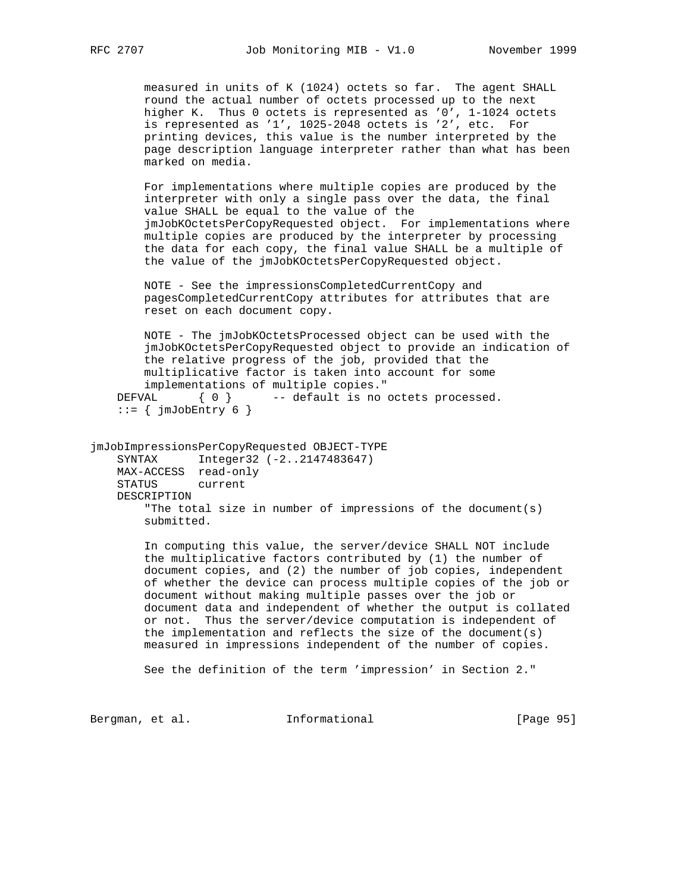measured in units of K (1024) octets so far. The agent SHALL round the actual number of octets processed up to the next higher K. Thus 0 octets is represented as '0', 1-1024 octets is represented as '1', 1025-2048 octets is '2', etc. For printing devices, this value is the number interpreted by the page description language interpreter rather than what has been marked on media.

 For implementations where multiple copies are produced by the interpreter with only a single pass over the data, the final value SHALL be equal to the value of the jmJobKOctetsPerCopyRequested object. For implementations where multiple copies are produced by the interpreter by processing the data for each copy, the final value SHALL be a multiple of the value of the jmJobKOctetsPerCopyRequested object.

 NOTE - See the impressionsCompletedCurrentCopy and pagesCompletedCurrentCopy attributes for attributes that are reset on each document copy.

 NOTE - The jmJobKOctetsProcessed object can be used with the jmJobKOctetsPerCopyRequested object to provide an indication of the relative progress of the job, provided that the multiplicative factor is taken into account for some implementations of multiple copies." DEFVAL  $\{ 0 \}$  -- default is no octets processed.

```
::= { jmJobEntry 6 }
```
jmJobImpressionsPerCopyRequested OBJECT-TYPE SYNTAX Integer32 (-2..2147483647) MAX-ACCESS read-only STATUS current DESCRIPTION "The total size in number of impressions of the document(s) submitted.

> In computing this value, the server/device SHALL NOT include the multiplicative factors contributed by (1) the number of document copies, and (2) the number of job copies, independent of whether the device can process multiple copies of the job or document without making multiple passes over the job or document data and independent of whether the output is collated or not. Thus the server/device computation is independent of the implementation and reflects the size of the document(s) measured in impressions independent of the number of copies.

See the definition of the term 'impression' in Section 2."

Bergman, et al. 1nformational 1999 [Page 95]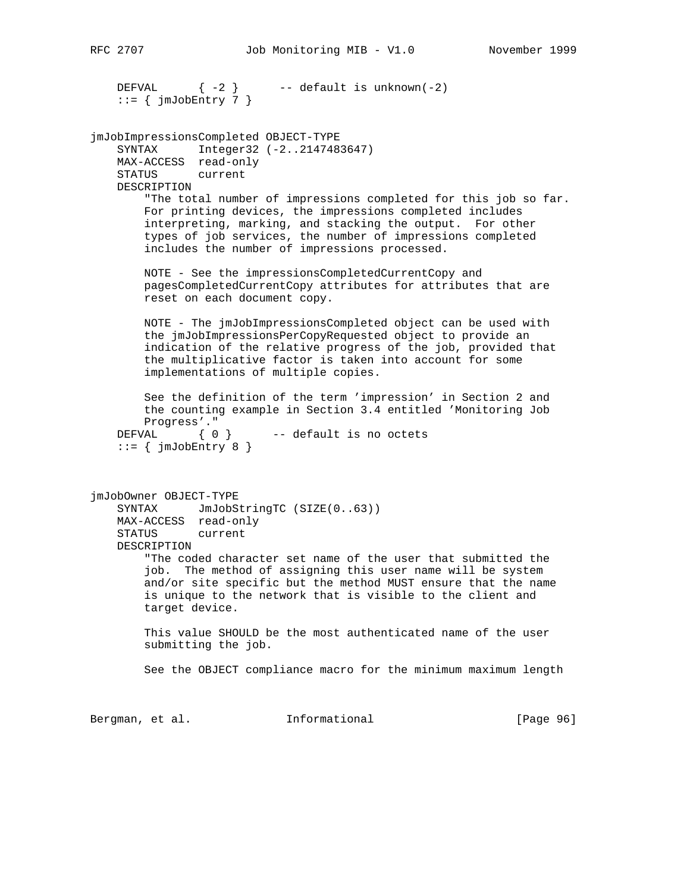```
DEFVAL \{-2\} -- default is unknown(-2)
   ::= { jmJobEntry 7 }
jmJobImpressionsCompleted OBJECT-TYPE
    SYNTAX Integer32 (-2..2147483647)
    MAX-ACCESS read-only
    STATUS current
    DESCRIPTION
         "The total number of impressions completed for this job so far.
        For printing devices, the impressions completed includes
        interpreting, marking, and stacking the output. For other
         types of job services, the number of impressions completed
         includes the number of impressions processed.
        NOTE - See the impressionsCompletedCurrentCopy and
        pagesCompletedCurrentCopy attributes for attributes that are
        reset on each document copy.
        NOTE - The jmJobImpressionsCompleted object can be used with
        the jmJobImpressionsPerCopyRequested object to provide an
        indication of the relative progress of the job, provided that
        the multiplicative factor is taken into account for some
        implementations of multiple copies.
        See the definition of the term 'impression' in Section 2 and
        the counting example in Section 3.4 entitled 'Monitoring Job
        Progress'."
   DEFVAL \{ 0 \} -- default is no octets
    ::= { jmJobEntry 8 }
jmJobOwner OBJECT-TYPE
   SYNTAX JmJobStringTC (SIZE(0..63))
    MAX-ACCESS read-only
    STATUS current
    DESCRIPTION
         "The coded character set name of the user that submitted the
         job. The method of assigning this user name will be system
        and/or site specific but the method MUST ensure that the name
        is unique to the network that is visible to the client and
        target device.
        This value SHOULD be the most authenticated name of the user
        submitting the job.
        See the OBJECT compliance macro for the minimum maximum length
Bergman, et al. 1nformational 1998 [Page 96]
```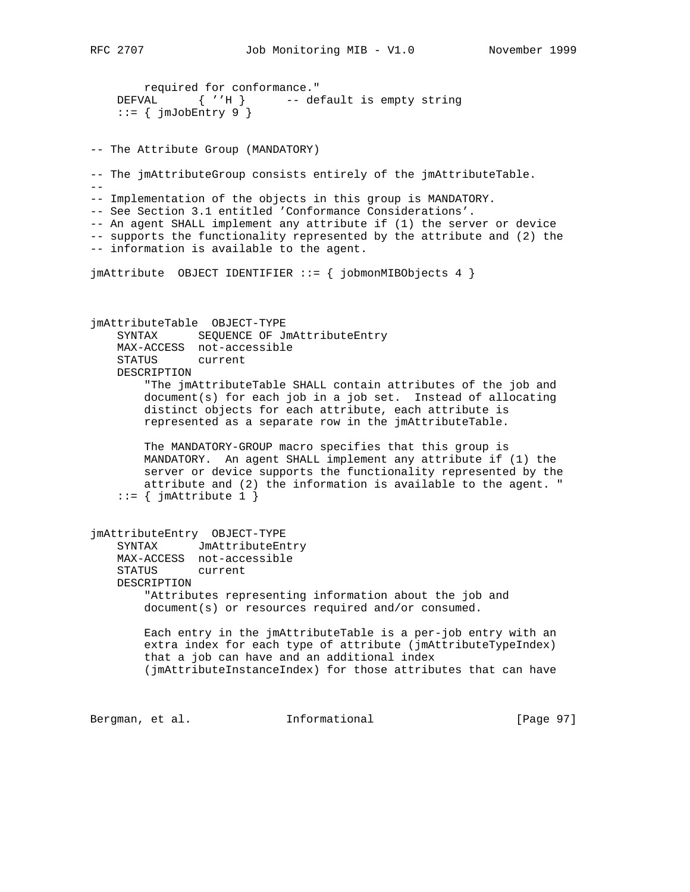required for conformance." DEFVAL { ''H } -- default is empty string  $::=$  {  $jmJobEntry$  9 } -- The Attribute Group (MANDATORY) -- The jmAttributeGroup consists entirely of the jmAttributeTable.  $-$ -- Implementation of the objects in this group is MANDATORY. -- See Section 3.1 entitled 'Conformance Considerations'. -- An agent SHALL implement any attribute if (1) the server or device -- supports the functionality represented by the attribute and (2) the -- information is available to the agent. jmAttribute OBJECT IDENTIFIER ::= { jobmonMIBObjects 4 } jmAttributeTable OBJECT-TYPE SYNTAX SEQUENCE OF JmAttributeEntry MAX-ACCESS not-accessible STATUS current DESCRIPTION "The jmAttributeTable SHALL contain attributes of the job and document(s) for each job in a job set. Instead of allocating distinct objects for each attribute, each attribute is represented as a separate row in the jmAttributeTable. The MANDATORY-GROUP macro specifies that this group is MANDATORY. An agent SHALL implement any attribute if (1) the server or device supports the functionality represented by the attribute and (2) the information is available to the agent. "  $::=$  {  $jm$ Attribute 1 } jmAttributeEntry OBJECT-TYPE SYNTAX JmAttributeEntry MAX-ACCESS not-accessible STATUS current DESCRIPTION "Attributes representing information about the job and document(s) or resources required and/or consumed. Each entry in the jmAttributeTable is a per-job entry with an extra index for each type of attribute (jmAttributeTypeIndex) that a job can have and an additional index (jmAttributeInstanceIndex) for those attributes that can have Bergman, et al. 1nformational 1999 [Page 97]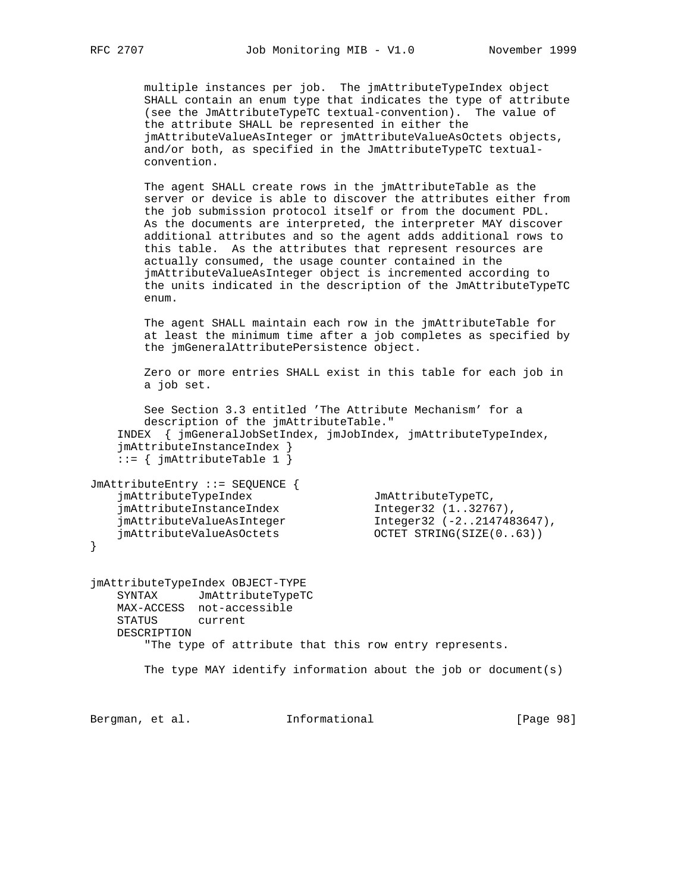multiple instances per job. The jmAttributeTypeIndex object SHALL contain an enum type that indicates the type of attribute (see the JmAttributeTypeTC textual-convention). The value of the attribute SHALL be represented in either the jmAttributeValueAsInteger or jmAttributeValueAsOctets objects, and/or both, as specified in the JmAttributeTypeTC textual convention.

 The agent SHALL create rows in the jmAttributeTable as the server or device is able to discover the attributes either from the job submission protocol itself or from the document PDL. As the documents are interpreted, the interpreter MAY discover additional attributes and so the agent adds additional rows to this table. As the attributes that represent resources are actually consumed, the usage counter contained in the jmAttributeValueAsInteger object is incremented according to the units indicated in the description of the JmAttributeTypeTC enum.

 The agent SHALL maintain each row in the jmAttributeTable for at least the minimum time after a job completes as specified by the jmGeneralAttributePersistence object.

 Zero or more entries SHALL exist in this table for each job in a job set.

 See Section 3.3 entitled 'The Attribute Mechanism' for a description of the jmAttributeTable." INDEX { jmGeneralJobSetIndex, jmJobIndex, jmAttributeTypeIndex, jmAttributeInstanceIndex } ::= { jmAttributeTable 1 }

JmAttributeEntry ::= SEQUENCE { jmAttributeTypeIndex JmAttributeTypeTC, jmAttributeInstanceIndex Integer32 (1..32767), jmAttributeValueAsInteger Integer32 (-2..2147483647), jmAttributeValueAsOctets OCTET STRING(SIZE(0..63))

}

jmAttributeTypeIndex OBJECT-TYPE SYNTAX JmAttributeTypeTC MAX-ACCESS not-accessible STATUS current DESCRIPTION "The type of attribute that this row entry represents. The type MAY identify information about the job or document(s)

Bergman, et al. 1nformational 1998 [Page 98]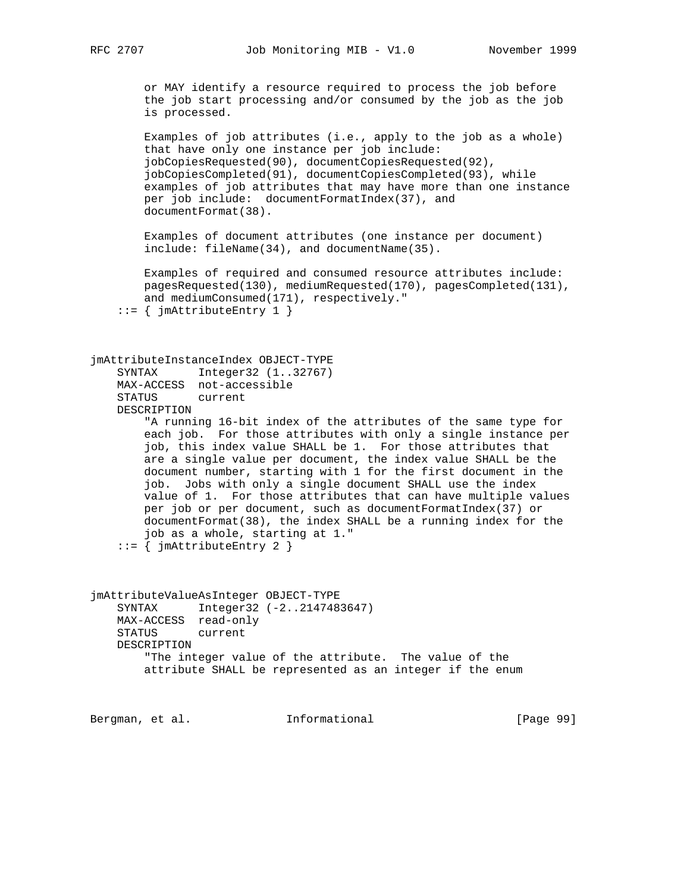or MAY identify a resource required to process the job before the job start processing and/or consumed by the job as the job is processed.

 Examples of job attributes (i.e., apply to the job as a whole) that have only one instance per job include: jobCopiesRequested(90), documentCopiesRequested(92), jobCopiesCompleted(91), documentCopiesCompleted(93), while examples of job attributes that may have more than one instance per job include: documentFormatIndex(37), and documentFormat(38).

 Examples of document attributes (one instance per document) include: fileName(34), and documentName(35).

 Examples of required and consumed resource attributes include: pagesRequested(130), mediumRequested(170), pagesCompleted(131), and mediumConsumed(171), respectively."

```
 ::= { jmAttributeEntry 1 }
```

```
jmAttributeInstanceIndex OBJECT-TYPE
    SYNTAX Integer32 (1..32767)
    MAX-ACCESS not-accessible
    STATUS current
    DESCRIPTION
         "A running 16-bit index of the attributes of the same type for
        each job. For those attributes with only a single instance per
         job, this index value SHALL be 1. For those attributes that
        are a single value per document, the index value SHALL be the
        document number, starting with 1 for the first document in the
         job. Jobs with only a single document SHALL use the index
        value of 1. For those attributes that can have multiple values
        per job or per document, such as documentFormatIndex(37) or
        documentFormat(38), the index SHALL be a running index for the
         job as a whole, starting at 1."
    ::= { jmAttributeEntry 2 }
```
jmAttributeValueAsInteger OBJECT-TYPE SYNTAX Integer32 (-2..2147483647) MAX-ACCESS read-only STATUS current DESCRIPTION "The integer value of the attribute. The value of the attribute SHALL be represented as an integer if the enum

Bergman, et al. **Informational** [Page 99]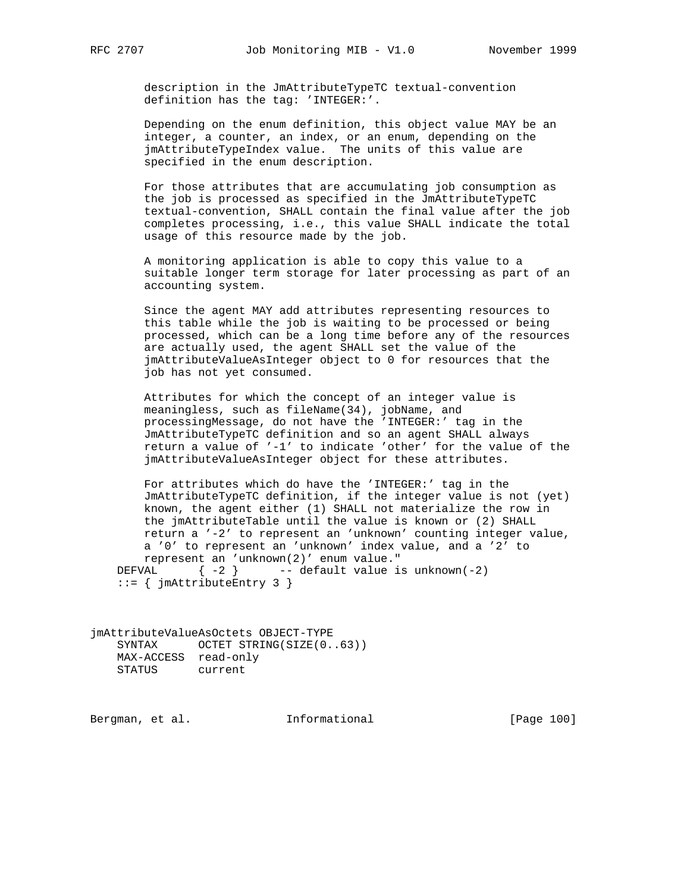description in the JmAttributeTypeTC textual-convention definition has the tag: 'INTEGER:'.

 Depending on the enum definition, this object value MAY be an integer, a counter, an index, or an enum, depending on the jmAttributeTypeIndex value. The units of this value are specified in the enum description.

 For those attributes that are accumulating job consumption as the job is processed as specified in the JmAttributeTypeTC textual-convention, SHALL contain the final value after the job completes processing, i.e., this value SHALL indicate the total usage of this resource made by the job.

 A monitoring application is able to copy this value to a suitable longer term storage for later processing as part of an accounting system.

 Since the agent MAY add attributes representing resources to this table while the job is waiting to be processed or being processed, which can be a long time before any of the resources are actually used, the agent SHALL set the value of the jmAttributeValueAsInteger object to 0 for resources that the job has not yet consumed.

 Attributes for which the concept of an integer value is meaningless, such as fileName(34), jobName, and processingMessage, do not have the 'INTEGER:' tag in the JmAttributeTypeTC definition and so an agent SHALL always return a value of '-1' to indicate 'other' for the value of the jmAttributeValueAsInteger object for these attributes.

 For attributes which do have the 'INTEGER:' tag in the JmAttributeTypeTC definition, if the integer value is not (yet) known, the agent either (1) SHALL not materialize the row in the jmAttributeTable until the value is known or (2) SHALL return a '-2' to represent an 'unknown' counting integer value, a '0' to represent an 'unknown' index value, and a '2' to represent an 'unknown(2)' enum value." DEFVAL  $\{-2\}$  -- default value is unknown(-2) ::= { jmAttributeEntry 3 }

jmAttributeValueAsOctets OBJECT-TYPE SYNTAX OCTET STRING(SIZE(0..63)) MAX-ACCESS read-only STATUS current

Bergman, et al. 1nformational 1999 [Page 100]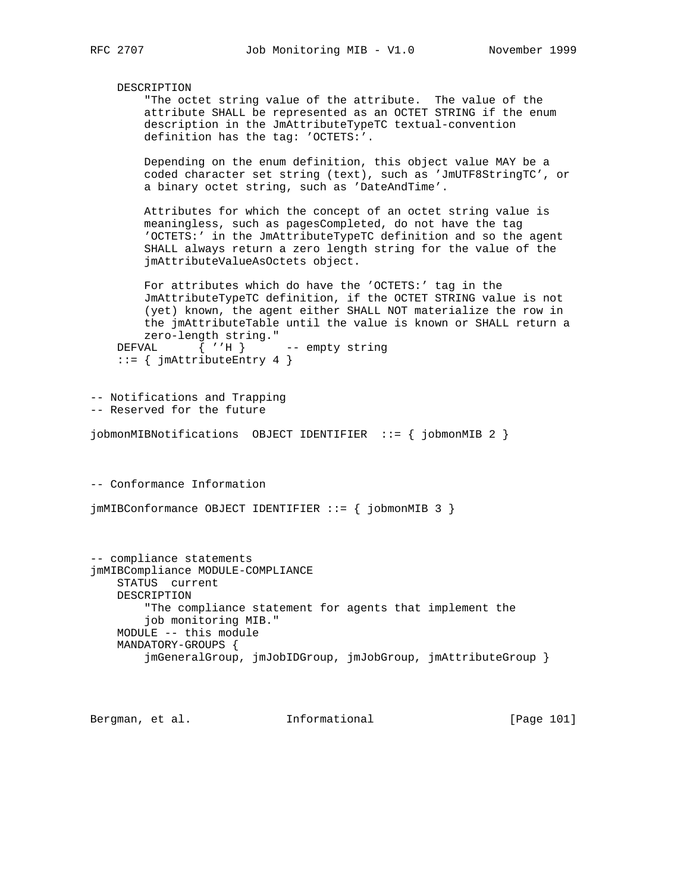DESCRIPTION "The octet string value of the attribute. The value of the attribute SHALL be represented as an OCTET STRING if the enum description in the JmAttributeTypeTC textual-convention definition has the tag: 'OCTETS:'. Depending on the enum definition, this object value MAY be a coded character set string (text), such as 'JmUTF8StringTC', or a binary octet string, such as 'DateAndTime'. Attributes for which the concept of an octet string value is meaningless, such as pagesCompleted, do not have the tag 'OCTETS:' in the JmAttributeTypeTC definition and so the agent SHALL always return a zero length string for the value of the jmAttributeValueAsOctets object. For attributes which do have the 'OCTETS:' tag in the JmAttributeTypeTC definition, if the OCTET STRING value is not (yet) known, the agent either SHALL NOT materialize the row in the jmAttributeTable until the value is known or SHALL return a zero-length string." DEFVAL  $\{ 'H \}$  -- empty string  $::= \{ j \text{mAttributeEntry 4 } \}$ -- Notifications and Trapping -- Reserved for the future jobmonMIBNotifications OBJECT IDENTIFIER ::= { jobmonMIB 2 } -- Conformance Information jmMIBConformance OBJECT IDENTIFIER ::= { jobmonMIB 3 } -- compliance statements jmMIBCompliance MODULE-COMPLIANCE STATUS current DESCRIPTION "The compliance statement for agents that implement the job monitoring MIB." MODULE -- this module MANDATORY-GROUPS { jmGeneralGroup, jmJobIDGroup, jmJobGroup, jmAttributeGroup } Bergman, et al. **Informational** [Page 101]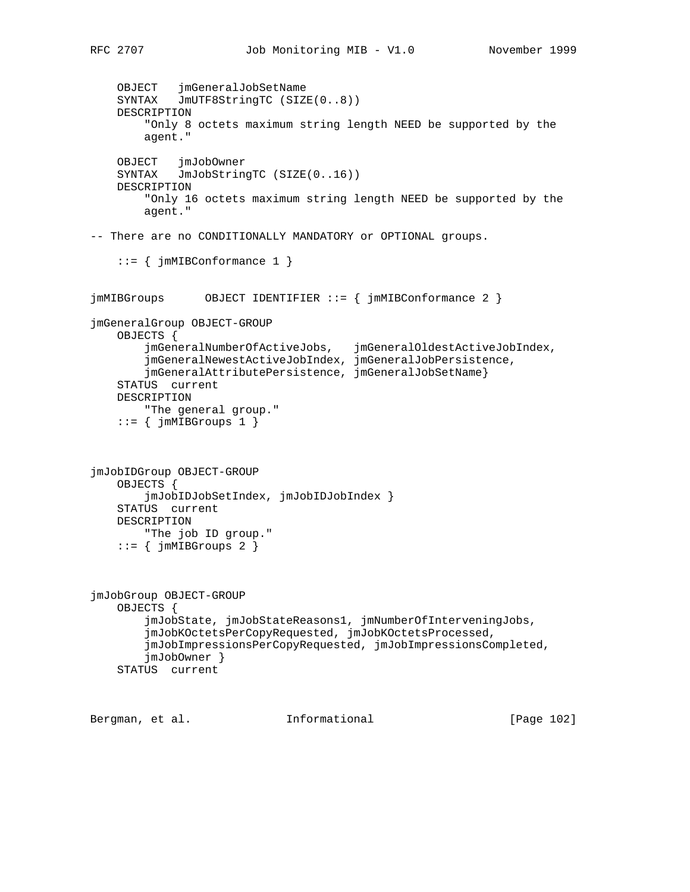```
 OBJECT jmGeneralJobSetName
     SYNTAX JmUTF8StringTC (SIZE(0..8))
    DESCRIPTION
         "Only 8 octets maximum string length NEED be supported by the
        agent."
     OBJECT jmJobOwner
     SYNTAX JmJobStringTC (SIZE(0..16))
    DESCRIPTION
         "Only 16 octets maximum string length NEED be supported by the
        agent."
-- There are no CONDITIONALLY MANDATORY or OPTIONAL groups.
     ::= { jmMIBConformance 1 }
jmMIBGroups OBJECT IDENTIFIER ::= { jmMIBConformance 2 }
jmGeneralGroup OBJECT-GROUP
    OBJECTS {
         jmGeneralNumberOfActiveJobs, jmGeneralOldestActiveJobIndex,
         jmGeneralNewestActiveJobIndex, jmGeneralJobPersistence,
         jmGeneralAttributePersistence, jmGeneralJobSetName}
     STATUS current
    DESCRIPTION
         "The general group."
    ::= { jmMIBGroups 1 }
jmJobIDGroup OBJECT-GROUP
    OBJECTS {
         jmJobIDJobSetIndex, jmJobIDJobIndex }
     STATUS current
    DESCRIPTION
        "The job ID group."
    ::= { jmMIBGroups 2 }
jmJobGroup OBJECT-GROUP
    OBJECTS {
         jmJobState, jmJobStateReasons1, jmNumberOfInterveningJobs,
         jmJobKOctetsPerCopyRequested, jmJobKOctetsProcessed,
         jmJobImpressionsPerCopyRequested, jmJobImpressionsCompleted,
         jmJobOwner }
     STATUS current
Bergman, et al. Informational [Page 102]
```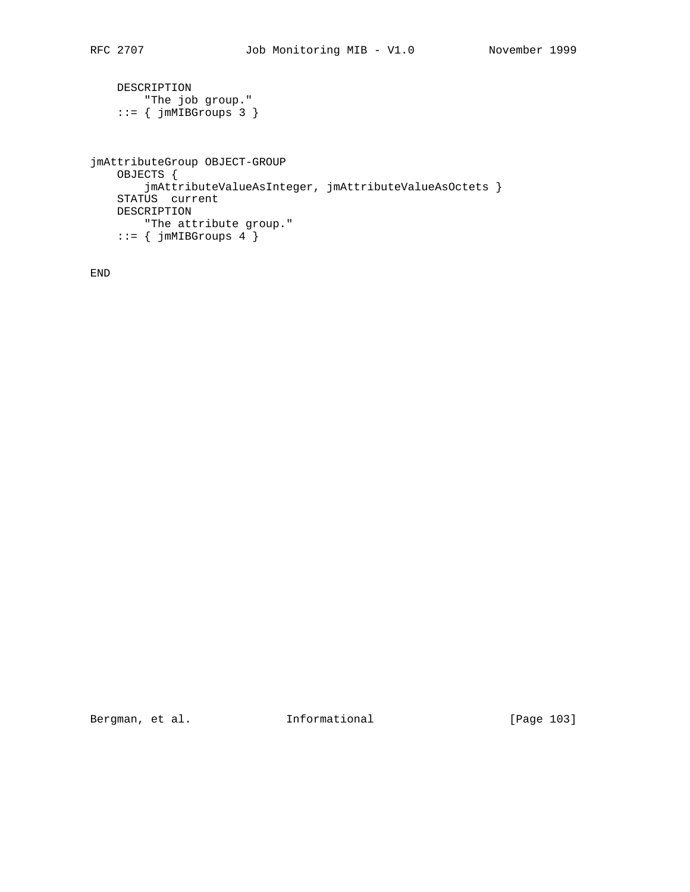```
 DESCRIPTION
 "The job group."
 ::= { jmMIBGroups 3 }
jmAttributeGroup OBJECT-GROUP
    OBJECTS {
        jmAttributeValueAsInteger, jmAttributeValueAsOctets }
    STATUS current
    DESCRIPTION
      "The attribute group."
   ::= { jmMIBGroups 4 }
```
END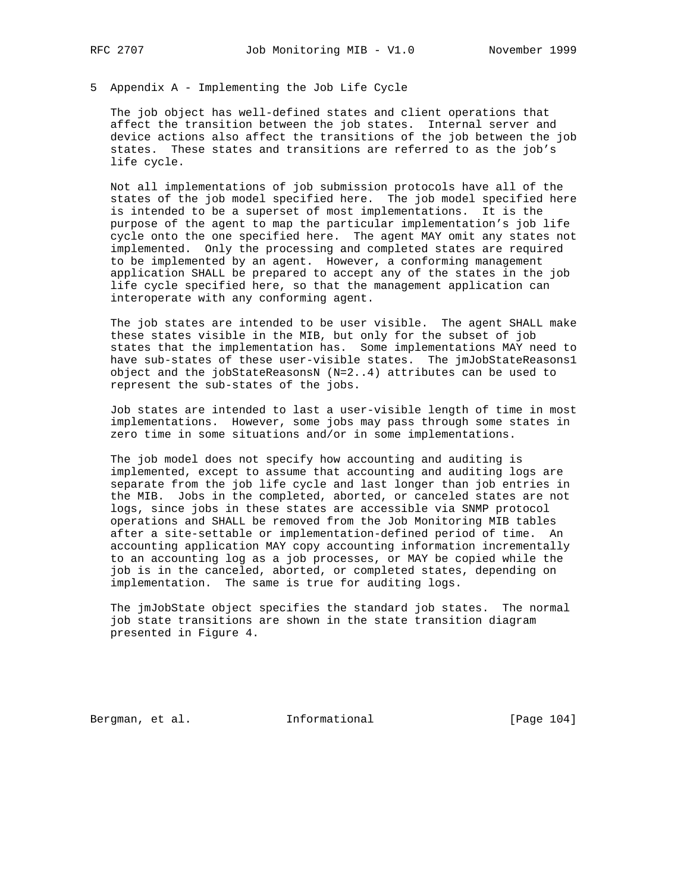## 5 Appendix A - Implementing the Job Life Cycle

 The job object has well-defined states and client operations that affect the transition between the job states. Internal server and device actions also affect the transitions of the job between the job states. These states and transitions are referred to as the job's life cycle.

 Not all implementations of job submission protocols have all of the states of the job model specified here. The job model specified here is intended to be a superset of most implementations. It is the purpose of the agent to map the particular implementation's job life cycle onto the one specified here. The agent MAY omit any states not implemented. Only the processing and completed states are required to be implemented by an agent. However, a conforming management application SHALL be prepared to accept any of the states in the job life cycle specified here, so that the management application can interoperate with any conforming agent.

 The job states are intended to be user visible. The agent SHALL make these states visible in the MIB, but only for the subset of job states that the implementation has. Some implementations MAY need to have sub-states of these user-visible states. The jmJobStateReasons1 object and the jobStateReasonsN (N=2..4) attributes can be used to represent the sub-states of the jobs.

 Job states are intended to last a user-visible length of time in most implementations. However, some jobs may pass through some states in zero time in some situations and/or in some implementations.

 The job model does not specify how accounting and auditing is implemented, except to assume that accounting and auditing logs are separate from the job life cycle and last longer than job entries in the MIB. Jobs in the completed, aborted, or canceled states are not logs, since jobs in these states are accessible via SNMP protocol operations and SHALL be removed from the Job Monitoring MIB tables after a site-settable or implementation-defined period of time. An accounting application MAY copy accounting information incrementally to an accounting log as a job processes, or MAY be copied while the job is in the canceled, aborted, or completed states, depending on implementation. The same is true for auditing logs.

 The jmJobState object specifies the standard job states. The normal job state transitions are shown in the state transition diagram presented in Figure 4.

Bergman, et al. 1nformational 1999 [Page 104]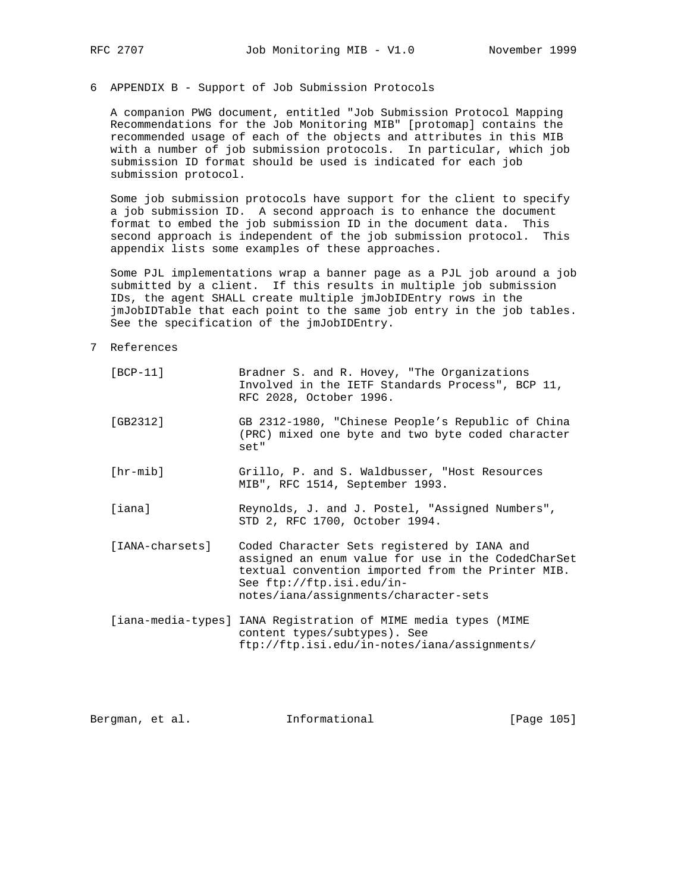## 6 APPENDIX B - Support of Job Submission Protocols

 A companion PWG document, entitled "Job Submission Protocol Mapping Recommendations for the Job Monitoring MIB" [protomap] contains the recommended usage of each of the objects and attributes in this MIB with a number of job submission protocols. In particular, which job submission ID format should be used is indicated for each job submission protocol.

 Some job submission protocols have support for the client to specify a job submission ID. A second approach is to enhance the document format to embed the job submission ID in the document data. This second approach is independent of the job submission protocol. This appendix lists some examples of these approaches.

 Some PJL implementations wrap a banner page as a PJL job around a job submitted by a client. If this results in multiple job submission IDs, the agent SHALL create multiple jmJobIDEntry rows in the jmJobIDTable that each point to the same job entry in the job tables. See the specification of the jmJobIDEntry.

## 7 References

| $[BCP-11]$        | Bradner S. and R. Hovey, "The Organizations<br>Involved in the IETF Standards Process", BCP 11,<br>RFC 2028, October 1996.                                                                                                   |
|-------------------|------------------------------------------------------------------------------------------------------------------------------------------------------------------------------------------------------------------------------|
| [GB2312]          | GB 2312-1980, "Chinese People's Republic of China<br>(PRC) mixed one byte and two byte coded character<br>set"                                                                                                               |
| $[hr\text{-mib}]$ | Grillo, P. and S. Waldbusser, "Host Resources<br>MIB", RFC 1514, September 1993.                                                                                                                                             |
| [iana]            | Reynolds, J. and J. Postel, "Assigned Numbers",<br>STD 2, RFC 1700, October 1994.                                                                                                                                            |
| [IANA-charsets]   | Coded Character Sets registered by IANA and<br>assigned an enum value for use in the CodedCharSet<br>textual convention imported from the Printer MIB.<br>See ftp://ftp.isi.edu/in-<br>notes/iana/assignments/character-sets |
|                   | [iana-media-types] IANA Registration of MIME media types (MIME<br>content types/subtypes). See<br>ftp://ftp.isi.edu/in-notes/iana/assignments/                                                                               |

Bergman, et al. **Informational** [Page 105]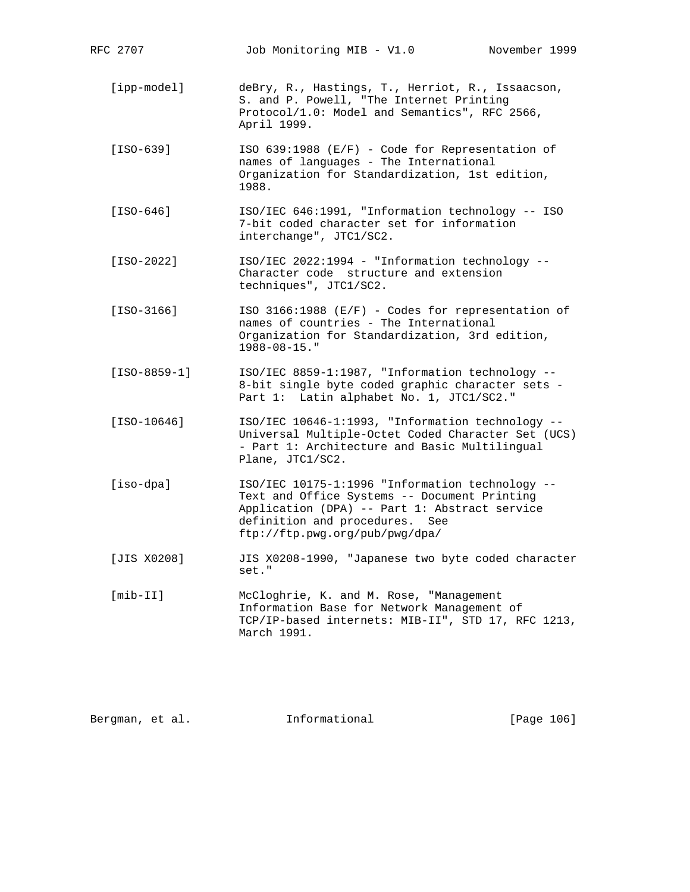RFC 2707 Job Monitoring MIB - V1.0 November 1999 [ipp-model] deBry, R., Hastings, T., Herriot, R., Issaacson, S. and P. Powell, "The Internet Printing Protocol/1.0: Model and Semantics", RFC 2566, April 1999. [ISO-639] ISO 639:1988 (E/F) - Code for Representation of names of languages - The International Organization for Standardization, 1st edition, 1988. [ISO-646] ISO/IEC 646:1991, "Information technology -- ISO 7-bit coded character set for information interchange", JTC1/SC2. [ISO-2022] ISO/IEC 2022:1994 - "Information technology -- Character code structure and extension techniques", JTC1/SC2. [ISO-3166] ISO 3166:1988 (E/F) - Codes for representation of names of countries - The International Organization for Standardization, 3rd edition, 1988-08-15." [ISO-8859-1] ISO/IEC 8859-1:1987, "Information technology -- 8-bit single byte coded graphic character sets - Part 1: Latin alphabet No. 1, JTC1/SC2." [ISO-10646] ISO/IEC 10646-1:1993, "Information technology -- Universal Multiple-Octet Coded Character Set (UCS) - Part 1: Architecture and Basic Multilingual Plane, JTC1/SC2. [iso-dpa] ISO/IEC 10175-1:1996 "Information technology -- Text and Office Systems -- Document Printing Application (DPA) -- Part 1: Abstract service definition and procedures. See ftp://ftp.pwg.org/pub/pwg/dpa/ [JIS X0208] JIS X0208-1990, "Japanese two byte coded character set." [mib-II] McCloghrie, K. and M. Rose, "Management Information Base for Network Management of TCP/IP-based internets: MIB-II", STD 17, RFC 1213, March 1991.

Bergman, et al. **Informational** [Page 106]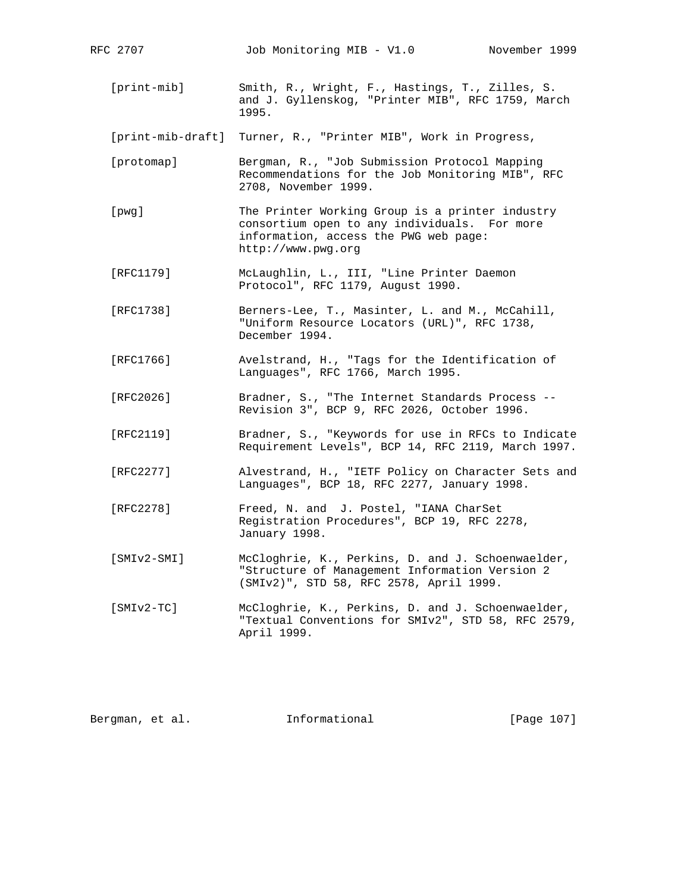- [print-mib] Smith, R., Wright, F., Hastings, T., Zilles, S. and J. Gyllenskog, "Printer MIB", RFC 1759, March 1995.
- [print-mib-draft] Turner, R., "Printer MIB", Work in Progress,
- [protomap] Bergman, R., "Job Submission Protocol Mapping Recommendations for the Job Monitoring MIB", RFC 2708, November 1999.
- [pwg] The Printer Working Group is a printer industry consortium open to any individuals. For more information, access the PWG web page: http://www.pwg.org
- [RFC1179] McLaughlin, L., III, "Line Printer Daemon Protocol", RFC 1179, August 1990.
- [RFC1738] Berners-Lee, T., Masinter, L. and M., McCahill, "Uniform Resource Locators (URL)", RFC 1738, December 1994.
- [RFC1766] Avelstrand, H., "Tags for the Identification of Languages", RFC 1766, March 1995.
- [RFC2026] Bradner, S., "The Internet Standards Process -- Revision 3", BCP 9, RFC 2026, October 1996.
- [RFC2119] Bradner, S., "Keywords for use in RFCs to Indicate Requirement Levels", BCP 14, RFC 2119, March 1997.
- [RFC2277] Alvestrand, H., "IETF Policy on Character Sets and Languages", BCP 18, RFC 2277, January 1998.
- [RFC2278] Freed, N. and J. Postel, "IANA CharSet Registration Procedures", BCP 19, RFC 2278, January 1998.
- [SMIv2-SMI] McCloghrie, K., Perkins, D. and J. Schoenwaelder, "Structure of Management Information Version 2 (SMIv2)", STD 58, RFC 2578, April 1999.
- [SMIv2-TC] McCloghrie, K., Perkins, D. and J. Schoenwaelder, "Textual Conventions for SMIv2", STD 58, RFC 2579, April 1999.

Bergman, et al. **Informational** [Page 107]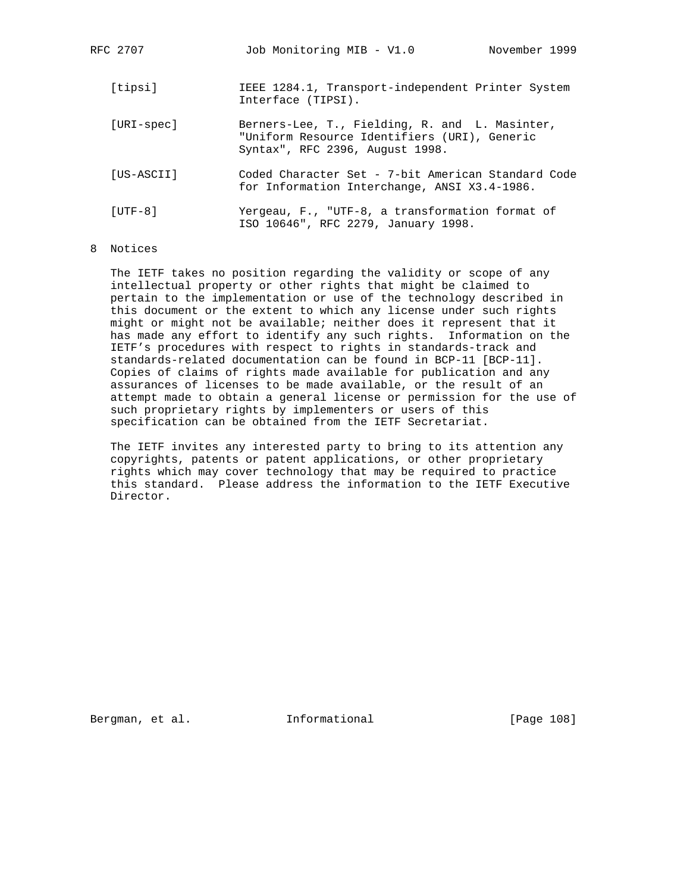| RFC 2707   | Job Monitoring MIB - V1.0<br>November 1999                                                                                        |
|------------|-----------------------------------------------------------------------------------------------------------------------------------|
| [tipsi]    | IEEE 1284.1, Transport-independent Printer System<br>Interface (TIPSI).                                                           |
| [URI-spec] | Berners-Lee, T., Fielding, R. and L. Masinter,<br>"Uniform Resource Identifiers (URI), Generic<br>Syntax", RFC 2396, August 1998. |
| [US-ASCII] | Coded Character Set - 7-bit American Standard Code<br>for Information Interchange, ANSI X3.4-1986.                                |
| $[UTF-8]$  | Yergeau, F., "UTF-8, a transformation format of<br>ISO 10646", RFC 2279, January 1998.                                            |

## 8 Notices

 The IETF takes no position regarding the validity or scope of any intellectual property or other rights that might be claimed to pertain to the implementation or use of the technology described in this document or the extent to which any license under such rights might or might not be available; neither does it represent that it has made any effort to identify any such rights. Information on the IETF's procedures with respect to rights in standards-track and standards-related documentation can be found in BCP-11 [BCP-11]. Copies of claims of rights made available for publication and any assurances of licenses to be made available, or the result of an attempt made to obtain a general license or permission for the use of such proprietary rights by implementers or users of this specification can be obtained from the IETF Secretariat.

 The IETF invites any interested party to bring to its attention any copyrights, patents or patent applications, or other proprietary rights which may cover technology that may be required to practice this standard. Please address the information to the IETF Executive Director.

Bergman, et al. **Informational** [Page 108]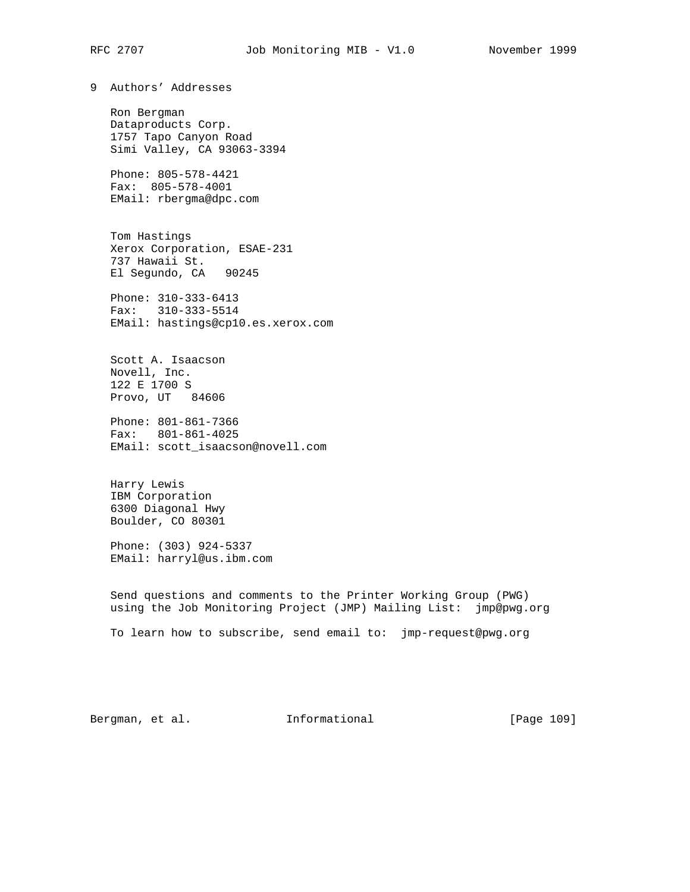9 Authors' Addresses Ron Bergman Dataproducts Corp. 1757 Tapo Canyon Road Simi Valley, CA 93063-3394 Phone: 805-578-4421 Fax: 805-578-4001 EMail: rbergma@dpc.com Tom Hastings Xerox Corporation, ESAE-231 737 Hawaii St. El Segundo, CA 90245 Phone: 310-333-6413 Fax: 310-333-5514 EMail: hastings@cp10.es.xerox.com Scott A. Isaacson Novell, Inc.

 122 E 1700 S Provo, UT 84606

 Phone: 801-861-7366 Fax: 801-861-4025 EMail: scott\_isaacson@novell.com

 Harry Lewis IBM Corporation 6300 Diagonal Hwy Boulder, CO 80301

 Phone: (303) 924-5337 EMail: harryl@us.ibm.com

 Send questions and comments to the Printer Working Group (PWG) using the Job Monitoring Project (JMP) Mailing List: jmp@pwg.org

To learn how to subscribe, send email to: jmp-request@pwg.org

Bergman, et al. **Informational** [Page 109]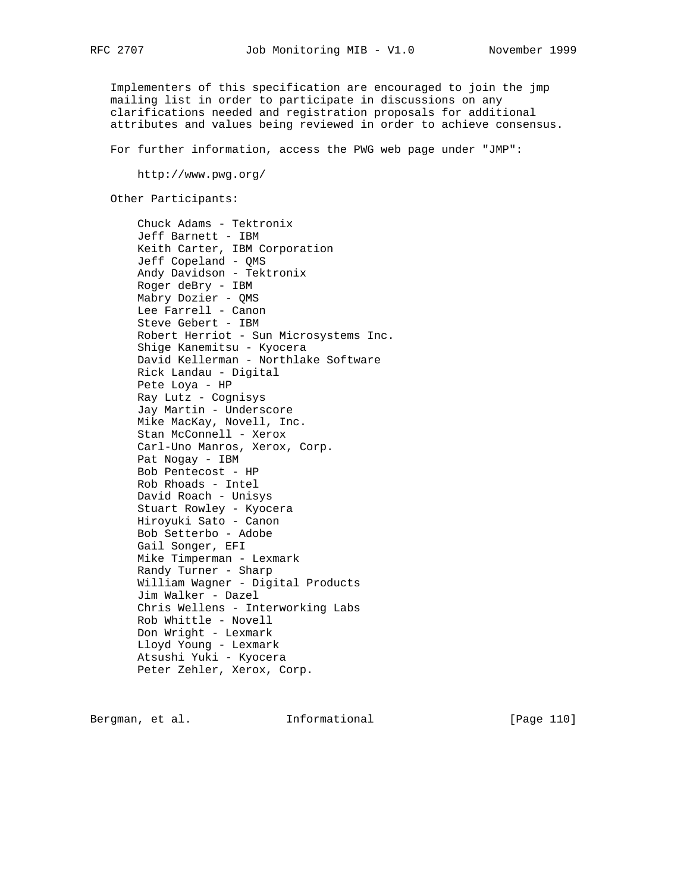Implementers of this specification are encouraged to join the jmp mailing list in order to participate in discussions on any clarifications needed and registration proposals for additional attributes and values being reviewed in order to achieve consensus.

For further information, access the PWG web page under "JMP":

http://www.pwg.org/

Other Participants:

 Chuck Adams - Tektronix Jeff Barnett - IBM Keith Carter, IBM Corporation Jeff Copeland - QMS Andy Davidson - Tektronix Roger deBry - IBM Mabry Dozier - QMS Lee Farrell - Canon Steve Gebert - IBM Robert Herriot - Sun Microsystems Inc. Shige Kanemitsu - Kyocera David Kellerman - Northlake Software Rick Landau - Digital Pete Loya - HP Ray Lutz - Cognisys Jay Martin - Underscore Mike MacKay, Novell, Inc. Stan McConnell - Xerox Carl-Uno Manros, Xerox, Corp. Pat Nogay - IBM Bob Pentecost - HP Rob Rhoads - Intel David Roach - Unisys Stuart Rowley - Kyocera Hiroyuki Sato - Canon Bob Setterbo - Adobe Gail Songer, EFI Mike Timperman - Lexmark Randy Turner - Sharp William Wagner - Digital Products Jim Walker - Dazel Chris Wellens - Interworking Labs Rob Whittle - Novell Don Wright - Lexmark Lloyd Young - Lexmark Atsushi Yuki - Kyocera Peter Zehler, Xerox, Corp.

Bergman, et al. **Informational** [Page 110]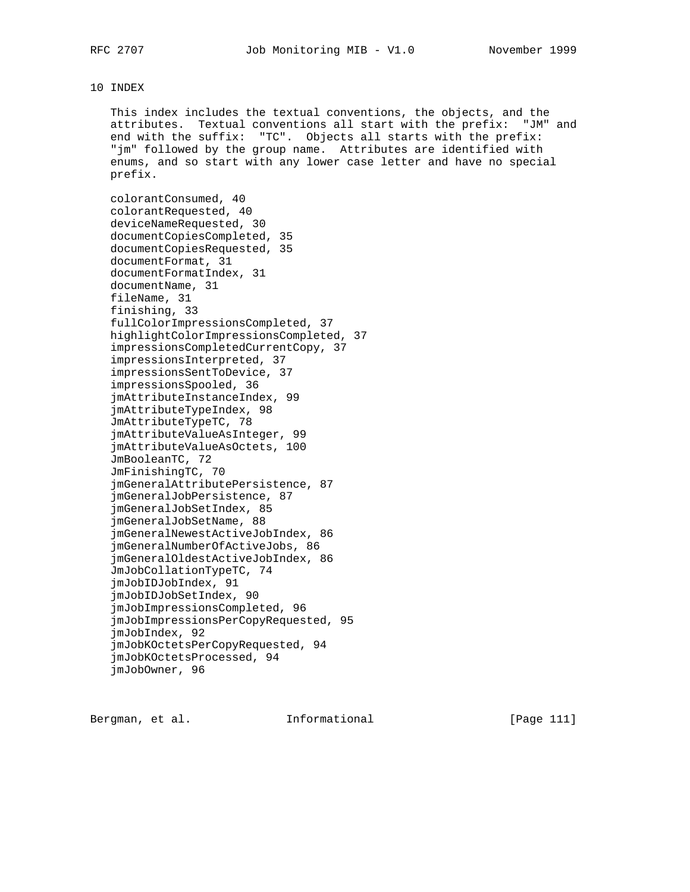## 10 INDEX

 This index includes the textual conventions, the objects, and the attributes. Textual conventions all start with the prefix: "JM" and end with the suffix: "TC". Objects all starts with the prefix: "jm" followed by the group name. Attributes are identified with enums, and so start with any lower case letter and have no special prefix.

 colorantConsumed, 40 colorantRequested, 40 deviceNameRequested, 30 documentCopiesCompleted, 35 documentCopiesRequested, 35 documentFormat, 31 documentFormatIndex, 31 documentName, 31 fileName, 31 finishing, 33 fullColorImpressionsCompleted, 37 highlightColorImpressionsCompleted, 37 impressionsCompletedCurrentCopy, 37 impressionsInterpreted, 37 impressionsSentToDevice, 37 impressionsSpooled, 36 jmAttributeInstanceIndex, 99 jmAttributeTypeIndex, 98 JmAttributeTypeTC, 78 jmAttributeValueAsInteger, 99 jmAttributeValueAsOctets, 100 JmBooleanTC, 72 JmFinishingTC, 70 jmGeneralAttributePersistence, 87 jmGeneralJobPersistence, 87 jmGeneralJobSetIndex, 85 jmGeneralJobSetName, 88 jmGeneralNewestActiveJobIndex, 86 jmGeneralNumberOfActiveJobs, 86 jmGeneralOldestActiveJobIndex, 86 JmJobCollationTypeTC, 74 jmJobIDJobIndex, 91 jmJobIDJobSetIndex, 90 jmJobImpressionsCompleted, 96 jmJobImpressionsPerCopyRequested, 95 jmJobIndex, 92 jmJobKOctetsPerCopyRequested, 94 jmJobKOctetsProcessed, 94 jmJobOwner, 96

Bergman, et al. **Informational** [Page 111]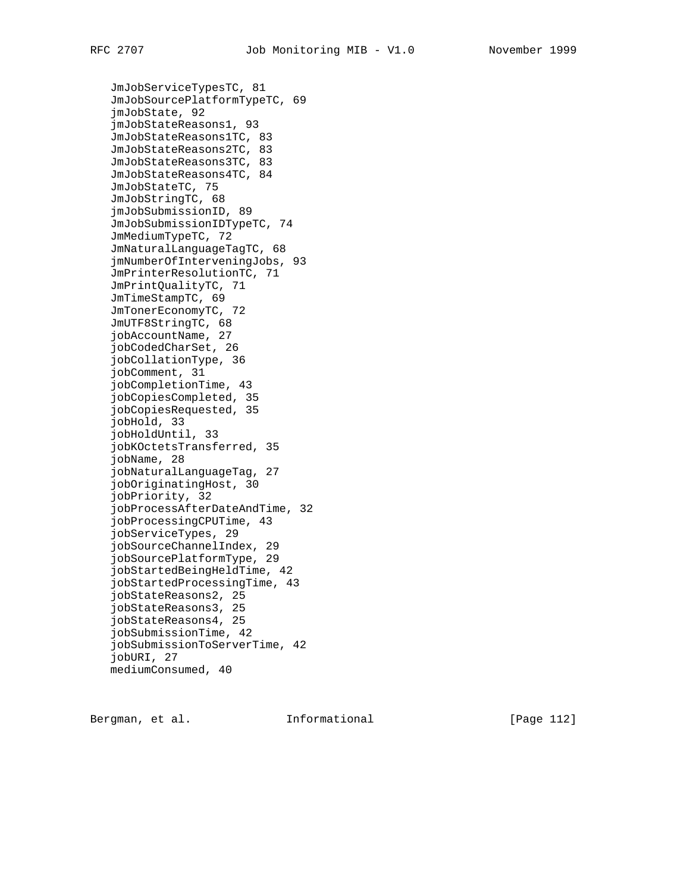JmJobServiceTypesTC, 81 JmJobSourcePlatformTypeTC, 69 jmJobState, 92 jmJobStateReasons1, 93 JmJobStateReasons1TC, 83 JmJobStateReasons2TC, 83 JmJobStateReasons3TC, 83 JmJobStateReasons4TC, 84 JmJobStateTC, 75 JmJobStringTC, 68 jmJobSubmissionID, 89 JmJobSubmissionIDTypeTC, 74 JmMediumTypeTC, 72 JmNaturalLanguageTagTC, 68 jmNumberOfInterveningJobs, 93 JmPrinterResolutionTC, 71 JmPrintQualityTC, 71 JmTimeStampTC, 69 JmTonerEconomyTC, 72 JmUTF8StringTC, 68 jobAccountName, 27 jobCodedCharSet, 26 jobCollationType, 36 jobComment, 31 jobCompletionTime, 43 jobCopiesCompleted, 35 jobCopiesRequested, 35 jobHold, 33 jobHoldUntil, 33 jobKOctetsTransferred, 35 jobName, 28 jobNaturalLanguageTag, 27 jobOriginatingHost, 30 jobPriority, 32 jobProcessAfterDateAndTime, 32 jobProcessingCPUTime, 43 jobServiceTypes, 29 jobSourceChannelIndex, 29 jobSourcePlatformType, 29 jobStartedBeingHeldTime, 42 jobStartedProcessingTime, 43 jobStateReasons2, 25 jobStateReasons3, 25 jobStateReasons4, 25 jobSubmissionTime, 42 jobSubmissionToServerTime, 42 jobURI, 27 mediumConsumed, 40

Bergman, et al. **Informational** [Page 112]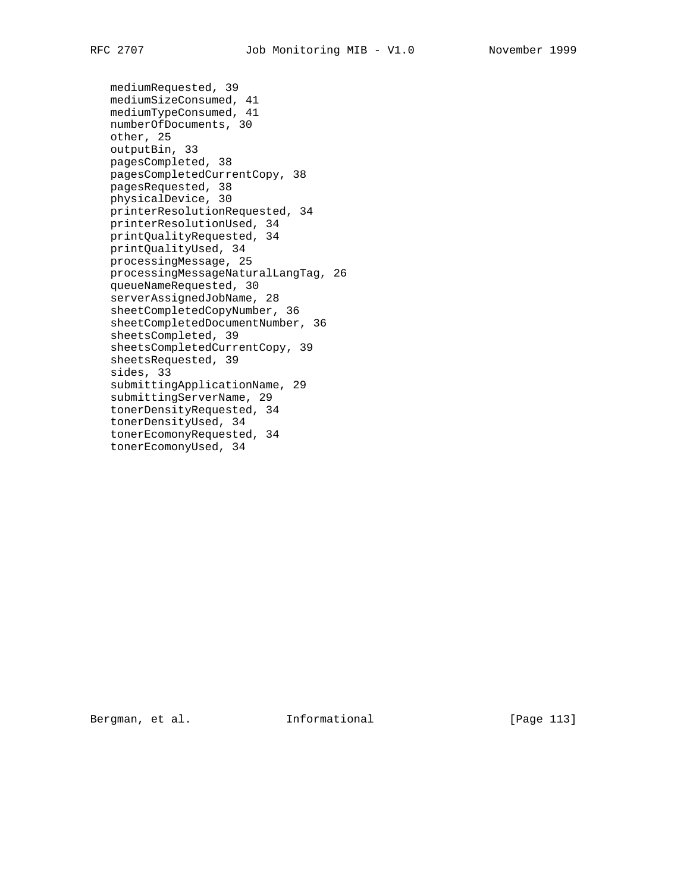```
 mediumRequested, 39
mediumSizeConsumed, 41
mediumTypeConsumed, 41
numberOfDocuments, 30
other, 25
outputBin, 33
pagesCompleted, 38
pagesCompletedCurrentCopy, 38
pagesRequested, 38
physicalDevice, 30
printerResolutionRequested, 34
printerResolutionUsed, 34
printQualityRequested, 34
printQualityUsed, 34
processingMessage, 25
processingMessageNaturalLangTag, 26
queueNameRequested, 30
serverAssignedJobName, 28
sheetCompletedCopyNumber, 36
sheetCompletedDocumentNumber, 36
sheetsCompleted, 39
sheetsCompletedCurrentCopy, 39
sheetsRequested, 39
sides, 33
submittingApplicationName, 29
submittingServerName, 29
tonerDensityRequested, 34
tonerDensityUsed, 34
tonerEcomonyRequested, 34
tonerEcomonyUsed, 34
```
Bergman, et al. **Informational** [Page 113]